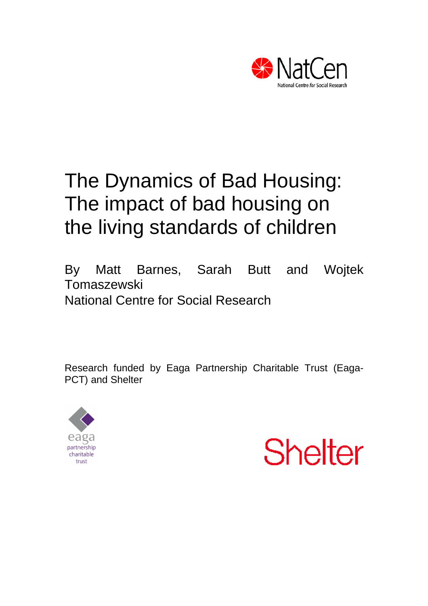

# The Dynamics of Bad Housing: The impact of bad housing on the living standards of children

By Matt Barnes, Sarah Butt and Wojtek **Tomaszewski** National Centre for Social Research

Research funded by Eaga Partnership Charitable Trust (Eaga-PCT) and Shelter



**Shelter**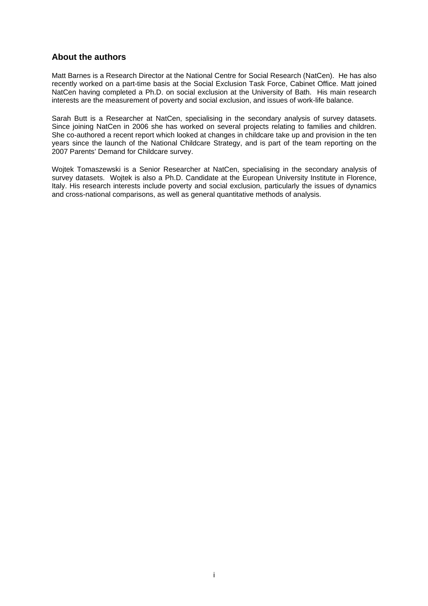## **About the authors**

Matt Barnes is a Research Director at the National Centre for Social Research (NatCen). He has also recently worked on a part-time basis at the Social Exclusion Task Force, Cabinet Office. Matt joined NatCen having completed a Ph.D. on social exclusion at the University of Bath. His main research interests are the measurement of poverty and social exclusion, and issues of work-life balance.

Sarah Butt is a Researcher at NatCen, specialising in the secondary analysis of survey datasets. Since joining NatCen in 2006 she has worked on several projects relating to families and children. She co-authored a recent report which looked at changes in childcare take up and provision in the ten years since the launch of the National Childcare Strategy, and is part of the team reporting on the 2007 Parents' Demand for Childcare survey.

Wojtek Tomaszewski is a Senior Researcher at NatCen, specialising in the secondary analysis of survey datasets. Wojtek is also a Ph.D. Candidate at the European University Institute in Florence, Italy. His research interests include poverty and social exclusion, particularly the issues of dynamics and cross-national comparisons, as well as general quantitative methods of analysis.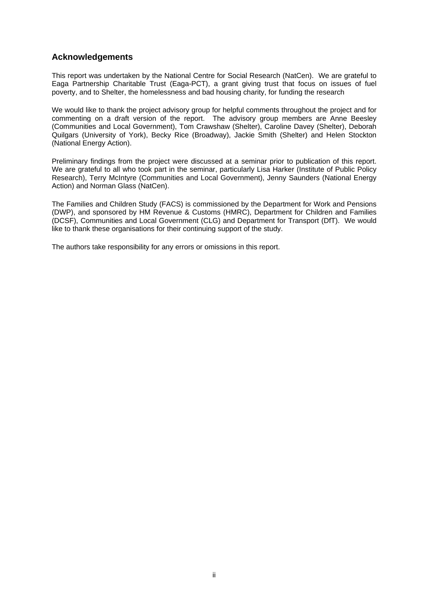# **Acknowledgements**

This report was undertaken by the National Centre for Social Research (NatCen). We are grateful to Eaga Partnership Charitable Trust (Eaga-PCT), a grant giving trust that focus on issues of fuel poverty, and to Shelter, the homelessness and bad housing charity, for funding the research

We would like to thank the project advisory group for helpful comments throughout the project and for commenting on a draft version of the report. The advisory group members are Anne Beesley (Communities and Local Government), Tom Crawshaw (Shelter), Caroline Davey (Shelter), Deborah Quilgars (University of York), Becky Rice (Broadway), Jackie Smith (Shelter) and Helen Stockton (National Energy Action).

Preliminary findings from the project were discussed at a seminar prior to publication of this report. We are grateful to all who took part in the seminar, particularly Lisa Harker (Institute of Public Policy Research), Terry McIntyre (Communities and Local Government), Jenny Saunders (National Energy Action) and Norman Glass (NatCen).

The Families and Children Study (FACS) is commissioned by the Department for Work and Pensions (DWP), and sponsored by HM Revenue & Customs (HMRC), Department for Children and Families (DCSF), Communities and Local Government (CLG) and Department for Transport (DfT). We would like to thank these organisations for their continuing support of the study.

The authors take responsibility for any errors or omissions in this report.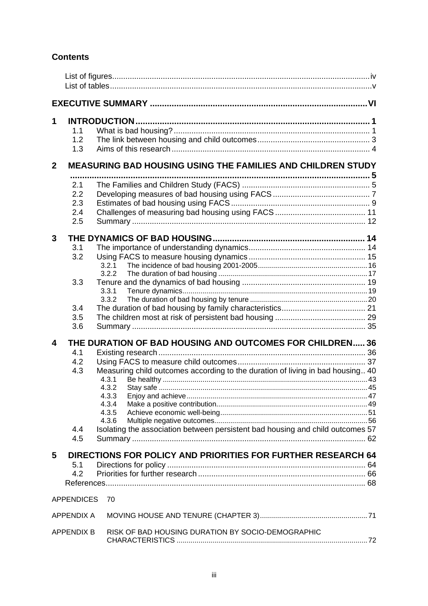# **Contents**

| 1            | 1.1<br>1.2<br>1.3               |                                                                                                                                      |  |
|--------------|---------------------------------|--------------------------------------------------------------------------------------------------------------------------------------|--|
| $\mathbf{2}$ |                                 | <b>MEASURING BAD HOUSING USING THE FAMILIES AND CHILDREN STUDY</b>                                                                   |  |
|              | 2.1<br>2.2<br>2.3<br>2.4<br>2.5 |                                                                                                                                      |  |
| 3            |                                 |                                                                                                                                      |  |
|              | 3.1<br>3.2                      | 3.2.1<br>3.2.2                                                                                                                       |  |
|              | 3.3                             | 3.3.1<br>3.3.2                                                                                                                       |  |
|              | 3.4<br>3.5<br>3.6               |                                                                                                                                      |  |
| 4            |                                 | THE DURATION OF BAD HOUSING AND OUTCOMES FOR CHILDREN 36                                                                             |  |
|              | 4.1<br>4.2<br>4.3               | Measuring child outcomes according to the duration of living in bad housing 40<br>4.3.1<br>4.3.2<br>4.3.3<br>4.3.4<br>4.3.5<br>4.3.6 |  |
|              | 4.4<br>4.5                      | Isolating the association between persistent bad housing and child outcomes 57                                                       |  |
| 5            | 5.1<br>4.2                      | DIRECTIONS FOR POLICY AND PRIORITIES FOR FURTHER RESEARCH 64                                                                         |  |
|              | <b>APPENDICES</b>               | 70                                                                                                                                   |  |
|              | <b>APPENDIX A</b>               |                                                                                                                                      |  |
|              | <b>APPENDIX B</b>               | RISK OF BAD HOUSING DURATION BY SOCIO-DEMOGRAPHIC                                                                                    |  |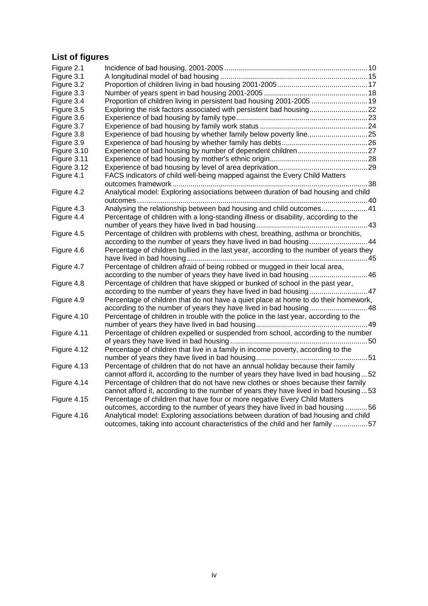# <span id="page-4-0"></span>**List of figures**

| Figure 2.1  |                                                                                        |  |
|-------------|----------------------------------------------------------------------------------------|--|
| Figure 3.1  |                                                                                        |  |
| Figure 3.2  |                                                                                        |  |
| Figure 3.3  |                                                                                        |  |
| Figure 3.4  | Proportion of children living in persistent bad housing 2001-2005  19                  |  |
| Figure 3.5  | Exploring the risk factors associated with persistent bad housing22                    |  |
| Figure 3.6  |                                                                                        |  |
| Figure 3.7  |                                                                                        |  |
| Figure 3.8  | Experience of bad housing by whether family below poverty line25                       |  |
| Figure 3.9  |                                                                                        |  |
| Figure 3.10 |                                                                                        |  |
| Figure 3.11 |                                                                                        |  |
| Figure 3.12 |                                                                                        |  |
| Figure 4.1  | FACS indicators of child well-being mapped against the Every Child Matters             |  |
|             |                                                                                        |  |
| Figure 4.2  | Analytical model: Exploring associations between duration of bad housing and child     |  |
|             |                                                                                        |  |
| Figure 4.3  | Analysing the relationship between bad housing and child outcomes41                    |  |
| Figure 4.4  | Percentage of children with a long-standing illness or disability, according to the    |  |
|             |                                                                                        |  |
| Figure 4.5  | Percentage of children with problems with chest, breathing, asthma or bronchitis,      |  |
|             | according to the number of years they have lived in bad housing44                      |  |
| Figure 4.6  | Percentage of children bullied in the last year, according to the number of years they |  |
|             |                                                                                        |  |
| Figure 4.7  | Percentage of children afraid of being robbed or mugged in their local area,           |  |
|             | according to the number of years they have lived in bad housing 46                     |  |
| Figure 4.8  | Percentage of children that have skipped or bunked of school in the past year,         |  |
|             |                                                                                        |  |
| Figure 4.9  | Percentage of children that do not have a quiet place at home to do their homework,    |  |
|             | according to the number of years they have lived in bad housing 48                     |  |
| Figure 4.10 | Percentage of children in trouble with the police in the last year, according to the   |  |
|             |                                                                                        |  |
| Figure 4.11 | Percentage of children expelled or suspended from school, according to the number      |  |
|             |                                                                                        |  |
| Figure 4.12 | Percentage of children that live in a family in income poverty, according to the       |  |
|             |                                                                                        |  |
| Figure 4.13 | Percentage of children that do not have an annual holiday because their family         |  |
|             | cannot afford it, according to the number of years they have lived in bad housing52    |  |
| Figure 4.14 | Percentage of children that do not have new clothes or shoes because their family      |  |
|             | cannot afford it, according to the number of years they have lived in bad housing53    |  |
| Figure 4.15 | Percentage of children that have four or more negative Every Child Matters             |  |
|             | outcomes, according to the number of years they have lived in bad housing 56           |  |
| Figure 4.16 | Analytical model: Exploring associations between duration of bad housing and child     |  |
|             | outcomes, taking into account characteristics of the child and her family 57           |  |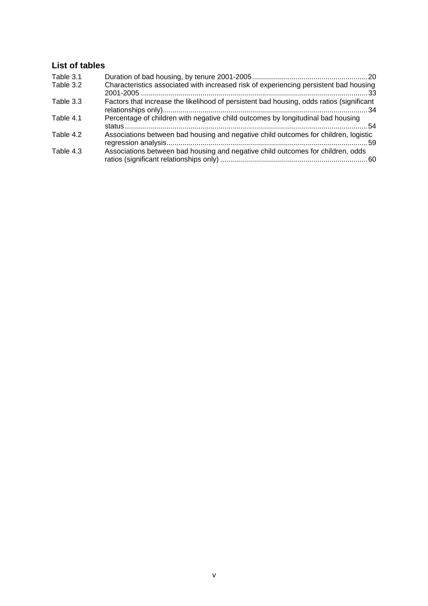# <span id="page-5-0"></span>**List of tables**

| Table 3.1 |                                                                                          |
|-----------|------------------------------------------------------------------------------------------|
| Table 3.2 | Characteristics associated with increased risk of experiencing persistent bad housing    |
| Table 3.3 | Factors that increase the likelihood of persistent bad housing, odds ratios (significant |
| Table 4.1 | Percentage of children with negative child outcomes by longitudinal bad housing          |
| Table 4.2 | Associations between bad housing and negative child outcomes for children, logistic      |
| Table 4.3 | Associations between bad housing and negative child outcomes for children, odds          |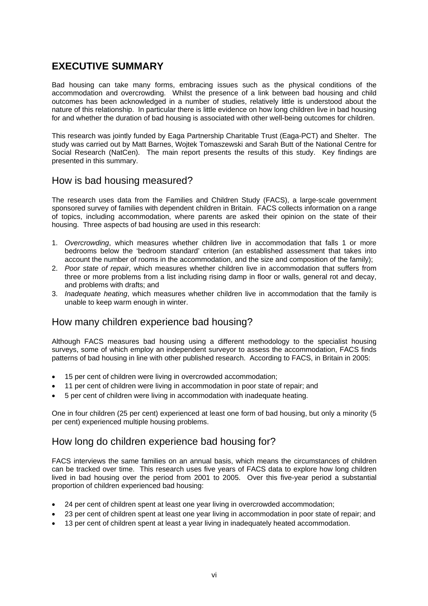# <span id="page-6-0"></span>**EXECUTIVE SUMMARY**

Bad housing can take many forms, embracing issues such as the physical conditions of the accommodation and overcrowding. Whilst the presence of a link between bad housing and child outcomes has been acknowledged in a number of studies, relatively little is understood about the nature of this relationship. In particular there is little evidence on how long children live in bad housing for and whether the duration of bad housing is associated with other well-being outcomes for children.

This research was jointly funded by Eaga Partnership Charitable Trust (Eaga-PCT) and Shelter. The study was carried out by Matt Barnes, Wojtek Tomaszewski and Sarah Butt of the National Centre for Social Research (NatCen). The main report presents the results of this study. Key findings are presented in this summary.

# How is bad housing measured?

The research uses data from the Families and Children Study (FACS), a large-scale government sponsored survey of families with dependent children in Britain. FACS collects information on a range of topics, including accommodation, where parents are asked their opinion on the state of their housing. Three aspects of bad housing are used in this research:

- 1. *Overcrowding*, which measures whether children live in accommodation that falls 1 or more bedrooms below the 'bedroom standard' criterion (an established assessment that takes into account the number of rooms in the accommodation, and the size and composition of the family);
- 2. *Poor state of repair*, which measures whether children live in accommodation that suffers from three or more problems from a list including rising damp in floor or walls, general rot and decay, and problems with drafts; and
- 3. *Inadequate heating*, which measures whether children live in accommodation that the family is unable to keep warm enough in winter.

# How many children experience bad housing?

Although FACS measures bad housing using a different methodology to the specialist housing surveys, some of which employ an independent surveyor to assess the accommodation, FACS finds patterns of bad housing in line with other published research. According to FACS, in Britain in 2005:

- 15 per cent of children were living in overcrowded accommodation;
- 11 per cent of children were living in accommodation in poor state of repair; and
- 5 per cent of children were living in accommodation with inadequate heating.

One in four children (25 per cent) experienced at least one form of bad housing, but only a minority (5 per cent) experienced multiple housing problems.

# How long do children experience bad housing for?

FACS interviews the same families on an annual basis, which means the circumstances of children can be tracked over time. This research uses five years of FACS data to explore how long children lived in bad housing over the period from 2001 to 2005. Over this five-year period a substantial proportion of children experienced bad housing:

- 24 per cent of children spent at least one year living in overcrowded accommodation;
- 23 per cent of children spent at least one year living in accommodation in poor state of repair; and
- 13 per cent of children spent at least a year living in inadequately heated accommodation.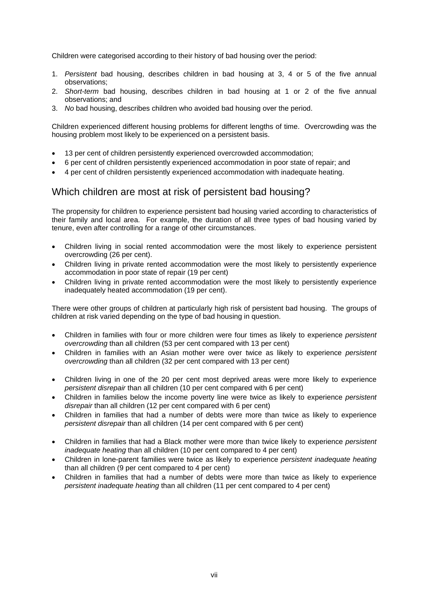Children were categorised according to their history of bad housing over the period:

- 1. *Persistent* bad housing, describes children in bad housing at 3, 4 or 5 of the five annual observations;
- 2. *Short-term* bad housing, describes children in bad housing at 1 or 2 of the five annual observations; and
- 3. *No* bad housing, describes children who avoided bad housing over the period.

Children experienced different housing problems for different lengths of time. Overcrowding was the housing problem most likely to be experienced on a persistent basis.

- 13 per cent of children persistently experienced overcrowded accommodation;
- 6 per cent of children persistently experienced accommodation in poor state of repair; and
- 4 per cent of children persistently experienced accommodation with inadequate heating.

# Which children are most at risk of persistent bad housing?

The propensity for children to experience persistent bad housing varied according to characteristics of their family and local area. For example, the duration of all three types of bad housing varied by tenure, even after controlling for a range of other circumstances.

- Children living in social rented accommodation were the most likely to experience persistent overcrowding (26 per cent).
- Children living in private rented accommodation were the most likely to persistently experience accommodation in poor state of repair (19 per cent)
- Children living in private rented accommodation were the most likely to persistently experience inadequately heated accommodation (19 per cent).

There were other groups of children at particularly high risk of persistent bad housing. The groups of children at risk varied depending on the type of bad housing in question.

- Children in families with four or more children were four times as likely to experience *persistent overcrowding* than all children (53 per cent compared with 13 per cent)
- Children in families with an Asian mother were over twice as likely to experience *persistent overcrowding* than all children (32 per cent compared with 13 per cent)
- Children living in one of the 20 per cent most deprived areas were more likely to experience *persistent disrepair* than all children (10 per cent compared with 6 per cent)
- Children in families below the income poverty line were twice as likely to experience *persistent disrepair* than all children (12 per cent compared with 6 per cent)
- Children in families that had a number of debts were more than twice as likely to experience *persistent disrepair* than all children (14 per cent compared with 6 per cent)
- Children in families that had a Black mother were more than twice likely to experience *persistent inadequate heating* than all children (10 per cent compared to 4 per cent)
- Children in lone-parent families were twice as likely to experience *persistent inadequate heating* than all children (9 per cent compared to 4 per cent)
- Children in families that had a number of debts were more than twice as likely to experience *persistent inadequate heating* than all children (11 per cent compared to 4 per cent)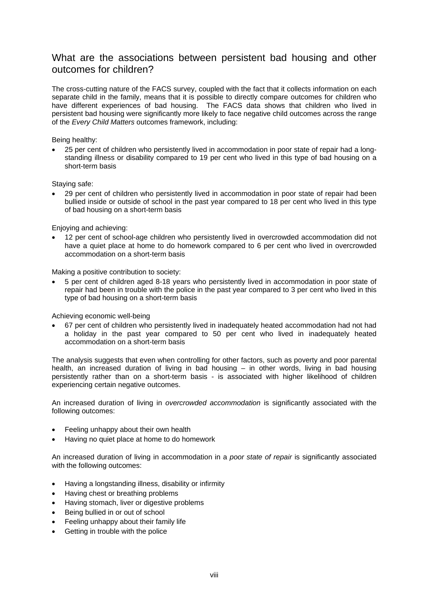# What are the associations between persistent bad housing and other outcomes for children?

The cross-cutting nature of the FACS survey, coupled with the fact that it collects information on each separate child in the family, means that it is possible to directly compare outcomes for children who have different experiences of bad housing. The FACS data shows that children who lived in persistent bad housing were significantly more likely to face negative child outcomes across the range of the *Every Child Matters* outcomes framework, including:

#### Being healthy:

• 25 per cent of children who persistently lived in accommodation in poor state of repair had a longstanding illness or disability compared to 19 per cent who lived in this type of bad housing on a short-term basis

#### Staying safe:

• 29 per cent of children who persistently lived in accommodation in poor state of repair had been bullied inside or outside of school in the past year compared to 18 per cent who lived in this type of bad housing on a short-term basis

#### Enjoying and achieving:

• 12 per cent of school-age children who persistently lived in overcrowded accommodation did not have a quiet place at home to do homework compared to 6 per cent who lived in overcrowded accommodation on a short-term basis

Making a positive contribution to society:

• 5 per cent of children aged 8-18 years who persistently lived in accommodation in poor state of repair had been in trouble with the police in the past year compared to 3 per cent who lived in this type of bad housing on a short-term basis

Achieving economic well-being

• 67 per cent of children who persistently lived in inadequately heated accommodation had not had a holiday in the past year compared to 50 per cent who lived in inadequately heated accommodation on a short-term basis

The analysis suggests that even when controlling for other factors, such as poverty and poor parental health, an increased duration of living in bad housing - in other words, living in bad housing persistently rather than on a short-term basis - is associated with higher likelihood of children experiencing certain negative outcomes.

An increased duration of living in *overcrowded accommodation* is significantly associated with the following outcomes:

- Feeling unhappy about their own health
- Having no quiet place at home to do homework

An increased duration of living in accommodation in a *poor state of repair* is significantly associated with the following outcomes:

- Having a longstanding illness, disability or infirmity
- Having chest or breathing problems
- Having stomach, liver or digestive problems
- Being bullied in or out of school
- Feeling unhappy about their family life
- Getting in trouble with the police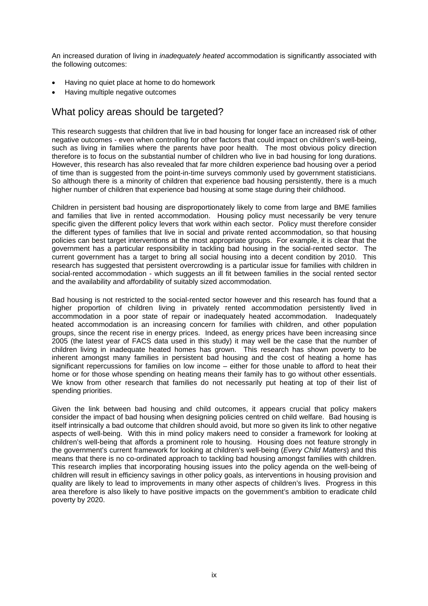An increased duration of living in *inadequately heated* accommodation is significantly associated with the following outcomes:

- Having no quiet place at home to do homework
- Having multiple negative outcomes

# What policy areas should be targeted?

This research suggests that children that live in bad housing for longer face an increased risk of other negative outcomes - even when controlling for other factors that could impact on children's well-being, such as living in families where the parents have poor health. The most obvious policy direction therefore is to focus on the substantial number of children who live in bad housing for long durations. However, this research has also revealed that far more children experience bad housing over a period of time than is suggested from the point-in-time surveys commonly used by government statisticians. So although there is a minority of children that experience bad housing persistently, there is a much higher number of children that experience bad housing at some stage during their childhood.

Children in persistent bad housing are disproportionately likely to come from large and BME families and families that live in rented accommodation. Housing policy must necessarily be very tenure specific given the different policy levers that work within each sector. Policy must therefore consider the different types of families that live in social and private rented accommodation, so that housing policies can best target interventions at the most appropriate groups. For example, it is clear that the government has a particular responsibility in tackling bad housing in the social-rented sector. The current government has a target to bring all social housing into a decent condition by 2010. This research has suggested that persistent overcrowding is a particular issue for families with children in social-rented accommodation - which suggests an ill fit between families in the social rented sector and the availability and affordability of suitably sized accommodation.

Bad housing is not restricted to the social-rented sector however and this research has found that a higher proportion of children living in privately rented accommodation persistently lived in accommodation in a poor state of repair or inadequately heated accommodation. Inadequately heated accommodation is an increasing concern for families with children, and other population groups, since the recent rise in energy prices. Indeed, as energy prices have been increasing since 2005 (the latest year of FACS data used in this study) it may well be the case that the number of children living in inadequate heated homes has grown. This research has shown poverty to be inherent amongst many families in persistent bad housing and the cost of heating a home has significant repercussions for families on low income – either for those unable to afford to heat their home or for those whose spending on heating means their family has to go without other essentials. We know from other research that families do not necessarily put heating at top of their list of spending priorities.

Given the link between bad housing and child outcomes, it appears crucial that policy makers consider the impact of bad housing when designing policies centred on child welfare. Bad housing is itself intrinsically a bad outcome that children should avoid, but more so given its link to other negative aspects of well-being. With this in mind policy makers need to consider a framework for looking at children's well-being that affords a prominent role to housing. Housing does not feature strongly in the government's current framework for looking at children's well-being (*Every Child Matters*) and this means that there is no co-ordinated approach to tackling bad housing amongst families with children. This research implies that incorporating housing issues into the policy agenda on the well-being of children will result in efficiency savings in other policy goals, as interventions in housing provision and quality are likely to lead to improvements in many other aspects of children's lives. Progress in this area therefore is also likely to have positive impacts on the government's ambition to eradicate child poverty by 2020.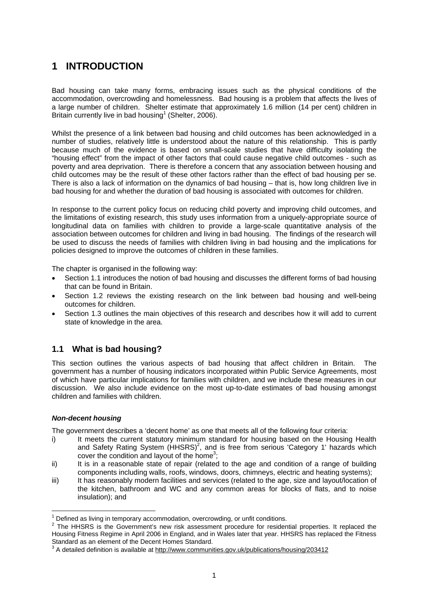# <span id="page-10-0"></span>**1 INTRODUCTION**

Bad housing can take many forms, embracing issues such as the physical conditions of the accommodation, overcrowding and homelessness. Bad housing is a problem that affects the lives of a large number of children. Shelter estimate that approximately 1.6 million (14 per cent) children in Britain currently live in bad housing<sup>1</sup> (Shelter, 2006).

Whilst the presence of a link between bad housing and child outcomes has been acknowledged in a number of studies, relatively little is understood about the nature of this relationship. This is partly because much of the evidence is based on small-scale studies that have difficulty isolating the "housing effect" from the impact of other factors that could cause negative child outcomes - such as poverty and area deprivation. There is therefore a concern that any association between housing and child outcomes may be the result of these other factors rather than the effect of bad housing per se. There is also a lack of information on the dynamics of bad housing – that is, how long children live in bad housing for and whether the duration of bad housing is associated with outcomes for children.

In response to the current policy focus on reducing child poverty and improving child outcomes, and the limitations of existing research, this study uses information from a uniquely-appropriate source of longitudinal data on families with children to provide a large-scale quantitative analysis of the association between outcomes for children and living in bad housing. The findings of the research will be used to discuss the needs of families with children living in bad housing and the implications for policies designed to improve the outcomes of children in these families.

The chapter is organised in the following way:

- Section 1.1 introduces the notion of bad housing and discusses the different forms of bad housing that can be found in Britain.
- Section 1.2 reviews the existing research on the link between bad housing and well-being outcomes for children.
- Section 1.3 outlines the main objectives of this research and describes how it will add to current state of knowledge in the area.

# **1.1 What is bad housing?**

This section outlines the various aspects of bad housing that affect children in Britain. The government has a number of housing indicators incorporated within Public Service Agreements, most of which have particular implications for families with children, and we include these measures in our discussion. We also include evidence on the most up-to-date estimates of bad housing amongst children and families with children.

#### *Non-decent housing*

The government describes a 'decent home' as one that meets all of the following four criteria:

- i) It meets the current statutory minimum standard for housing based on the Housing Health and Safety Rating System  $(HHSS)^2$ , and is free from serious 'Category 1' hazards which cover the condition and layout of the home<sup>[3](#page-10-3)</sup>;
- ii) It is in a reasonable state of repair (related to the age and condition of a range of building components including walls, roofs, windows, doors, chimneys, electric and heating systems);
- iii) It has reasonably modern facilities and services (related to the age, size and layout/location of the kitchen, bathroom and WC and any common areas for blocks of flats, and to noise insulation); and

<span id="page-10-1"></span> $1$  Defined as living in temporary accommodation, overcrowding, or unfit conditions.

<span id="page-10-2"></span> $2$  The HHSRS is the Government's new risk assessment procedure for residential properties. It replaced the Housing Fitness Regime in April 2006 in England, and in Wales later that year. HHSRS has replaced the Fitness Standard as an element of the Decent Homes Standard.<br><sup>3</sup> A detailed definition is available at <u><http://www.communities.gov.uk/publications/housing/203412></u>

<span id="page-10-3"></span>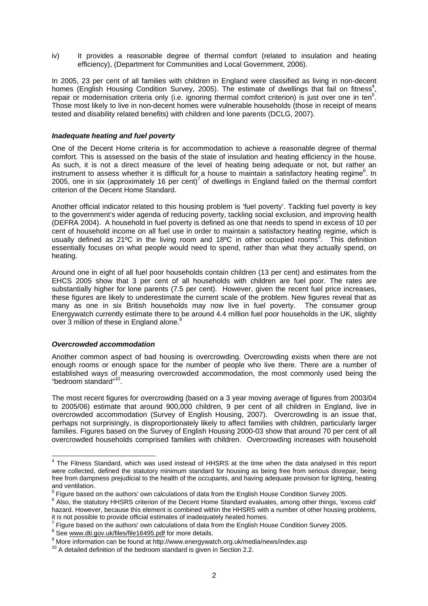iv) It provides a reasonable degree of thermal comfort (related to insulation and heating efficiency), (Department for Communities and Local Government, 2006).

In 2005, 23 per cent of all families with children in England were classified as living in non-decent homes (English Housing Condition Survey, 2005). The estimate of dwellings that fail on fitness<sup>[4](#page-11-0)</sup>, repair or modernisation criteria only (i.e. ignoring thermal comfort criterion) is just over one in ten<sup>[5](#page-11-1)</sup>. Those most likely to live in non-decent homes were vulnerable households (those in receipt of means tested and disability related benefits) with children and lone parents (DCLG, 2007).

#### *Inadequate heating and fuel poverty*

One of the Decent Home criteria is for accommodation to achieve a reasonable degree of thermal comfort. This is assessed on the basis of the state of insulation and heating efficiency in the house. As such, it is not a direct measure of the level of heating being adequate or not, but rather an instrument to assess whether it is difficult for a house to maintain a satisfactory heating regime<sup>6</sup>[.](#page-11-2) In 2005, one in six (approximately 16 per cent)<sup>[7](#page-11-3)</sup> of dwellings in England failed on the thermal comfort criterion of the Decent Home Standard.

Another official indicator related to this housing problem is 'fuel poverty'. Tackling fuel poverty is key to the government's wider agenda of reducing poverty, tackling social exclusion, and improving health (DEFRA 2004). A household in fuel poverty is defined as one that needs to spend in excess of 10 per cent of household income on all fuel use in order to maintain a satisfactory heating regime, which is usually defined as 21°C in the living room and 1[8](#page-11-4)°C in other occupied rooms<sup>8</sup>. This definition essentially focuses on what people would need to spend, rather than what they actually spend, on heating.

Around one in eight of all fuel poor households contain children (13 per cent) and estimates from the EHCS 2005 show that 3 per cent of all households with children are fuel poor. The rates are substantially higher for lone parents (7.5 per cent). However, given the recent fuel price increases, these figures are likely to underestimate the current scale of the problem. New figures reveal that as many as one in six British households may now live in fuel poverty. The consumer group Energywatch currently estimate there to be around 4.4 million fuel poor households in the UK, slightly over 3 million of these in England alone.<sup>[9](#page-11-5)</sup>

#### *Overcrowded accommodation*

Another common aspect of bad housing is overcrowding. Overcrowding exists when there are not enough rooms or enough space for the number of people who live there. There are a number of established ways of measuring overcrowded accommodation, the most commonly used being the "bedroom standard"[10.](#page-11-6)

The most recent figures for overcrowding (based on a 3 year moving average of figures from 2003/04 to 2005/06) estimate that around 900,000 children, 9 per cent of all children in England, live in overcrowded accommodation (Survey of English Housing, 2007). Overcrowding is an issue that, perhaps not surprisingly, is disproportionately likely to affect families with children, particularly larger families. Figures based on the Survey of English Housing 2000-03 show that around 70 per cent of all overcrowded households comprised families with children. Overcrowding increases with household

<span id="page-11-0"></span>The Fitness Standard, which was used instead of HHSRS at the time when the data analysed in this report<br>The Fitness Standard, which was used instead of HHSRS at the time when the data analysed in this report were collected, defined the statutory minimum standard for housing as being free from serious disrepair, being free from dampness prejudicial to the health of the occupants, and having adequate provision for lighting, heating and ventilation.

<span id="page-11-1"></span> $^5$  Figure based on the authors' own calculations of data from the English House Condition Survey 2005.

<span id="page-11-2"></span><sup>&</sup>lt;sup>6</sup> Also, the statutory HHSRS criterion of the Decent Home Standard evaluates, among other things, 'excess cold' hazard. However, because this element is combined within the HHSRS with a number of other housing problems, it is not possible to provide official estimates of inadequately heated homes. 7

<span id="page-11-3"></span> $7$  Figure based on the authors' own calculations of data from the English House Condition Survey 2005.

<span id="page-11-4"></span> $8$  See [www.dti.gov.uk/files/file16495.pdf](http://www.dti.gov.uk/files/file16495.pdf) for more details.

<span id="page-11-5"></span> $\frac{9}{10}$  More information can be found at http://www.energywatch.org.uk/media/news/index.asp  $10$  A detailed definition of the bedroom standard is given in Section 2.2.

<span id="page-11-6"></span>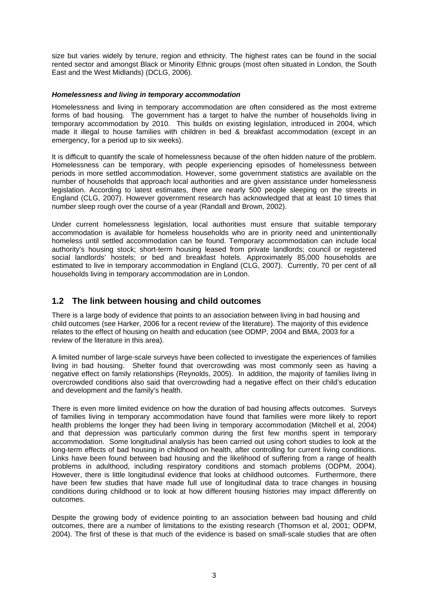<span id="page-12-0"></span>size but varies widely by tenure, region and ethnicity. The highest rates can be found in the social rented sector and amongst Black or Minority Ethnic groups (most often situated in London, the South East and the West Midlands) (DCLG, 2006).

#### *Homelessness and living in temporary accommodation*

Homelessness and living in temporary accommodation are often considered as the most extreme forms of bad housing. The government has a target to halve the number of households living in temporary accommodation by 2010. This builds on existing legislation, introduced in 2004, which made it illegal to house families with children in bed & breakfast accommodation (except in an emergency, for a period up to six weeks).

It is difficult to quantify the scale of homelessness because of the often hidden nature of the problem. Homelessness can be temporary, with people experiencing episodes of homelessness between periods in more settled accommodation. However, some government statistics are available on the number of households that approach local authorities and are given assistance under homelessness legislation. According to latest estimates, there are nearly 500 people sleeping on the streets in England (CLG, 2007). However government research has acknowledged that at least 10 times that number sleep rough over the course of a year (Randall and Brown, 2002).

Under current homelessness legislation, local authorities must ensure that suitable temporary accommodation is available for homeless households who are in priority need and unintentionally homeless until settled accommodation can be found. Temporary accommodation can include local authority's housing stock; short-term housing leased from private landlords; council or registered social landlords' hostels; or bed and breakfast hotels. Approximately 85,000 households are estimated to live in temporary accommodation in England (CLG, 2007). Currently, 70 per cent of all households living in temporary accommodation are in London.

## **1.2 The link between housing and child outcomes**

There is a large body of evidence that points to an association between living in bad housing and child outcomes (see Harker, 2006 for a recent review of the literature). The majority of this evidence relates to the effect of housing on health and education (see ODMP, 2004 and BMA, 2003 for a review of the literature in this area).

A limited number of large-scale surveys have been collected to investigate the experiences of families living in bad housing. Shelter found that overcrowding was most commonly seen as having a negative effect on family relationships (Reynolds, 2005). In addition, the majority of families living in overcrowded conditions also said that overcrowding had a negative effect on their child's education and development and the family's health.

There is even more limited evidence on how the duration of bad housing affects outcomes. Surveys of families living in temporary accommodation have found that families were more likely to report health problems the longer they had been living in temporary accommodation (Mitchell et al, 2004) and that depression was particularly common during the first few months spent in temporary accommodation. Some longitudinal analysis has been carried out using cohort studies to look at the long-term effects of bad housing in childhood on health, after controlling for current living conditions. Links have been found between bad housing and the likelihood of suffering from a range of health problems in adulthood, including respiratory conditions and stomach problems (ODPM, 2004). However, there is little longitudinal evidence that looks at childhood outcomes. Furthermore, there have been few studies that have made full use of longitudinal data to trace changes in housing conditions during childhood or to look at how different housing histories may impact differently on outcomes.

Despite the growing body of evidence pointing to an association between bad housing and child outcomes, there are a number of limitations to the existing research (Thomson et al, 2001; ODPM, 2004). The first of these is that much of the evidence is based on small-scale studies that are often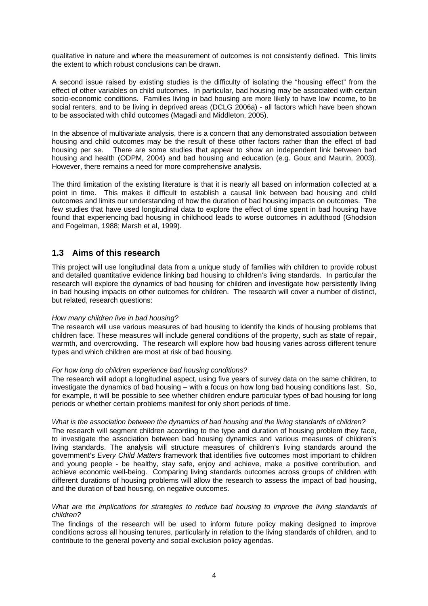<span id="page-13-0"></span>qualitative in nature and where the measurement of outcomes is not consistently defined. This limits the extent to which robust conclusions can be drawn.

A second issue raised by existing studies is the difficulty of isolating the "housing effect" from the effect of other variables on child outcomes. In particular, bad housing may be associated with certain socio-economic conditions. Families living in bad housing are more likely to have low income, to be social renters, and to be living in deprived areas (DCLG 2006a) - all factors which have been shown to be associated with child outcomes (Magadi and Middleton, 2005).

In the absence of multivariate analysis, there is a concern that any demonstrated association between housing and child outcomes may be the result of these other factors rather than the effect of bad housing per se. There are some studies that appear to show an independent link between bad housing and health (ODPM, 2004) and bad housing and education (e.g. Goux and Maurin, 2003). However, there remains a need for more comprehensive analysis.

The third limitation of the existing literature is that it is nearly all based on information collected at a point in time. This makes it difficult to establish a causal link between bad housing and child outcomes and limits our understanding of how the duration of bad housing impacts on outcomes. The few studies that have used longitudinal data to explore the effect of time spent in bad housing have found that experiencing bad housing in childhood leads to worse outcomes in adulthood (Ghodsion and Fogelman, 1988; Marsh et al, 1999).

## **1.3 Aims of this research**

This project will use longitudinal data from a unique study of families with children to provide robust and detailed quantitative evidence linking bad housing to children's living standards. In particular the research will explore the dynamics of bad housing for children and investigate how persistently living in bad housing impacts on other outcomes for children. The research will cover a number of distinct, but related, research questions:

#### *How many children live in bad housing?*

The research will use various measures of bad housing to identify the kinds of housing problems that children face. These measures will include general conditions of the property, such as state of repair, warmth, and overcrowding. The research will explore how bad housing varies across different tenure types and which children are most at risk of bad housing.

#### *For how long do children experience bad housing conditions?*

The research will adopt a longitudinal aspect, using five years of survey data on the same children, to investigate the dynamics of bad housing – with a focus on how long bad housing conditions last. So, for example, it will be possible to see whether children endure particular types of bad housing for long periods or whether certain problems manifest for only short periods of time.

#### *What is the association between the dynamics of bad housing and the living standards of children?*

The research will segment children according to the type and duration of housing problem they face, to investigate the association between bad housing dynamics and various measures of children's living standards. The analysis will structure measures of children's living standards around the government's *Every Child Matters* framework that identifies five outcomes most important to children and young people - be healthy, stay safe, enjoy and achieve, make a positive contribution, and achieve economic well-being. Comparing living standards outcomes across groups of children with different durations of housing problems will allow the research to assess the impact of bad housing, and the duration of bad housing, on negative outcomes.

#### *What are the implications for strategies to reduce bad housing to improve the living standards of children?*

The findings of the research will be used to inform future policy making designed to improve conditions across all housing tenures, particularly in relation to the living standards of children, and to contribute to the general poverty and social exclusion policy agendas.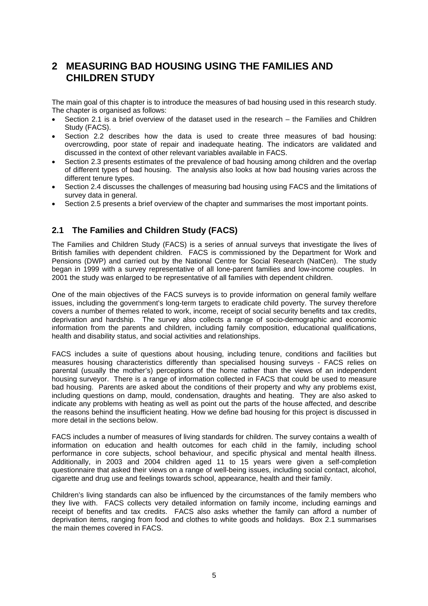# <span id="page-14-0"></span>**2 MEASURING BAD HOUSING USING THE FAMILIES AND CHILDREN STUDY**

The main goal of this chapter is to introduce the measures of bad housing used in this research study. The chapter is organised as follows:

- Section 2.1 is a brief overview of the dataset used in the research the Families and Children Study (FACS).
- Section 2.2 describes how the data is used to create three measures of bad housing: overcrowding, poor state of repair and inadequate heating. The indicators are validated and discussed in the context of other relevant variables available in FACS.
- Section 2.3 presents estimates of the prevalence of bad housing among children and the overlap of different types of bad housing. The analysis also looks at how bad housing varies across the different tenure types.
- Section 2.4 discusses the challenges of measuring bad housing using FACS and the limitations of survey data in general.
- Section 2.5 presents a brief overview of the chapter and summarises the most important points.

# **2.1 The Families and Children Study (FACS)**

The Families and Children Study (FACS) is a series of annual surveys that investigate the lives of British families with dependent children. FACS is commissioned by the Department for Work and Pensions (DWP) and carried out by the National Centre for Social Research (NatCen). The study began in 1999 with a survey representative of all lone-parent families and low-income couples. In 2001 the study was enlarged to be representative of all families with dependent children.

One of the main objectives of the FACS surveys is to provide information on general family welfare issues, including the government's long-term targets to eradicate child poverty. The survey therefore covers a number of themes related to work, income, receipt of social security benefits and tax credits, deprivation and hardship. The survey also collects a range of socio-demographic and economic information from the parents and children, including family composition, educational qualifications, health and disability status, and social activities and relationships.

FACS includes a suite of questions about housing, including tenure, conditions and facilities but measures housing characteristics differently than specialised housing surveys - FACS relies on parental (usually the mother's) perceptions of the home rather than the views of an independent housing surveyor. There is a range of information collected in FACS that could be used to measure bad housing. Parents are asked about the conditions of their property and why any problems exist, including questions on damp, mould, condensation, draughts and heating. They are also asked to indicate any problems with heating as well as point out the parts of the house affected, and describe the reasons behind the insufficient heating. How we define bad housing for this project is discussed in more detail in the sections below.

FACS includes a number of measures of living standards for children. The survey contains a wealth of information on education and health outcomes for each child in the family, including school performance in core subjects, school behaviour, and specific physical and mental health illness. Additionally, in 2003 and 2004 children aged 11 to 15 years were given a self-completion questionnaire that asked their views on a range of well-being issues, including social contact, alcohol, cigarette and drug use and feelings towards school, appearance, health and their family.

Children's living standards can also be influenced by the circumstances of the family members who they live with. FACS collects very detailed information on family income, including earnings and receipt of benefits and tax credits. FACS also asks whether the family can afford a number of deprivation items, ranging from food and clothes to white goods and holidays. Box 2.1 summarises the main themes covered in FACS.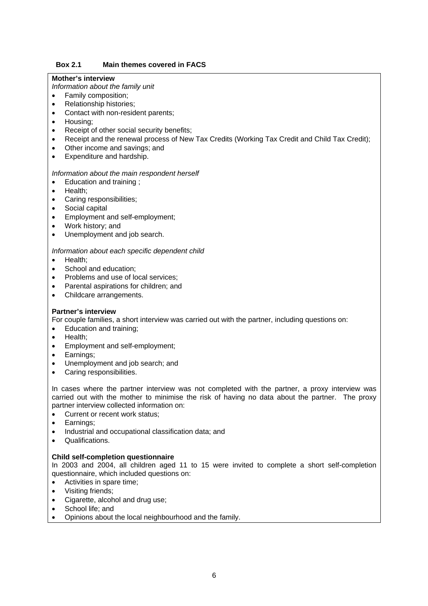#### **Box 2.1 Main themes covered in FACS**

#### **Mother's interview**

*Information about the family unit* 

- Family composition:
- Relationship histories;
- Contact with non-resident parents;
- Housing;
- Receipt of other social security benefits;
- Receipt and the renewal process of New Tax Credits (Working Tax Credit and Child Tax Credit);
- Other income and savings; and
- Expenditure and hardship.

#### *Information about the main respondent herself*

- Education and training ;
- Health;
- Caring responsibilities;
- Social capital
- Employment and self-employment;
- Work history; and
- Unemployment and job search.

#### *Information about each specific dependent child*

- Health;
- School and education;
- Problems and use of local services:
- Parental aspirations for children; and
- Childcare arrangements.

#### **Partner's interview**

For couple families, a short interview was carried out with the partner, including questions on:

- Education and training;
- Health;
- Employment and self-employment;
- Earnings;
- Unemployment and job search; and
- Caring responsibilities.

In cases where the partner interview was not completed with the partner, a proxy interview was carried out with the mother to minimise the risk of having no data about the partner. The proxy partner interview collected information on:

- Current or recent work status;
- Earnings;
- Industrial and occupational classification data; and
- Qualifications.

#### **Child self-completion questionnaire**

In 2003 and 2004, all children aged 11 to 15 were invited to complete a short self-completion questionnaire, which included questions on:

- Activities in spare time;
- Visiting friends;
- Cigarette, alcohol and drug use;
- School life; and
- Opinions about the local neighbourhood and the family.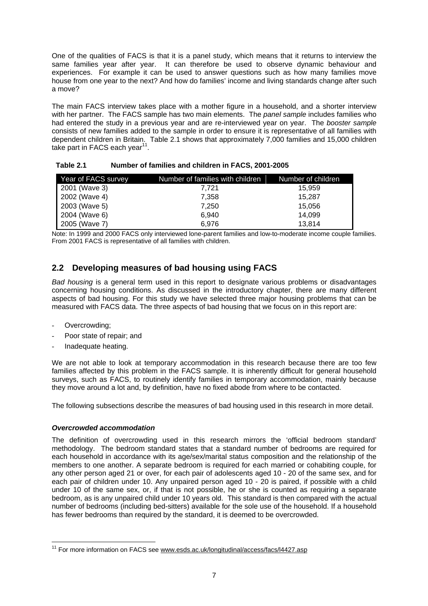<span id="page-16-0"></span>One of the qualities of FACS is that it is a panel study, which means that it returns to interview the same families year after year. It can therefore be used to observe dynamic behaviour and experiences. For example it can be used to answer questions such as how many families move house from one year to the next? And how do families' income and living standards change after such a move?

The main FACS interview takes place with a mother figure in a household, and a shorter interview with her partner. The FACS sample has two main elements. The *panel sample* includes families who had entered the study in a previous year and are re-interviewed year on year. The *booster sample* consists of new families added to the sample in order to ensure it is representative of all families with dependent children in Britain. Table 2.1 shows that approximately 7,000 families and 15,000 children take part in FACS each vear $11$ .

| Year of FACS survey | Number of families with children | Number of children |
|---------------------|----------------------------------|--------------------|
| 2001 (Wave 3)       | 7.721                            | 15.959             |
| 2002 (Wave 4)       | 7,358                            | 15.287             |
| 2003 (Wave 5)       | 7.250                            | 15,056             |
| 2004 (Wave 6)       | 6.940                            | 14,099             |
| 2005 (Wave 7)       | 6.976                            | 13.814             |

**Table 2.1 Number of families and children in FACS, 2001-2005** 

Note: In 1999 and 2000 FACS only interviewed lone-parent families and low-to-moderate income couple families. From 2001 FACS is representative of all families with children.

# **2.2 Developing measures of bad housing using FACS**

*Bad housing* is a general term used in this report to designate various problems or disadvantages concerning housing conditions. As discussed in the introductory chapter, there are many different aspects of bad housing. For this study we have selected three major housing problems that can be measured with FACS data. The three aspects of bad housing that we focus on in this report are:

- Overcrowding;
- Poor state of repair; and
- Inadequate heating.

We are not able to look at temporary accommodation in this research because there are too few families affected by this problem in the FACS sample. It is inherently difficult for general household surveys, such as FACS, to routinely identify families in temporary accommodation, mainly because they move around a lot and, by definition, have no fixed abode from where to be contacted.

The following subsections describe the measures of bad housing used in this research in more detail.

#### *Overcrowded accommodation*

The definition of overcrowding used in this research mirrors the 'official bedroom standard' methodology. The bedroom standard states that a standard number of bedrooms are required for each household in accordance with its age/sex/marital status composition and the relationship of the members to one another. A separate bedroom is required for each married or cohabiting couple, for any other person aged 21 or over, for each pair of adolescents aged 10 - 20 of the same sex, and for each pair of children under 10. Any unpaired person aged 10 - 20 is paired, if possible with a child under 10 of the same sex, or, if that is not possible, he or she is counted as requiring a separate bedroom, as is any unpaired child under 10 years old. This standard is then compared with the actual number of bedrooms (including bed-sitters) available for the sole use of the household. If a household has fewer bedrooms than required by the standard, it is deemed to be overcrowded.

<span id="page-16-1"></span><sup>&</sup>lt;sup>11</sup> For more information on FACS see [www.esds.ac.uk/longitudinal/access/facs/l4427.asp](http://www.esds.ac.uk/longitudinal/access/facs/l4427.asp)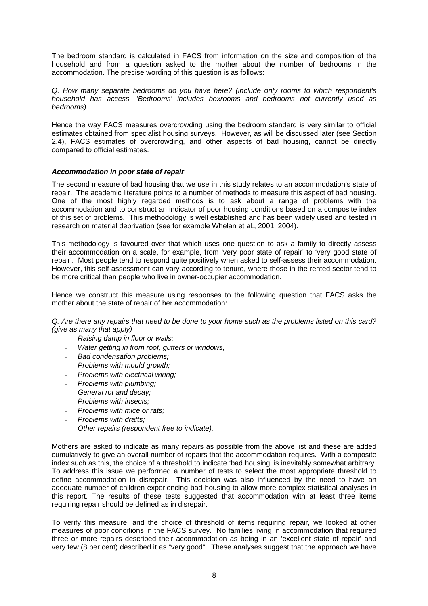The bedroom standard is calculated in FACS from information on the size and composition of the household and from a question asked to the mother about the number of bedrooms in the accommodation. The precise wording of this question is as follows:

*Q. How many separate bedrooms do you have here? (include only rooms to which respondent's household has access. 'Bedrooms' includes boxrooms and bedrooms not currently used as bedrooms)* 

Hence the way FACS measures overcrowding using the bedroom standard is very similar to official estimates obtained from specialist housing surveys. However, as will be discussed later (see Section 2.4), FACS estimates of overcrowding, and other aspects of bad housing, cannot be directly compared to official estimates.

#### *Accommodation in poor state of repair*

The second measure of bad housing that we use in this study relates to an accommodation's state of repair. The academic literature points to a number of methods to measure this aspect of bad housing. One of the most highly regarded methods is to ask about a range of problems with the accommodation and to construct an indicator of poor housing conditions based on a composite index of this set of problems. This methodology is well established and has been widely used and tested in research on material deprivation (see for example Whelan et al., 2001, 2004).

This methodology is favoured over that which uses one question to ask a family to directly assess their accommodation on a scale, for example, from 'very poor state of repair' to 'very good state of repair'. Most people tend to respond quite positively when asked to self-assess their accommodation. However, this self-assessment can vary according to tenure, where those in the rented sector tend to be more critical than people who live in owner-occupier accommodation.

Hence we construct this measure using responses to the following question that FACS asks the mother about the state of repair of her accommodation:

*Q. Are there any repairs that need to be done to your home such as the problems listed on this card? (give as many that apply)* 

- *Raising damp in floor or walls;*
- *Water getting in from roof, gutters or windows;*
- *Bad condensation problems;*
- *Problems with mould growth;*
- *Problems with electrical wiring;*
- *Problems with plumbing;*
- General rot and decay:
- *Problems with insects;*
- *Problems with mice or rats;*
- *Problems with drafts;*
- *Other repairs (respondent free to indicate).*

Mothers are asked to indicate as many repairs as possible from the above list and these are added cumulatively to give an overall number of repairs that the accommodation requires. With a composite index such as this, the choice of a threshold to indicate 'bad housing' is inevitably somewhat arbitrary. To address this issue we performed a number of tests to select the most appropriate threshold to define accommodation in disrepair. This decision was also influenced by the need to have an adequate number of children experiencing bad housing to allow more complex statistical analyses in this report. The results of these tests suggested that accommodation with at least three items requiring repair should be defined as in disrepair.

To verify this measure, and the choice of threshold of items requiring repair, we looked at other measures of poor conditions in the FACS survey. No families living in accommodation that required three or more repairs described their accommodation as being in an 'excellent state of repair' and very few (8 per cent) described it as "very good". These analyses suggest that the approach we have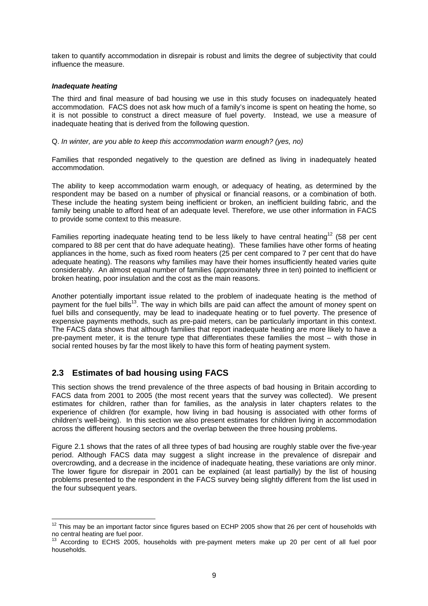<span id="page-18-0"></span>taken to quantify accommodation in disrepair is robust and limits the degree of subjectivity that could influence the measure.

#### *Inadequate heating*

The third and final measure of bad housing we use in this study focuses on inadequately heated accommodation. FACS does not ask how much of a family's income is spent on heating the home, so it is not possible to construct a direct measure of fuel poverty. Instead, we use a measure of inadequate heating that is derived from the following question.

Q. *In winter, are you able to keep this accommodation warm enough? (yes, no)* 

Families that responded negatively to the question are defined as living in inadequately heated accommodation.

The ability to keep accommodation warm enough, or adequacy of heating, as determined by the respondent may be based on a number of physical or financial reasons, or a combination of both. These include the heating system being inefficient or broken, an inefficient building fabric, and the family being unable to afford heat of an adequate level. Therefore, we use other information in FACS to provide some context to this measure.

Families reporting inadequate heating tend to be less likely to have central heating<sup>12</sup> (58 per cent compared to 88 per cent that do have adequate heating). These families have other forms of heating appliances in the home, such as fixed room heaters (25 per cent compared to 7 per cent that do have adequate heating). The reasons why families may have their homes insufficiently heated varies quite considerably. An almost equal number of families (approximately three in ten) pointed to inefficient or broken heating, poor insulation and the cost as the main reasons.

Another potentially important issue related to the problem of inadequate heating is the method of payment for the fuel bills<sup>13</sup>. The way in which bills are paid can affect the amount of money spent on fuel bills and consequently, may be lead to inadequate heating or to fuel poverty. The presence of expensive payments methods, such as pre-paid meters, can be particularly important in this context. The FACS data shows that although families that report inadequate heating are more likely to have a pre-payment meter, it is the tenure type that differentiates these families the most – with those in social rented houses by far the most likely to have this form of heating payment system.

# **2.3 Estimates of bad housing using FACS**

This section shows the trend prevalence of the three aspects of bad housing in Britain according to FACS data from 2001 to 2005 (the most recent years that the survey was collected). We present estimates for children, rather than for families, as the analysis in later chapters relates to the experience of children (for example, how living in bad housing is associated with other forms of children's well-being). In this section we also present estimates for children living in accommodation across the different housing sectors and the overlap between the three housing problems.

Figure 2.1 shows that the rates of all three types of bad housing are roughly stable over the five-year period. Although FACS data may suggest a slight increase in the prevalence of disrepair and overcrowding, and a decrease in the incidence of inadequate heating, these variations are only minor. The lower figure for disrepair in 2001 can be explained (at least partially) by the list of housing problems presented to the respondent in the FACS survey being slightly different from the list used in the four subsequent years.

<span id="page-18-1"></span> $12$  This may be an important factor since figures based on ECHP 2005 show that 26 per cent of households with no central heating are fuel poor.

<span id="page-18-2"></span> $13$  According to ECHS 2005, households with pre-payment meters make up 20 per cent of all fuel poor households.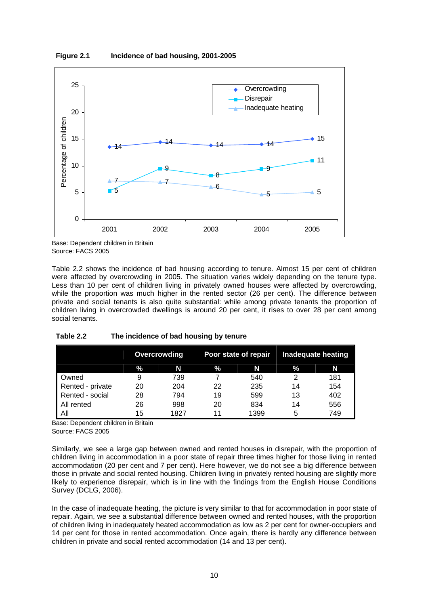<span id="page-19-0"></span>



Base: Dependent children in Britain Source: FACS 2005

Table 2.2 shows the incidence of bad housing according to tenure. Almost 15 per cent of children were affected by overcrowding in 2005. The situation varies widely depending on the tenure type. Less than 10 per cent of children living in privately owned houses were affected by overcrowding, while the proportion was much higher in the rented sector (26 per cent). The difference between private and social tenants is also quite substantial: while among private tenants the proportion of children living in overcrowded dwellings is around 20 per cent, it rises to over 28 per cent among social tenants.

|                  | <b>Overcrowding</b> |      | Poor state of repair |      | <b>Inadequate heating</b> |     |
|------------------|---------------------|------|----------------------|------|---------------------------|-----|
|                  | $\%$                | N    | %.                   | N    | %                         | N   |
| Owned            | 9                   | 739  |                      | 540  | 2                         | 181 |
| Rented - private | 20                  | 204  | 22                   | 235  | 14                        | 154 |
| Rented - social  | 28                  | 794  | 19                   | 599  | 13                        | 402 |
| All rented       | 26                  | 998  | 20                   | 834  | 14                        | 556 |
| All              | 15                  | 1827 | 11                   | 1399 | 5                         | 749 |

#### **Table 2.2 The incidence of bad housing by tenure**

Base: Dependent children in Britain Source: FACS 2005

Similarly, we see a large gap between owned and rented houses in disrepair, with the proportion of children living in accommodation in a poor state of repair three times higher for those living in rented accommodation (20 per cent and 7 per cent). Here however, we do not see a big difference between those in private and social rented housing. Children living in privately rented housing are slightly more likely to experience disrepair, which is in line with the findings from the English House Conditions Survey (DCLG, 2006).

In the case of inadequate heating, the picture is very similar to that for accommodation in poor state of repair. Again, we see a substantial difference between owned and rented houses, with the proportion of children living in inadequately heated accommodation as low as 2 per cent for owner-occupiers and 14 per cent for those in rented accommodation. Once again, there is hardly any difference between children in private and social rented accommodation (14 and 13 per cent).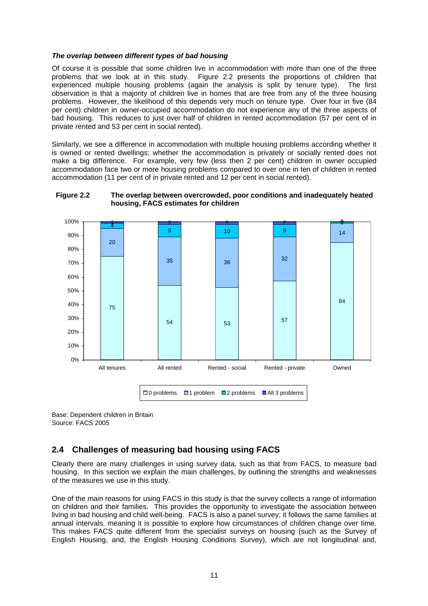#### <span id="page-20-0"></span>*The overlap between different types of bad housing*

Of course it is possible that some children live in accommodation with more than one of the three problems that we look at in this study. Figure 2.2 presents the proportions of children that experienced multiple housing problems (again the analysis is split by tenure type). The first observation is that a majority of children live in homes that are free from any of the three housing problems. However, the likelihood of this depends very much on tenure type. Over four in five (84 per cent) children in owner-occupied accommodation do not experience any of the three aspects of bad housing. This reduces to just over half of children in rented accommodation (57 per cent of in private rented and 53 per cent in social rented).

Similarly, we see a difference in accommodation with multiple housing problems according whether it is owned or rented dwellings; whether the accommodation is privately or socially rented does not make a big difference. For example, very few (less then 2 per cent) children in owner occupied accommodation face two or more housing problems compared to over one in ten of children in rented accommodation (11 per cent of in private rented and 12 per cent in social rented).





Base: Dependent children in Britain Source: FACS 2005

# **2.4 Challenges of measuring bad housing using FACS**

Clearly there are many challenges in using survey data, such as that from FACS, to measure bad housing. In this section we explain the main challenges, by outlining the strengths and weaknesses of the measures we use in this study.

One of the main reasons for using FACS in this study is that the survey collects a range of information on children and their families. This provides the opportunity to investigate the association between living in bad housing and child well-being. FACS is also a panel survey; it follows the same families at annual intervals, meaning it is possible to explore how circumstances of children change over time. This makes FACS quite different from the specialist surveys on housing (such as the Survey of English Housing, and, the English Housing Conditions Survey), which are not longitudinal and,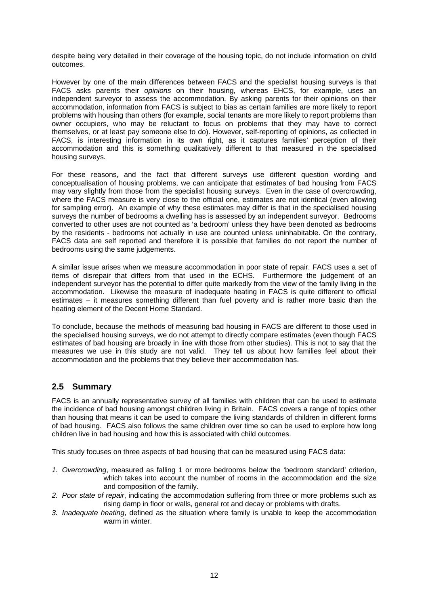<span id="page-21-0"></span>despite being very detailed in their coverage of the housing topic, do not include information on child outcomes.

However by one of the main differences between FACS and the specialist housing surveys is that FACS asks parents their *opinions* on their housing, whereas EHCS, for example, uses an independent surveyor to assess the accommodation. By asking parents for their opinions on their accommodation, information from FACS is subject to bias as certain families are more likely to report problems with housing than others (for example, social tenants are more likely to report problems than owner occupiers, who may be reluctant to focus on problems that they may have to correct themselves, or at least pay someone else to do). However, self-reporting of opinions, as collected in FACS, is interesting information in its own right, as it captures families' perception of their accommodation and this is something qualitatively different to that measured in the specialised housing surveys.

For these reasons, and the fact that different surveys use different question wording and conceptualisation of housing problems, we can anticipate that estimates of bad housing from FACS may vary slightly from those from the specialist housing surveys. Even in the case of overcrowding, where the FACS measure is very close to the official one, estimates are not identical (even allowing for sampling error). An example of why these estimates may differ is that in the specialised housing surveys the number of bedrooms a dwelling has is assessed by an independent surveyor. Bedrooms converted to other uses are not counted as 'a bedroom' unless they have been denoted as bedrooms by the residents - bedrooms not actually in use are counted unless uninhabitable. On the contrary, FACS data are self reported and therefore it is possible that families do not report the number of bedrooms using the same judgements.

A similar issue arises when we measure accommodation in poor state of repair. FACS uses a set of items of disrepair that differs from that used in the ECHS. Furthermore the judgement of an independent surveyor has the potential to differ quite markedly from the view of the family living in the accommodation. Likewise the measure of inadequate heating in FACS is quite different to official estimates – it measures something different than fuel poverty and is rather more basic than the heating element of the Decent Home Standard.

To conclude, because the methods of measuring bad housing in FACS are different to those used in the specialised housing surveys, we do not attempt to directly compare estimates (even though FACS estimates of bad housing are broadly in line with those from other studies). This is not to say that the measures we use in this study are not valid. They tell us about how families feel about their accommodation and the problems that they believe their accommodation has.

# **2.5 Summary**

FACS is an annually representative survey of all families with children that can be used to estimate the incidence of bad housing amongst children living in Britain. FACS covers a range of topics other than housing that means it can be used to compare the living standards of children in different forms of bad housing. FACS also follows the same children over time so can be used to explore how long children live in bad housing and how this is associated with child outcomes.

This study focuses on three aspects of bad housing that can be measured using FACS data:

- *1. Overcrowding*, measured as falling 1 or more bedrooms below the 'bedroom standard' criterion, which takes into account the number of rooms in the accommodation and the size and composition of the family.
- *2. Poor state of repair*, indicating the accommodation suffering from three or more problems such as rising damp in floor or walls, general rot and decay or problems with drafts.
- *3. Inadequate heating*, defined as the situation where family is unable to keep the accommodation warm in winter.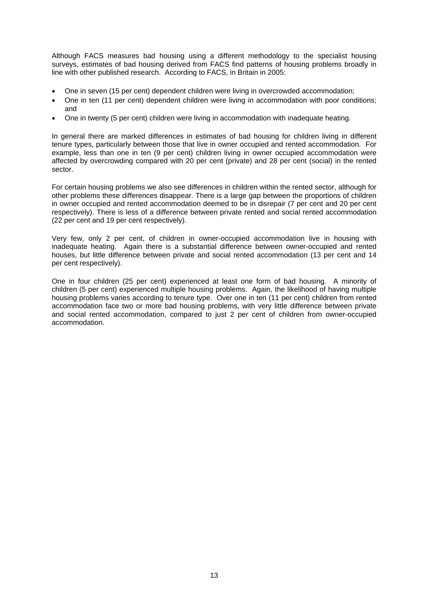Although FACS measures bad housing using a different methodology to the specialist housing surveys, estimates of bad housing derived from FACS find patterns of housing problems broadly in line with other published research. According to FACS, in Britain in 2005:

- One in seven (15 per cent) dependent children were living in overcrowded accommodation;
- One in ten (11 per cent) dependent children were living in accommodation with poor conditions; and
- One in twenty (5 per cent) children were living in accommodation with inadequate heating.

In general there are marked differences in estimates of bad housing for children living in different tenure types, particularly between those that live in owner occupied and rented accommodation. For example, less than one in ten (9 per cent) children living in owner occupied accommodation were affected by overcrowding compared with 20 per cent (private) and 28 per cent (social) in the rented sector.

For certain housing problems we also see differences in children within the rented sector, although for other problems these differences disappear. There is a large gap between the proportions of children in owner occupied and rented accommodation deemed to be in disrepair (7 per cent and 20 per cent respectively). There is less of a difference between private rented and social rented accommodation (22 per cent and 19 per cent respectively).

Very few, only 2 per cent, of children in owner-occupied accommodation live in housing with inadequate heating. Again there is a substantial difference between owner-occupied and rented houses, but little difference between private and social rented accommodation (13 per cent and 14 per cent respectively).

One in four children (25 per cent) experienced at least one form of bad housing. A minority of children (5 per cent) experienced multiple housing problems. Again, the likelihood of having multiple housing problems varies according to tenure type. Over one in ten (11 per cent) children from rented accommodation face two or more bad housing problems, with very little difference between private and social rented accommodation, compared to just 2 per cent of children from owner-occupied accommodation.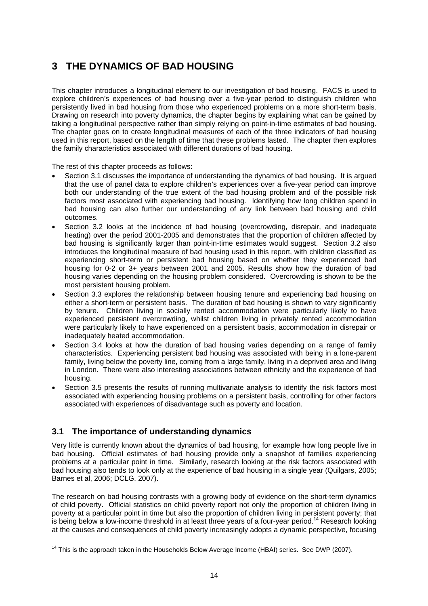# <span id="page-23-0"></span>**3 THE DYNAMICS OF BAD HOUSING**

This chapter introduces a longitudinal element to our investigation of bad housing. FACS is used to explore children's experiences of bad housing over a five-year period to distinguish children who persistently lived in bad housing from those who experienced problems on a more short-term basis. Drawing on research into poverty dynamics, the chapter begins by explaining what can be gained by taking a longitudinal perspective rather than simply relying on point-in-time estimates of bad housing. The chapter goes on to create longitudinal measures of each of the three indicators of bad housing used in this report, based on the length of time that these problems lasted. The chapter then explores the family characteristics associated with different durations of bad housing.

The rest of this chapter proceeds as follows:

- Section 3.1 discusses the importance of understanding the dynamics of bad housing. It is argued that the use of panel data to explore children's experiences over a five-year period can improve both our understanding of the true extent of the bad housing problem and of the possible risk factors most associated with experiencing bad housing. Identifying how long children spend in bad housing can also further our understanding of any link between bad housing and child outcomes.
- Section 3.2 looks at the incidence of bad housing (overcrowding, disrepair, and inadequate heating) over the period 2001-2005 and demonstrates that the proportion of children affected by bad housing is significantly larger than point-in-time estimates would suggest. Section 3.2 also introduces the longitudinal measure of bad housing used in this report, with children classified as experiencing short-term or persistent bad housing based on whether they experienced bad housing for 0-2 or 3+ years between 2001 and 2005. Results show how the duration of bad housing varies depending on the housing problem considered. Overcrowding is shown to be the most persistent housing problem.
- Section 3.3 explores the relationship between housing tenure and experiencing bad housing on either a short-term or persistent basis. The duration of bad housing is shown to vary significantly by tenure. Children living in socially rented accommodation were particularly likely to have experienced persistent overcrowding, whilst children living in privately rented accommodation were particularly likely to have experienced on a persistent basis, accommodation in disrepair or inadequately heated accommodation.
- Section 3.4 looks at how the duration of bad housing varies depending on a range of family characteristics. Experiencing persistent bad housing was associated with being in a lone-parent family, living below the poverty line, coming from a large family, living in a deprived area and living in London. There were also interesting associations between ethnicity and the experience of bad housing.
- Section 3.5 presents the results of running multivariate analysis to identify the risk factors most associated with experiencing housing problems on a persistent basis, controlling for other factors associated with experiences of disadvantage such as poverty and location.

# **3.1 The importance of understanding dynamics**

Very little is currently known about the dynamics of bad housing, for example how long people live in bad housing. Official estimates of bad housing provide only a snapshot of families experiencing problems at a particular point in time. Similarly, research looking at the risk factors associated with bad housing also tends to look only at the experience of bad housing in a single year (Quilgars, 2005; Barnes et al, 2006; DCLG, 2007).

The research on bad housing contrasts with a growing body of evidence on the short-term dynamics of child poverty. Official statistics on child poverty report not only the proportion of children living in poverty at a particular point in time but also the proportion of children living in persistent poverty; that is being below a low-income threshold in at least three years of a four-year period.<sup>14</sup> Research looking at the causes and consequences of child poverty increasingly adopts a dynamic perspective, focusing

<span id="page-23-1"></span><sup>&</sup>lt;sup>14</sup> This is the approach taken in the Households Below Average Income (HBAI) series. See DWP (2007).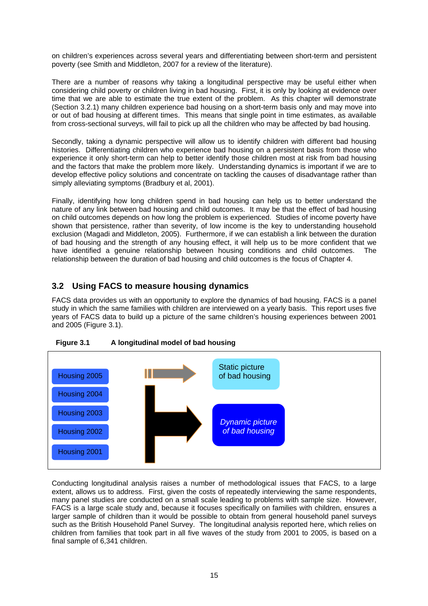<span id="page-24-0"></span>on children's experiences across several years and differentiating between short-term and persistent poverty (see Smith and Middleton, 2007 for a review of the literature).

There are a number of reasons why taking a longitudinal perspective may be useful either when considering child poverty or children living in bad housing. First, it is only by looking at evidence over time that we are able to estimate the true extent of the problem. As this chapter will demonstrate (Section 3.2.1) many children experience bad housing on a short-term basis only and may move into or out of bad housing at different times. This means that single point in time estimates, as available from cross-sectional surveys, will fail to pick up all the children who may be affected by bad housing.

Secondly, taking a dynamic perspective will allow us to identify children with different bad housing histories. Differentiating children who experience bad housing on a persistent basis from those who experience it only short-term can help to better identify those children most at risk from bad housing and the factors that make the problem more likely. Understanding dynamics is important if we are to develop effective policy solutions and concentrate on tackling the causes of disadvantage rather than simply alleviating symptoms (Bradbury et al, 2001).

Finally, identifying how long children spend in bad housing can help us to better understand the nature of any link between bad housing and child outcomes. It may be that the effect of bad housing on child outcomes depends on how long the problem is experienced. Studies of income poverty have shown that persistence, rather than severity, of low income is the key to understanding household exclusion (Magadi and Middleton, 2005). Furthermore, if we can establish a link between the duration of bad housing and the strength of any housing effect, it will help us to be more confident that we have identified a genuine relationship between housing conditions and child outcomes. The relationship between the duration of bad housing and child outcomes is the focus of Chapter 4.

# **3.2 Using FACS to measure housing dynamics**

FACS data provides us with an opportunity to explore the dynamics of bad housing. FACS is a panel study in which the same families with children are interviewed on a yearly basis. This report uses five years of FACS data to build up a picture of the same children's housing experiences between 2001 and 2005 (Figure 3.1).





Conducting longitudinal analysis raises a number of methodological issues that FACS, to a large extent, allows us to address. First, given the costs of repeatedly interviewing the same respondents, many panel studies are conducted on a small scale leading to problems with sample size. However, FACS is a large scale study and, because it focuses specifically on families with children, ensures a larger sample of children than it would be possible to obtain from general household panel surveys such as the British Household Panel Survey. The longitudinal analysis reported here, which relies on children from families that took part in all five waves of the study from 2001 to 2005, is based on a final sample of 6,341 children.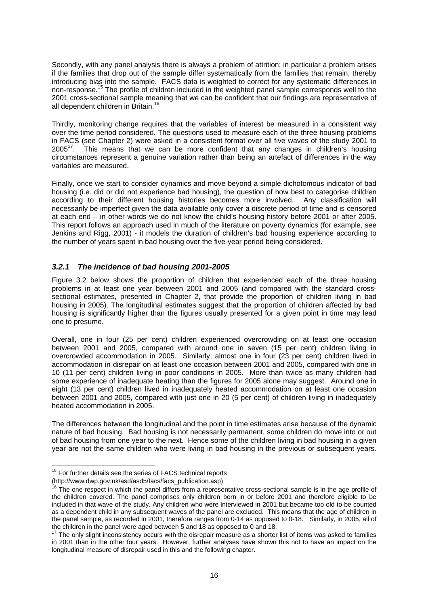<span id="page-25-0"></span>Secondly, with any panel analysis there is always a problem of attrition; in particular a problem arises if the families that drop out of the sample differ systematically from the families that remain, thereby introducing bias into the sample. FACS data is weighted to correct for any systematic differences in non-response.<sup>15</sup> The profile of children included in the weighted panel sample corresponds well to the 2001 cross-sectional sample meaning that we can be confident that our findings are representative of all dependent children in Britain.<sup>16</sup>

Thirdly, monitoring change requires that the variables of interest be measured in a consistent way over the time period considered. The questions used to measure each of the three housing problems in FACS (see Chapter 2) were asked in a consistent format over all five waves of the study 2001 to  $2005<sup>17</sup>$ . This means that we can be more confident that any changes in children's housing circumstances represent a genuine variation rather than being an artefact of differences in the way variables are measured.

Finally, once we start to consider dynamics and move beyond a simple dichotomous indicator of bad housing (i.e. did or did not experience bad housing), the question of how best to categorise children according to their different housing histories becomes more involved. Any classification will necessarily be imperfect given the data available only cover a discrete period of time and is censored at each end – in other words we do not know the child's housing history before 2001 or after 2005. This report follows an approach used in much of the literature on poverty dynamics (for example, see Jenkins and Rigg, 2001) - it models the duration of children's bad housing experience according to the number of years spent in bad housing over the five-year period being considered.

## *3.2.1 The incidence of bad housing 2001-2005*

Figure 3.2 below shows the proportion of children that experienced each of the three housing problems in at least one year between 2001 and 2005 (and compared with the standard crosssectional estimates, presented in Chapter 2, that provide the proportion of children living in bad housing in 2005). The longitudinal estimates suggest that the proportion of children affected by bad housing is significantly higher than the figures usually presented for a given point in time may lead one to presume.

Overall, one in four (25 per cent) children experienced overcrowding on at least one occasion between 2001 and 2005, compared with around one in seven (15 per cent) children living in overcrowded accommodation in 2005. Similarly, almost one in four (23 per cent) children lived in accommodation in disrepair on at least one occasion between 2001 and 2005, compared with one in 10 (11 per cent) children living in poor conditions in 2005. More than twice as many children had some experience of inadequate heating than the figures for 2005 alone may suggest. Around one in eight (13 per cent) children lived in inadequately heated accommodation on at least one occasion between 2001 and 2005, compared with just one in 20 (5 per cent) of children living in inadequately heated accommodation in 2005.

The differences between the longitudinal and the point in time estimates arise because of the dynamic nature of bad housing. Bad housing is not necessarily permanent, some children do move into or out of bad housing from one year to the next. Hence some of the children living in bad housing in a given year are not the same children who were living in bad housing in the previous or subsequent years.

<span id="page-25-1"></span><sup>&</sup>lt;sup>15</sup> For further details see the series of FACS technical reports

<sup>(</sup>http://www.dwp.gov.uk/asd/asd5/facs/facs\_publication.asp)

<span id="page-25-2"></span><sup>&</sup>lt;sup>16</sup> The one respect in which the panel differs from a representative cross-sectional sample is in the age profile of the children covered. The panel comprises only children born in or before 2001 and therefore eligible to be included in that wave of the study. Any children who were interviewed in 2001 but became too old to be counted as a dependent child in any subsequent waves of the panel are excluded. This means that the age of children in the panel sample, as recorded in 2001, therefore ranges from 0-14 as opposed to 0-18. Similarly, in 2005, all of the children in the panel were aged between 5 and 18 as opposed to 0 and 18.  $17$  The only slight inconsistency occurs with the disrepair measure as a shorter list of items was asked to families

<span id="page-25-3"></span>in 2001 than in the other four years. However, further analyses have shown this not to have an impact on the longitudinal measure of disrepair used in this and the following chapter.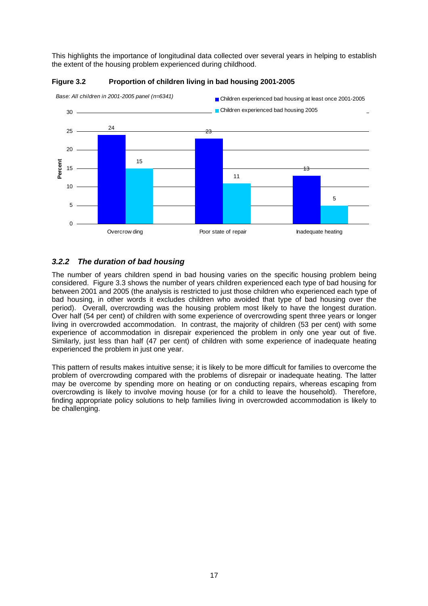<span id="page-26-0"></span>This highlights the importance of longitudinal data collected over several years in helping to establish the extent of the housing problem experienced during childhood.





## *3.2.2 The duration of bad housing*

The number of years children spend in bad housing varies on the specific housing problem being considered. Figure 3.3 shows the number of years children experienced each type of bad housing for between 2001 and 2005 (the analysis is restricted to just those children who experienced each type of bad housing, in other words it excludes children who avoided that type of bad housing over the period). Overall, overcrowding was the housing problem most likely to have the longest duration. Over half (54 per cent) of children with some experience of overcrowding spent three years or longer living in overcrowded accommodation. In contrast, the majority of children (53 per cent) with some experience of accommodation in disrepair experienced the problem in only one year out of five. Similarly, just less than half (47 per cent) of children with some experience of inadequate heating experienced the problem in just one year.

This pattern of results makes intuitive sense; it is likely to be more difficult for families to overcome the problem of overcrowding compared with the problems of disrepair or inadequate heating. The latter may be overcome by spending more on heating or on conducting repairs, whereas escaping from overcrowding is likely to involve moving house (or for a child to leave the household). Therefore, finding appropriate policy solutions to help families living in overcrowded accommodation is likely to be challenging.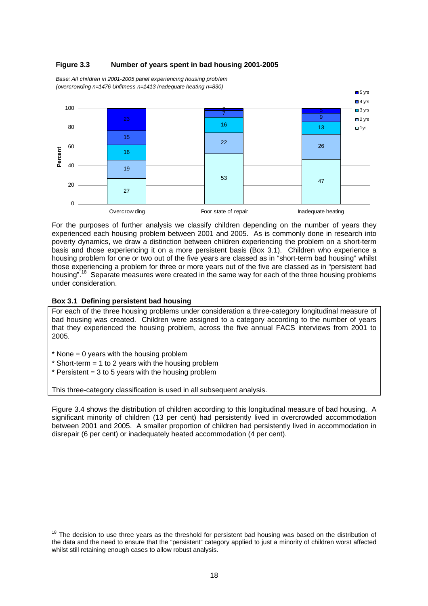

#### <span id="page-27-0"></span>**Figure 3.3 Number of years spent in bad housing 2001-2005**

*Base: All children in 2001-2005 panel experiencing housing problem (overcrowding n=1476 Unfitness n=1413 Inadequate heating n=830)*

For the purposes of further analysis we classify children depending on the number of years they experienced each housing problem between 2001 and 2005. As is commonly done in research into poverty dynamics, we draw a distinction between children experiencing the problem on a short-term basis and those experiencing it on a more persistent basis (Box 3.1). Children who experience a housing problem for one or two out of the five years are classed as in "short-term bad housing" whilst those experiencing a problem for three or more years out of the five are classed as in "persistent bad housing"<sup>18</sup> Separate measures were created in the same way for each of the three housing problems under consideration.

#### **Box 3.1 Defining persistent bad housing**

For each of the three housing problems under consideration a three-category longitudinal measure of bad housing was created. Children were assigned to a category according to the number of years that they experienced the housing problem, across the five annual FACS interviews from 2001 to 2005.

- $*$  None = 0 years with the housing problem
- $*$  Short-term = 1 to 2 years with the housing problem
- $*$  Persistent = 3 to 5 years with the housing problem

This three-category classification is used in all subsequent analysis.

Figure 3.4 shows the distribution of children according to this longitudinal measure of bad housing. A significant minority of children (13 per cent) had persistently lived in overcrowded accommodation between 2001 and 2005. A smaller proportion of children had persistently lived in accommodation in disrepair (6 per cent) or inadequately heated accommodation (4 per cent).

<span id="page-27-1"></span><sup>&</sup>lt;sup>18</sup> The decision to use three years as the threshold for persistent bad housing was based on the distribution of the data and the need to ensure that the "persistent" category applied to just a minority of children worst affected whilst still retaining enough cases to allow robust analysis.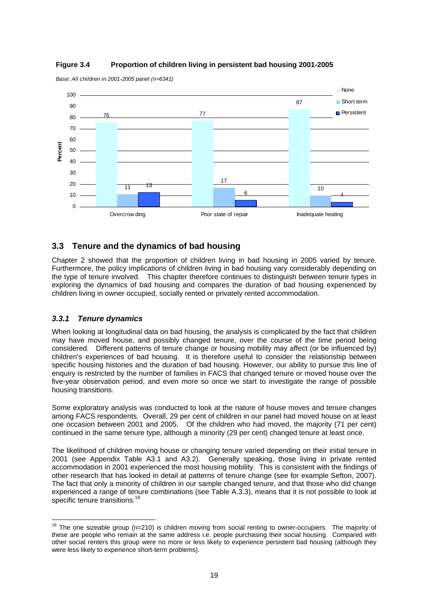

#### <span id="page-28-0"></span>**Figure 3.4 Proportion of children living in persistent bad housing 2001-2005**

*Base: All children in 2001-2005 panel (n=6341)*

# **3.3 Tenure and the dynamics of bad housing**

Chapter 2 showed that the proportion of children living in bad housing in 2005 varied by tenure. Furthermore, the policy implications of children living in bad housing vary considerably depending on the type of tenure involved. This chapter therefore continues to distinguish between tenure types in exploring the dynamics of bad housing and compares the duration of bad housing experienced by children living in owner occupied, socially rented or privately rented accommodation.

## *3.3.1 Tenure dynamics*

When looking at longitudinal data on bad housing, the analysis is complicated by the fact that children may have moved house, and possibly changed tenure, over the course of the time period being considered. Different patterns of tenure change or housing mobility may affect (or be influenced by) children's experiences of bad housing. It is therefore useful to consider the relationship between specific housing histories and the duration of bad housing. However, our ability to pursue this line of enquiry is restricted by the number of families in FACS that changed tenure or moved house over the five-year observation period, and even more so once we start to investigate the range of possible housing transitions.

Some exploratory analysis was conducted to look at the nature of house moves and tenure changes among FACS respondents. Overall, 29 per cent of children in our panel had moved house on at least one occasion between 2001 and 2005. Of the children who had moved, the majority (71 per cent) continued in the same tenure type, although a minority (29 per cent) changed tenure at least once.

The likelihood of children moving house or changing tenure varied depending on their initial tenure in 2001 (see Appendix Table A3.1 and A3.2). Generally speaking, those living in private rented accommodation in 2001 experienced the most housing mobility. This is consistent with the findings of other research that has looked in detail at patterns of tenure change (see for example Sefton, 2007). The fact that only a minority of children in our sample changed tenure, and that those who did change experienced a range of tenure combinations (see Table A.3.3), means that it is not possible to look at specific tenure transitions.<sup>19</sup>

<span id="page-28-1"></span> $19$  The one sizeable group (n=210) is children moving from social renting to owner-occupiers. The majority of these are people who remain at the same address i.e. people purchasing their social housing. Compared with other social renters this group were no more or less likely to experience persistent bad housing (although they were less likely to experience short-term problems).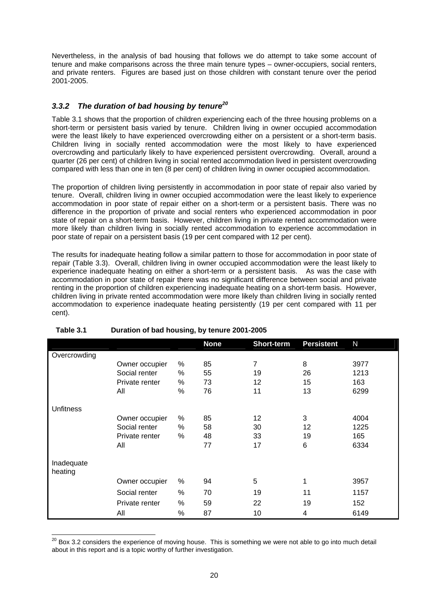<span id="page-29-0"></span>Nevertheless, in the analysis of bad housing that follows we do attempt to take some account of tenure and make comparisons across the three main tenure types – owner-occupiers, social renters, and private renters. Figures are based just on those children with constant tenure over the period 2001-2005.

## *3.3.2 The duration of bad housing by tenur[e20](#page-29-1)*

Table 3.1 shows that the proportion of children experiencing each of the three housing problems on a short-term or persistent basis varied by tenure. Children living in owner occupied accommodation were the least likely to have experienced overcrowding either on a persistent or a short-term basis. Children living in socially rented accommodation were the most likely to have experienced overcrowding and particularly likely to have experienced persistent overcrowding. Overall, around a quarter (26 per cent) of children living in social rented accommodation lived in persistent overcrowding compared with less than one in ten (8 per cent) of children living in owner occupied accommodation.

The proportion of children living persistently in accommodation in poor state of repair also varied by tenure. Overall, children living in owner occupied accommodation were the least likely to experience accommodation in poor state of repair either on a short-term or a persistent basis. There was no difference in the proportion of private and social renters who experienced accommodation in poor state of repair on a short-term basis. However, children living in private rented accommodation were more likely than children living in socially rented accommodation to experience accommodation in poor state of repair on a persistent basis (19 per cent compared with 12 per cent).

The results for inadequate heating follow a similar pattern to those for accommodation in poor state of repair (Table 3.3). Overall, children living in owner occupied accommodation were the least likely to experience inadequate heating on either a short-term or a persistent basis. As was the case with accommodation in poor state of repair there was no significant difference between social and private renting in the proportion of children experiencing inadequate heating on a short-term basis. However, children living in private rented accommodation were more likely than children living in socially rented accommodation to experience inadequate heating persistently (19 per cent compared with 11 per cent).

|                  |                |   | <b>None</b> | Short-term | <b>Persistent</b> | N    |
|------------------|----------------|---|-------------|------------|-------------------|------|
| Overcrowding     |                |   |             |            |                   |      |
|                  | Owner occupier | % | 85          | 7          | 8                 | 3977 |
|                  | Social renter  | % | 55          | 19         | 26                | 1213 |
|                  | Private renter | % | 73          | 12         | 15                | 163  |
|                  | All            | % | 76          | 11         | 13                | 6299 |
|                  |                |   |             |            |                   |      |
| <b>Unfitness</b> |                |   |             |            |                   |      |
|                  | Owner occupier | % | 85          | 12         | 3                 | 4004 |
|                  | Social renter  | % | 58          | 30         | 12                | 1225 |
|                  | Private renter | % | 48          | 33         | 19                | 165  |
|                  | All            |   | 77          | 17         | 6                 | 6334 |
|                  |                |   |             |            |                   |      |
| Inadequate       |                |   |             |            |                   |      |
| heating          |                |   |             |            |                   |      |
|                  | Owner occupier | % | 94          | 5          | 1                 | 3957 |
|                  | Social renter  | % | 70          | 19         | 11                | 1157 |
|                  | Private renter | % | 59          | 22         | 19                | 152  |
|                  | All            | % | 87          | 10         | 4                 | 6149 |

## **Table 3.1 Duration of bad housing, by tenure 2001-2005**

<span id="page-29-1"></span> $20$  Box 3.2 considers the experience of moving house. This is something we were not able to go into much detail about in this report and is a topic worthy of further investigation.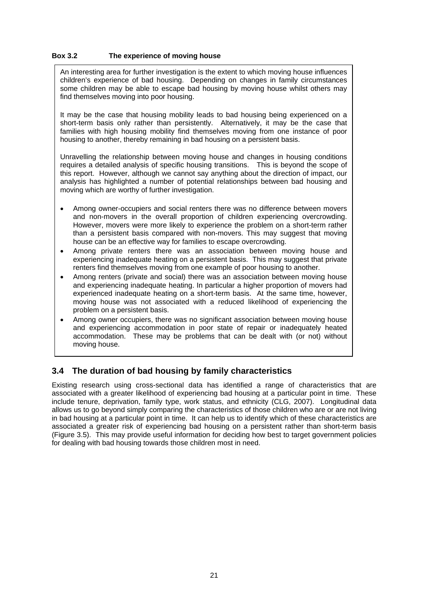#### <span id="page-30-0"></span>**Box 3.2 The experience of moving house**

An interesting area for further investigation is the extent to which moving house influences children's experience of bad housing. Depending on changes in family circumstances some children may be able to escape bad housing by moving house whilst others may find themselves moving into poor housing.

It may be the case that housing mobility leads to bad housing being experienced on a short-term basis only rather than persistently. Alternatively, it may be the case that families with high housing mobility find themselves moving from one instance of poor housing to another, thereby remaining in bad housing on a persistent basis.

Unravelling the relationship between moving house and changes in housing conditions requires a detailed analysis of specific housing transitions. This is beyond the scope of this report. However, although we cannot say anything about the direction of impact, our analysis has highlighted a number of potential relationships between bad housing and moving which are worthy of further investigation.

- Among owner-occupiers and social renters there was no difference between movers and non-movers in the overall proportion of children experiencing overcrowding. However, movers were more likely to experience the problem on a short-term rather than a persistent basis compared with non-movers. This may suggest that moving house can be an effective way for families to escape overcrowding.
- Among private renters there was an association between moving house and experiencing inadequate heating on a persistent basis. This may suggest that private renters find themselves moving from one example of poor housing to another.
- Among renters (private and social) there was an association between moving house and experiencing inadequate heating. In particular a higher proportion of movers had experienced inadequate heating on a short-term basis. At the same time, however, moving house was not associated with a reduced likelihood of experiencing the problem on a persistent basis.
- Among owner occupiers, there was no significant association between moving house and experiencing accommodation in poor state of repair or inadequately heated accommodation. These may be problems that can be dealt with (or not) without moving house.

# **3.4 The duration of bad housing by family characteristics**

Existing research using cross-sectional data has identified a range of characteristics that are associated with a greater likelihood of experiencing bad housing at a particular point in time. These include tenure, deprivation, family type, work status, and ethnicity (CLG, 2007). Longitudinal data allows us to go beyond simply comparing the characteristics of those children who are or are not living in bad housing at a particular point in time. It can help us to identify which of these characteristics are associated a greater risk of experiencing bad housing on a persistent rather than short-term basis (Figure 3.5). This may provide useful information for deciding how best to target government policies for dealing with bad housing towards those children most in need.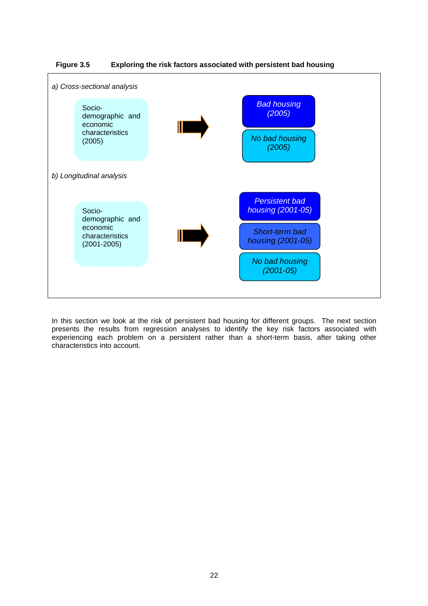<span id="page-31-0"></span>



In this section we look at the risk of persistent bad housing for different groups. The next section presents the results from regression analyses to identify the key risk factors associated with experiencing each problem on a persistent rather than a short-term basis, after taking other characteristics into account.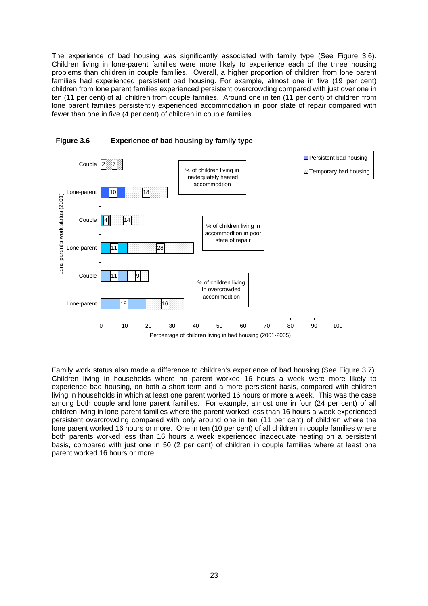<span id="page-32-0"></span>The experience of bad housing was significantly associated with family type (See Figure 3.6). Children living in lone-parent families were more likely to experience each of the three housing problems than children in couple families. Overall, a higher proportion of children from lone parent families had experienced persistent bad housing. For example, almost one in five (19 per cent) children from lone parent families experienced persistent overcrowding compared with just over one in ten (11 per cent) of all children from couple families. Around one in ten (11 per cent) of children from lone parent families persistently experienced accommodation in poor state of repair compared with fewer than one in five (4 per cent) of children in couple families.





Family work status also made a difference to children's experience of bad housing (See Figure 3.7). Children living in households where no parent worked 16 hours a week were more likely to experience bad housing, on both a short-term and a more persistent basis, compared with children living in households in which at least one parent worked 16 hours or more a week. This was the case among both couple and lone parent families. For example, almost one in four (24 per cent) of all children living in lone parent families where the parent worked less than 16 hours a week experienced persistent overcrowding compared with only around one in ten (11 per cent) of children where the lone parent worked 16 hours or more. One in ten (10 per cent) of all children in couple families where both parents worked less than 16 hours a week experienced inadequate heating on a persistent basis, compared with just one in 50 (2 per cent) of children in couple families where at least one parent worked 16 hours or more.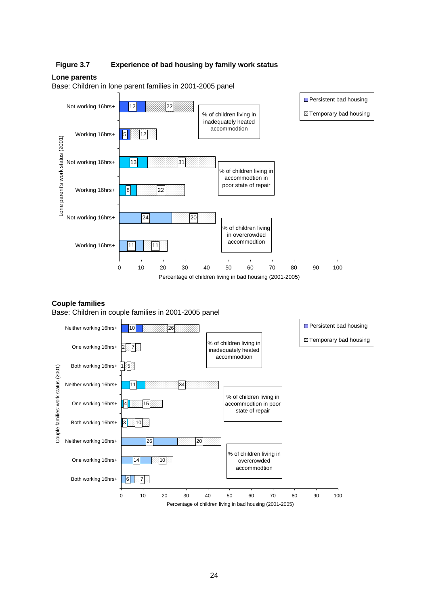#### <span id="page-33-0"></span>**Figure 3.7 Experience of bad housing by family work status**

#### **Lone parents**

Base: Children in lone parent families in 2001-2005 panel



#### **Couple families**

Base: Children in couple families in 2001-2005 panel

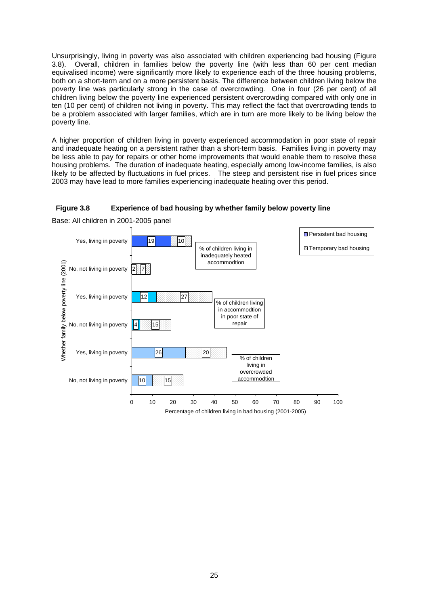<span id="page-34-0"></span>Unsurprisingly, living in poverty was also associated with children experiencing bad housing (Figure 3.8). Overall, children in families below the poverty line (with less than 60 per cent median equivalised income) were significantly more likely to experience each of the three housing problems, both on a short-term and on a more persistent basis. The difference between children living below the poverty line was particularly strong in the case of overcrowding. One in four (26 per cent) of all children living below the poverty line experienced persistent overcrowding compared with only one in ten (10 per cent) of children not living in poverty. This may reflect the fact that overcrowding tends to be a problem associated with larger families, which are in turn are more likely to be living below the poverty line.

A higher proportion of children living in poverty experienced accommodation in poor state of repair and inadequate heating on a persistent rather than a short-term basis. Families living in poverty may be less able to pay for repairs or other home improvements that would enable them to resolve these housing problems. The duration of inadequate heating, especially among low-income families, is also likely to be affected by fluctuations in fuel prices. The steep and persistent rise in fuel prices since 2003 may have lead to more families experiencing inadequate heating over this period.

#### **Figure 3.8 Experience of bad housing by whether family below poverty line**

Base: All children in 2001-2005 panel

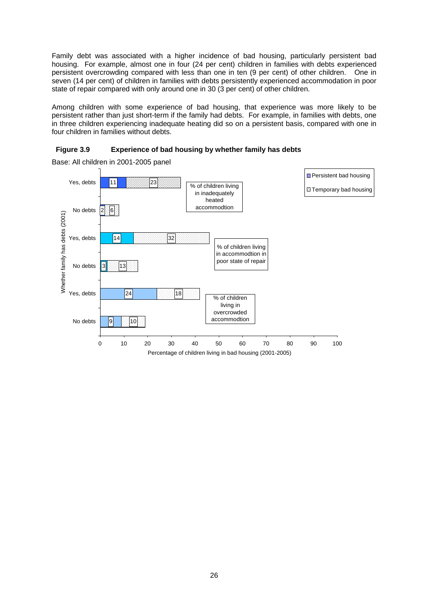<span id="page-35-0"></span>Family debt was associated with a higher incidence of bad housing, particularly persistent bad housing. For example, almost one in four (24 per cent) children in families with debts experienced persistent overcrowding compared with less than one in ten (9 per cent) of other children. One in seven (14 per cent) of children in families with debts persistently experienced accommodation in poor state of repair compared with only around one in 30 (3 per cent) of other children.

Among children with some experience of bad housing, that experience was more likely to be persistent rather than just short-term if the family had debts. For example, in families with debts, one in three children experiencing inadequate heating did so on a persistent basis, compared with one in four children in families without debts.



**Persistent bad housing** Yes, debts 11 23 % of children living El Temporary bad housing in inadequately heated accommodtion No debts 6 2 Whether family has debts (2001) Whether family has debts (2001)  $32$ Yes, debts 14 % of children living in accommodtion in poor state of repair No debts 13 3 Yes, debts 24 18 % of children living in overcrowded accommodtion No debts lq  $|10$ 0 10 20 30 40 50 60 70 80 90 100 Percentage of children living in bad housing (2001-2005)

Base: All children in 2001-2005 panel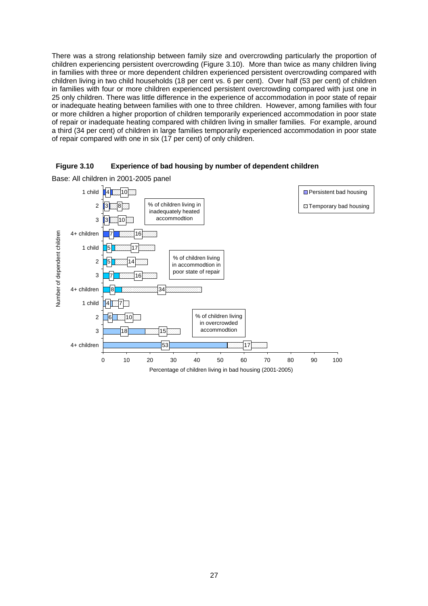There was a strong relationship between family size and overcrowding particularly the proportion of children experiencing persistent overcrowding (Figure 3.10). More than twice as many children living in families with three or more dependent children experienced persistent overcrowding compared with children living in two child households (18 per cent vs. 6 per cent). Over half (53 per cent) of children in families with four or more children experienced persistent overcrowding compared with just one in 25 only children. There was little difference in the experience of accommodation in poor state of repair or inadequate heating between families with one to three children. However, among families with four or more children a higher proportion of children temporarily experienced accommodation in poor state of repair or inadequate heating compared with children living in smaller families. For example, around a third (34 per cent) of children in large families temporarily experienced accommodation in poor state of repair compared with one in six (17 per cent) of only children.





Base: All children in 2001-2005 panel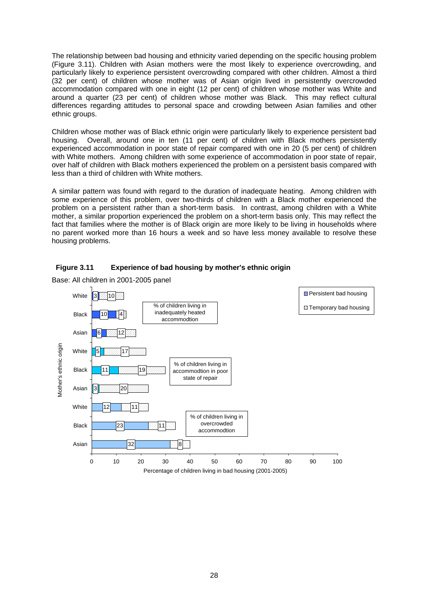The relationship between bad housing and ethnicity varied depending on the specific housing problem (Figure 3.11). Children with Asian mothers were the most likely to experience overcrowding, and particularly likely to experience persistent overcrowding compared with other children. Almost a third (32 per cent) of children whose mother was of Asian origin lived in persistently overcrowded accommodation compared with one in eight (12 per cent) of children whose mother was White and around a quarter (23 per cent) of children whose mother was Black. This may reflect cultural differences regarding attitudes to personal space and crowding between Asian families and other ethnic groups.

Children whose mother was of Black ethnic origin were particularly likely to experience persistent bad housing. Overall, around one in ten (11 per cent) of children with Black mothers persistently experienced accommodation in poor state of repair compared with one in 20 (5 per cent) of children with White mothers. Among children with some experience of accommodation in poor state of repair, over half of children with Black mothers experienced the problem on a persistent basis compared with less than a third of children with White mothers.

A similar pattern was found with regard to the duration of inadequate heating. Among children with some experience of this problem, over two-thirds of children with a Black mother experienced the problem on a persistent rather than a short-term basis. In contrast, among children with a White mother, a similar proportion experienced the problem on a short-term basis only. This may reflect the fact that families where the mother is of Black origin are more likely to be living in households where no parent worked more than 16 hours a week and so have less money available to resolve these housing problems.





Base: All children in 2001-2005 panel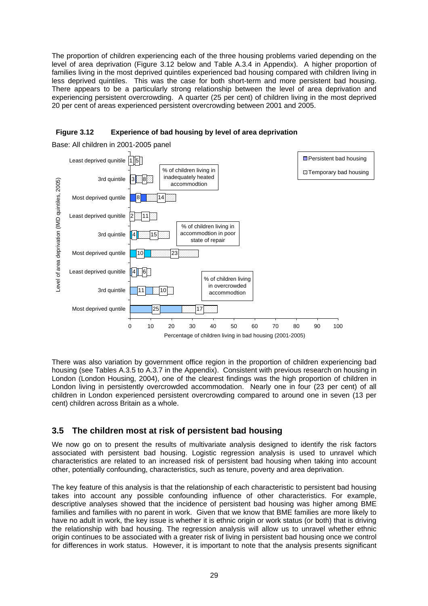The proportion of children experiencing each of the three housing problems varied depending on the level of area deprivation (Figure 3.12 below and Table A.3.4 in Appendix). A higher proportion of families living in the most deprived quintiles experienced bad housing compared with children living in less deprived quintiles. This was the case for both short-term and more persistent bad housing. There appears to be a particularly strong relationship between the level of area deprivation and experiencing persistent overcrowding. A quarter (25 per cent) of children living in the most deprived 20 per cent of areas experienced persistent overcrowding between 2001 and 2005.





Base: All children in 2001-2005 panel

There was also variation by government office region in the proportion of children experiencing bad housing (see Tables A.3.5 to A.3.7 in the Appendix). Consistent with previous research on housing in London (London Housing, 2004), one of the clearest findings was the high proportion of children in London living in persistently overcrowded accommodation. Nearly one in four (23 per cent) of all children in London experienced persistent overcrowding compared to around one in seven (13 per cent) children across Britain as a whole.

# **3.5 The children most at risk of persistent bad housing**

We now go on to present the results of multivariate analysis designed to identify the risk factors associated with persistent bad housing. Logistic regression analysis is used to unravel which characteristics are related to an increased risk of persistent bad housing when taking into account other, potentially confounding, characteristics, such as tenure, poverty and area deprivation.

The key feature of this analysis is that the relationship of each characteristic to persistent bad housing takes into account any possible confounding influence of other characteristics. For example, descriptive analyses showed that the incidence of persistent bad housing was higher among BME families and families with no parent in work. Given that we know that BME families are more likely to have no adult in work, the key issue is whether it is ethnic origin or work status (or both) that is driving the relationship with bad housing. The regression analysis will allow us to unravel whether ethnic origin continues to be associated with a greater risk of living in persistent bad housing once we control for differences in work status. However, it is important to note that the analysis presents significant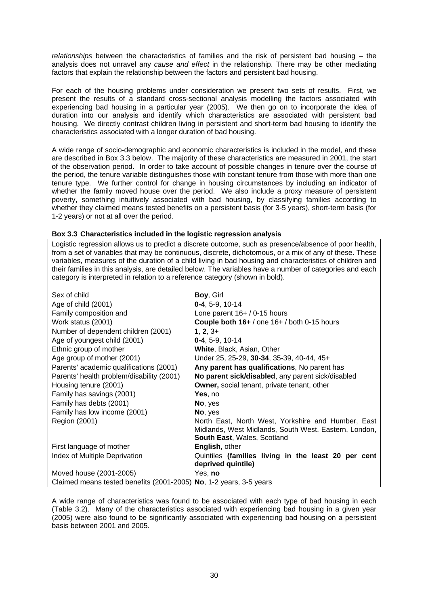*relationships* between the characteristics of families and the risk of persistent bad housing – the analysis does not unravel any *cause and effect* in the relationship. There may be other mediating factors that explain the relationship between the factors and persistent bad housing.

For each of the housing problems under consideration we present two sets of results. First, we present the results of a standard cross-sectional analysis modelling the factors associated with experiencing bad housing in a particular year (2005). We then go on to incorporate the idea of duration into our analysis and identify which characteristics are associated with persistent bad housing. We directly contrast children living in persistent and short-term bad housing to identify the characteristics associated with a longer duration of bad housing.

A wide range of socio-demographic and economic characteristics is included in the model, and these are described in Box 3.3 below. The majority of these characteristics are measured in 2001, the start of the observation period. In order to take account of possible changes in tenure over the course of the period, the tenure variable distinguishes those with constant tenure from those with more than one tenure type. We further control for change in housing circumstances by including an indicator of whether the family moved house over the period. We also include a proxy measure of persistent poverty, something intuitively associated with bad housing, by classifying families according to whether they claimed means tested benefits on a persistent basis (for 3-5 years), short-term basis (for 1-2 years) or not at all over the period.

#### **Box 3.3 Characteristics included in the logistic regression analysis**

Logistic regression allows us to predict a discrete outcome, such as presence/absence of poor health, from a set of variables that may be continuous, discrete, dichotomous, or a mix of any of these. These variables, measures of the duration of a child living in bad housing and characteristics of children and their families in this analysis, are detailed below. The variables have a number of categories and each category is interpreted in relation to a reference category (shown in bold).

| Sex of child                                                       | Boy, Girl                                             |
|--------------------------------------------------------------------|-------------------------------------------------------|
| Age of child (2001)                                                | $0-4, 5-9, 10-14$                                     |
| Family composition and                                             | Lone parent $16+ / 0.15$ hours                        |
| Work status (2001)                                                 | Couple both 16+ / one 16+ / both 0-15 hours           |
| Number of dependent children (2001)                                | $1, 2, 3+$                                            |
| Age of youngest child (2001)                                       | $0-4, 5-9, 10-14$                                     |
| Ethnic group of mother                                             | White, Black, Asian, Other                            |
| Age group of mother (2001)                                         | Under 25, 25-29, 30-34, 35-39, 40-44, 45+             |
| Parents' academic qualifications (2001)                            | Any parent has qualifications, No parent has          |
| Parents' health problem/disability (2001)                          | No parent sick/disabled, any parent sick/disabled     |
| Housing tenure (2001)                                              | <b>Owner, social tenant, private tenant, other</b>    |
| Family has savings (2001)                                          | <b>Yes</b> , no                                       |
| Family has debts (2001)                                            | No, yes                                               |
| Family has low income (2001)                                       | No, yes                                               |
| Region (2001)                                                      | North East, North West, Yorkshire and Humber, East    |
|                                                                    | Midlands, West Midlands, South West, Eastern, London, |
|                                                                    | <b>South East, Wales, Scotland</b>                    |
| First language of mother                                           | <b>English, other</b>                                 |
| Index of Multiple Deprivation                                      | Quintiles (families living in the least 20 per cent   |
|                                                                    | deprived quintile)                                    |
| Moved house (2001-2005)                                            | Yes, no                                               |
| Claimed means tested benefits (2001-2005) No, 1-2 years, 3-5 years |                                                       |

A wide range of characteristics was found to be associated with each type of bad housing in each (Table 3.2). Many of the characteristics associated with experiencing bad housing in a given year (2005) were also found to be significantly associated with experiencing bad housing on a persistent basis between 2001 and 2005.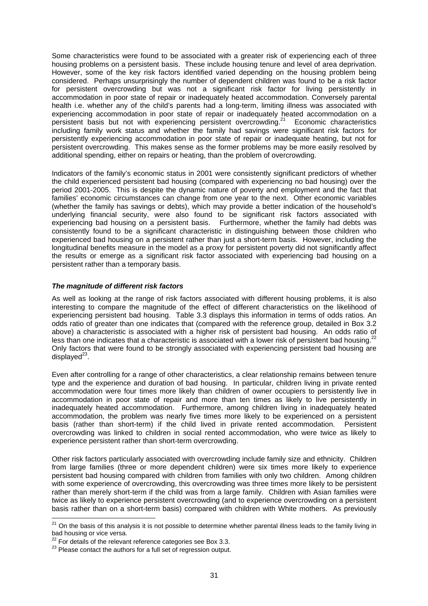Some characteristics were found to be associated with a greater risk of experiencing each of three housing problems on a persistent basis. These include housing tenure and level of area deprivation. However, some of the key risk factors identified varied depending on the housing problem being considered. Perhaps unsurprisingly the number of dependent children was found to be a risk factor for persistent overcrowding but was not a significant risk factor for living persistently in accommodation in poor state of repair or inadequately heated accommodation. Conversely parental health i.e. whether any of the child's parents had a long-term, limiting illness was associated with experiencing accommodation in poor state of repair or inadequately heated accommodation on a persistent basis but not with experiencing persistent overcrowding. $21$  Economic characteristics including family work status and whether the family had savings were significant risk factors for persistently experiencing accommodation in poor state of repair or inadequate heating, but not for persistent overcrowding. This makes sense as the former problems may be more easily resolved by additional spending, either on repairs or heating, than the problem of overcrowding.

Indicators of the family's economic status in 2001 were consistently significant predictors of whether the child experienced persistent bad housing (compared with experiencing no bad housing) over the period 2001-2005. This is despite the dynamic nature of poverty and employment and the fact that families' economic circumstances can change from one year to the next. Other economic variables (whether the family has savings or debts), which may provide a better indication of the household's underlying financial security, were also found to be significant risk factors associated with experiencing bad housing on a persistent basis. Furthermore, whether the family had debts was consistently found to be a significant characteristic in distinguishing between those children who experienced bad housing on a persistent rather than just a short-term basis. However, including the longitudinal benefits measure in the model as a proxy for persistent poverty did not significantly affect the results or emerge as a significant risk factor associated with experiencing bad housing on a persistent rather than a temporary basis.

#### *The magnitude of different risk factors*

As well as looking at the range of risk factors associated with different housing problems, it is also interesting to compare the magnitude of the effect of different characteristics on the likelihood of experiencing persistent bad housing. Table 3.3 displays this information in terms of odds ratios. An odds ratio of greater than one indicates that (compared with the reference group, detailed in Box 3.2 above) a characteristic is associated with a higher risk of persistent bad housing. An odds ratio of less than one indicates that a characteristic is associated with a lower risk of persistent bad housing.<sup>22</sup> Only factors that were found to be strongly associated with experiencing persistent bad housing are displayed $^{23}$ .

Even after controlling for a range of other characteristics, a clear relationship remains between tenure type and the experience and duration of bad housing. In particular, children living in private rented accommodation were four times more likely than children of owner occupiers to persistently live in accommodation in poor state of repair and more than ten times as likely to live persistently in inadequately heated accommodation. Furthermore, among children living in inadequately heated accommodation, the problem was nearly five times more likely to be experienced on a persistent basis (rather than short-term) if the child lived in private rented accommodation. Persistent overcrowding was linked to children in social rented accommodation, who were twice as likely to experience persistent rather than short-term overcrowding.

Other risk factors particularly associated with overcrowding include family size and ethnicity. Children from large families (three or more dependent children) were six times more likely to experience persistent bad housing compared with children from families with only two children. Among children with some experience of overcrowding, this overcrowding was three times more likely to be persistent rather than merely short-term if the child was from a large family. Children with Asian families were twice as likely to experience persistent overcrowding (and to experience overcrowding on a persistent basis rather than on a short-term basis) compared with children with White mothers. As previously

<span id="page-40-0"></span> $21$  On the basis of this analysis it is not possible to determine whether parental illness leads to the family living in bad housing or vice versa.

<span id="page-40-2"></span><span id="page-40-1"></span>

 $\frac{22}{2}$  For details of the relevant reference categories see Box 3.3.  $\frac{23}{2}$  Please contact the authors for a full set of regression output.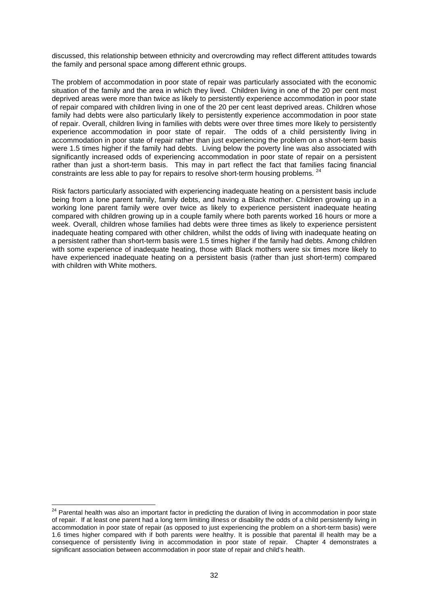discussed, this relationship between ethnicity and overcrowding may reflect different attitudes towards the family and personal space among different ethnic groups.

The problem of accommodation in poor state of repair was particularly associated with the economic situation of the family and the area in which they lived. Children living in one of the 20 per cent most deprived areas were more than twice as likely to persistently experience accommodation in poor state of repair compared with children living in one of the 20 per cent least deprived areas. Children whose family had debts were also particularly likely to persistently experience accommodation in poor state of repair. Overall, children living in families with debts were over three times more likely to persistently experience accommodation in poor state of repair. The odds of a child persistently living in accommodation in poor state of repair rather than just experiencing the problem on a short-term basis were 1.5 times higher if the family had debts. Living below the poverty line was also associated with significantly increased odds of experiencing accommodation in poor state of repair on a persistent rather than just a short-term basis. This may in part reflect the fact that families facing financial constraints are less able to pay for repairs to resolve short-term housing problems. <sup>24</sup>

Risk factors particularly associated with experiencing inadequate heating on a persistent basis include being from a lone parent family, family debts, and having a Black mother. Children growing up in a working lone parent family were over twice as likely to experience persistent inadequate heating compared with children growing up in a couple family where both parents worked 16 hours or more a week. Overall, children whose families had debts were three times as likely to experience persistent inadequate heating compared with other children, whilst the odds of living with inadequate heating on a persistent rather than short-term basis were 1.5 times higher if the family had debts. Among children with some experience of inadequate heating, those with Black mothers were six times more likely to have experienced inadequate heating on a persistent basis (rather than just short-term) compared with children with White mothers.

l

<span id="page-41-0"></span><sup>&</sup>lt;sup>24</sup> Parental health was also an important factor in predicting the duration of living in accommodation in poor state of repair. If at least one parent had a long term limiting illness or disability the odds of a child persistently living in accommodation in poor state of repair (as opposed to just experiencing the problem on a short-term basis) were 1.6 times higher compared with if both parents were healthy. It is possible that parental ill health may be a consequence of persistently living in accommodation in poor state of repair. Chapter 4 demonstrates a significant association between accommodation in poor state of repair and child's health.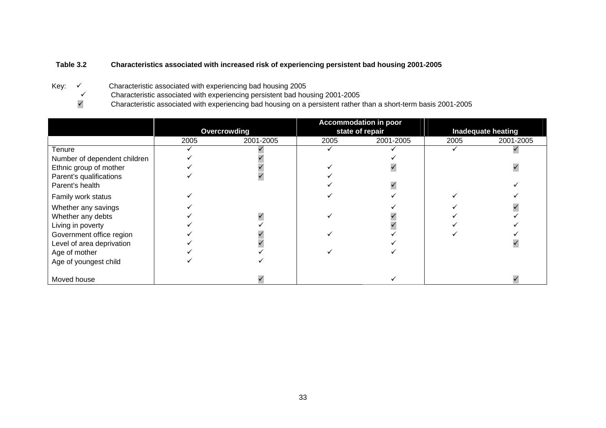# **Table 3.2 Characteristics associated with increased risk of experiencing persistent bad housing 2001-2005**

- Key: √ Characteristic associated with experiencing bad housing 2005<br>Characteristic associated with experiencing persistent bad hou
	- $\checkmark$  Characteristic associated with experiencing persistent bad housing 2001-2005<br>Characteristic associated with experiencing bad housing on a persistent rather
	- <sup>9</sup> Characteristic associated with experiencing bad housing on a persistent rather than a short-term basis 2001-2005

|                              |      |              |      | <b>Accommodation in poor</b> |                           |           |  |
|------------------------------|------|--------------|------|------------------------------|---------------------------|-----------|--|
|                              |      | Overcrowding |      | state of repair              | <b>Inadequate heating</b> |           |  |
|                              | 2005 | 2001-2005    | 2005 | 2001-2005                    | 2005                      | 2001-2005 |  |
| Tenure                       |      |              |      |                              |                           |           |  |
| Number of dependent children |      |              |      |                              |                           |           |  |
| Ethnic group of mother       |      |              |      |                              |                           |           |  |
| Parent's qualifications      |      |              |      |                              |                           |           |  |
| Parent's health              |      |              |      |                              |                           |           |  |
| Family work status           |      |              |      |                              |                           |           |  |
| Whether any savings          |      |              |      |                              |                           |           |  |
| Whether any debts            |      |              |      |                              |                           |           |  |
| Living in poverty            |      |              |      |                              |                           |           |  |
| Government office region     |      |              |      |                              |                           |           |  |
| Level of area deprivation    |      |              |      |                              |                           |           |  |
| Age of mother                |      |              |      |                              |                           |           |  |
| Age of youngest child        |      |              |      |                              |                           |           |  |
| Moved house                  |      |              |      |                              |                           |           |  |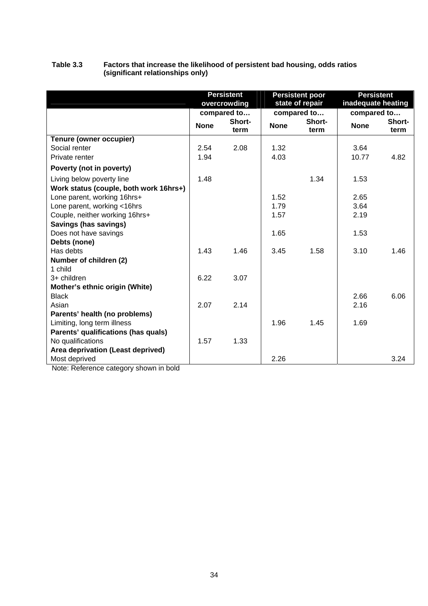|                                        | <b>Persistent</b><br>overcrowding |                |             | <b>Persistent poor</b><br>state of repair | <b>Persistent</b><br>inadequate heating |                |  |
|----------------------------------------|-----------------------------------|----------------|-------------|-------------------------------------------|-----------------------------------------|----------------|--|
|                                        | compared to                       |                |             | compared to                               | compared to                             |                |  |
|                                        | <b>None</b>                       | Short-<br>term | <b>None</b> | Short-<br>term                            | <b>None</b>                             | Short-<br>term |  |
| Tenure (owner occupier)                |                                   |                |             |                                           |                                         |                |  |
| Social renter                          | 2.54                              | 2.08           | 1.32        |                                           | 3.64                                    |                |  |
| Private renter                         | 1.94                              |                | 4.03        |                                           | 10.77                                   | 4.82           |  |
| Poverty (not in poverty)               |                                   |                |             |                                           |                                         |                |  |
| Living below poverty line              | 1.48                              |                |             | 1.34                                      | 1.53                                    |                |  |
| Work status (couple, both work 16hrs+) |                                   |                |             |                                           |                                         |                |  |
| Lone parent, working 16hrs+            |                                   |                | 1.52        |                                           | 2.65                                    |                |  |
| Lone parent, working <16hrs            |                                   |                | 1.79        |                                           | 3.64                                    |                |  |
| Couple, neither working 16hrs+         |                                   |                | 1.57        |                                           | 2.19                                    |                |  |
| Savings (has savings)                  |                                   |                |             |                                           |                                         |                |  |
| Does not have savings                  |                                   |                | 1.65        |                                           | 1.53                                    |                |  |
| Debts (none)                           |                                   |                |             |                                           |                                         |                |  |
| Has debts                              | 1.43                              | 1.46           | 3.45        | 1.58                                      | 3.10                                    | 1.46           |  |
| Number of children (2)                 |                                   |                |             |                                           |                                         |                |  |
| 1 child                                |                                   |                |             |                                           |                                         |                |  |
| 3+ children                            | 6.22                              | 3.07           |             |                                           |                                         |                |  |
| Mother's ethnic origin (White)         |                                   |                |             |                                           |                                         |                |  |
| <b>Black</b>                           |                                   |                |             |                                           | 2.66                                    | 6.06           |  |
| Asian                                  | 2.07                              | 2.14           |             |                                           | 2.16                                    |                |  |
| Parents' health (no problems)          |                                   |                |             |                                           |                                         |                |  |
| Limiting, long term illness            |                                   |                | 1.96        | 1.45                                      | 1.69                                    |                |  |
| Parents' qualifications (has quals)    |                                   |                |             |                                           |                                         |                |  |
| No qualifications                      | 1.57                              | 1.33           |             |                                           |                                         |                |  |
| Area deprivation (Least deprived)      |                                   |                |             |                                           |                                         |                |  |
| Most deprived                          |                                   |                | 2.26        |                                           |                                         | 3.24           |  |

### **Table 3.3 Factors that increase the likelihood of persistent bad housing, odds ratios (significant relationships only)**

Note: Reference category shown in bold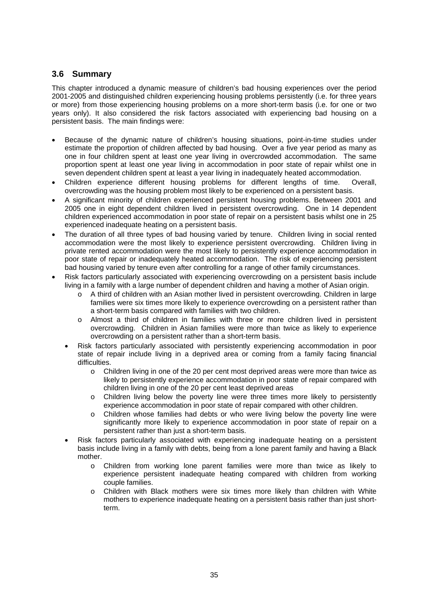# **3.6 Summary**

This chapter introduced a dynamic measure of children's bad housing experiences over the period 2001-2005 and distinguished children experiencing housing problems persistently (i.e. for three years or more) from those experiencing housing problems on a more short-term basis (i.e. for one or two years only). It also considered the risk factors associated with experiencing bad housing on a persistent basis. The main findings were:

- Because of the dynamic nature of children's housing situations, point-in-time studies under estimate the proportion of children affected by bad housing. Over a five year period as many as one in four children spent at least one year living in overcrowded accommodation. The same proportion spent at least one year living in accommodation in poor state of repair whilst one in seven dependent children spent at least a year living in inadequately heated accommodation.
- Children experience different housing problems for different lengths of time. Overall, overcrowding was the housing problem most likely to be experienced on a persistent basis.
- A significant minority of children experienced persistent housing problems. Between 2001 and 2005 one in eight dependent children lived in persistent overcrowding. One in 14 dependent children experienced accommodation in poor state of repair on a persistent basis whilst one in 25 experienced inadequate heating on a persistent basis.
- The duration of all three types of bad housing varied by tenure. Children living in social rented accommodation were the most likely to experience persistent overcrowding. Children living in private rented accommodation were the most likely to persistently experience accommodation in poor state of repair or inadequately heated accommodation. The risk of experiencing persistent bad housing varied by tenure even after controlling for a range of other family circumstances.
- Risk factors particularly associated with experiencing overcrowding on a persistent basis include living in a family with a large number of dependent children and having a mother of Asian origin.
	- o A third of children with an Asian mother lived in persistent overcrowding. Children in large families were six times more likely to experience overcrowding on a persistent rather than a short-term basis compared with families with two children.
	- o Almost a third of children in families with three or more children lived in persistent overcrowding. Children in Asian families were more than twice as likely to experience overcrowding on a persistent rather than a short-term basis.
	- Risk factors particularly associated with persistently experiencing accommodation in poor state of repair include living in a deprived area or coming from a family facing financial difficulties.
		- o Children living in one of the 20 per cent most deprived areas were more than twice as likely to persistently experience accommodation in poor state of repair compared with children living in one of the 20 per cent least deprived areas
		- o Children living below the poverty line were three times more likely to persistently experience accommodation in poor state of repair compared with other children.
		- o Children whose families had debts or who were living below the poverty line were significantly more likely to experience accommodation in poor state of repair on a persistent rather than just a short-term basis.
	- Risk factors particularly associated with experiencing inadequate heating on a persistent basis include living in a family with debts, being from a lone parent family and having a Black mother.
		- o Children from working lone parent families were more than twice as likely to experience persistent inadequate heating compared with children from working couple families.
		- o Children with Black mothers were six times more likely than children with White mothers to experience inadequate heating on a persistent basis rather than just shortterm.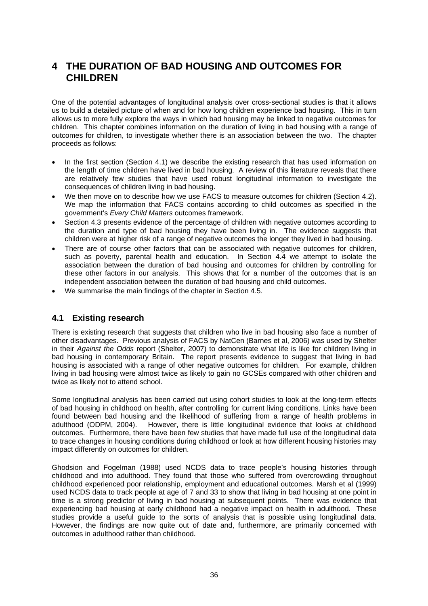# **4 THE DURATION OF BAD HOUSING AND OUTCOMES FOR CHILDREN**

One of the potential advantages of longitudinal analysis over cross-sectional studies is that it allows us to build a detailed picture of when and for how long children experience bad housing. This in turn allows us to more fully explore the ways in which bad housing may be linked to negative outcomes for children. This chapter combines information on the duration of living in bad housing with a range of outcomes for children, to investigate whether there is an association between the two. The chapter proceeds as follows:

- In the first section (Section 4.1) we describe the existing research that has used information on the length of time children have lived in bad housing. A review of this literature reveals that there are relatively few studies that have used robust longitudinal information to investigate the consequences of children living in bad housing.
- We then move on to describe how we use FACS to measure outcomes for children (Section 4.2). We map the information that FACS contains according to child outcomes as specified in the government's *Every Child Matters* outcomes framework.
- Section 4.3 presents evidence of the percentage of children with negative outcomes according to the duration and type of bad housing they have been living in. The evidence suggests that children were at higher risk of a range of negative outcomes the longer they lived in bad housing.
- There are of course other factors that can be associated with negative outcomes for children, such as poverty, parental health and education. In Section 4.4 we attempt to isolate the association between the duration of bad housing and outcomes for children by controlling for these other factors in our analysis. This shows that for a number of the outcomes that is an independent association between the duration of bad housing and child outcomes.
- We summarise the main findings of the chapter in Section 4.5.

# **4.1 Existing research**

There is existing research that suggests that children who live in bad housing also face a number of other disadvantages. Previous analysis of FACS by NatCen (Barnes et al, 2006) was used by Shelter in their *Against the Odds* report (Shelter, 2007) to demonstrate what life is like for children living in bad housing in contemporary Britain. The report presents evidence to suggest that living in bad housing is associated with a range of other negative outcomes for children. For example, children living in bad housing were almost twice as likely to gain no GCSEs compared with other children and twice as likely not to attend school.

Some longitudinal analysis has been carried out using cohort studies to look at the long-term effects of bad housing in childhood on health, after controlling for current living conditions. Links have been found between bad housing and the likelihood of suffering from a range of health problems in adulthood (ODPM, 2004). However, there is little longitudinal evidence that looks at childhood outcomes. Furthermore, there have been few studies that have made full use of the longitudinal data to trace changes in housing conditions during childhood or look at how different housing histories may impact differently on outcomes for children.

Ghodsion and Fogelman (1988) used NCDS data to trace people's housing histories through childhood and into adulthood. They found that those who suffered from overcrowding throughout childhood experienced poor relationship, employment and educational outcomes. Marsh et al (1999) used NCDS data to track people at age of 7 and 33 to show that living in bad housing at one point in time is a strong predictor of living in bad housing at subsequent points. There was evidence that experiencing bad housing at early childhood had a negative impact on health in adulthood. These studies provide a useful guide to the sorts of analysis that is possible using longitudinal data. However, the findings are now quite out of date and, furthermore, are primarily concerned with outcomes in adulthood rather than childhood.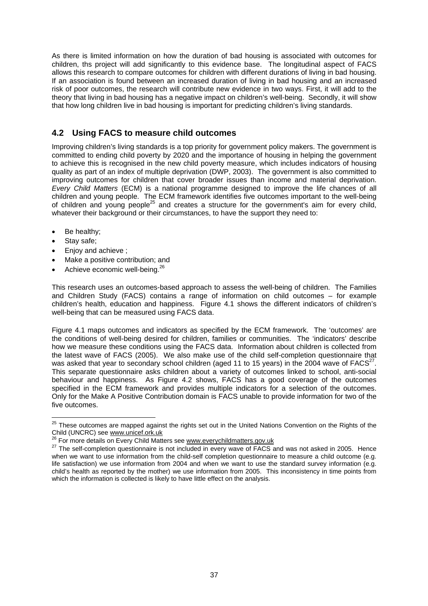As there is limited information on how the duration of bad housing is associated with outcomes for children, ths project will add significantly to this evidence base. The longitudinal aspect of FACS allows this research to compare outcomes for children with different durations of living in bad housing. If an association is found between an increased duration of living in bad housing and an increased risk of poor outcomes, the research will contribute new evidence in two ways. First, it will add to the theory that living in bad housing has a negative impact on children's well-being. Secondly, it will show that how long children live in bad housing is important for predicting children's living standards.

# **4.2 Using FACS to measure child outcomes**

Improving children's living standards is a top priority for government policy makers. The government is committed to ending child poverty by 2020 and the importance of housing in helping the government to achieve this is recognised in the new child poverty measure, which includes indicators of housing quality as part of an index of multiple deprivation (DWP, 2003). The government is also committed to improving outcomes for children that cover broader issues than income and material deprivation. *Every Child Matters* (ECM) is a national programme designed to improve the life chances of all children and young people. The ECM framework identifies five outcomes important to the well-being of children and young people<sup>25</sup> and creates a structure for the government's aim for every child, whatever their background or their circumstances, to have the support they need to:

- Be healthy;
- Stav safe:

l

- Enjoy and achieve ;
- Make a positive contribution; and
- Achieve economic well-being.<sup>[26](#page-46-1)</sup>

This research uses an outcomes-based approach to assess the well-being of children. The Families and Children Study (FACS) contains a range of information on child outcomes  $-$  for example children's health, education and happiness. Figure 4.1 shows the different indicators of children's well-being that can be measured using FACS data.

Figure 4.1 maps outcomes and indicators as specified by the ECM framework. The 'outcomes' are the conditions of well-being desired for children, families or communities. The 'indicators' describe how we measure these conditions using the FACS data. Information about children is collected from the latest wave of FACS (2005). We also make use of the child self-completion questionnaire that was asked that year to secondary school children (aged 11 to 15 years) in the 2004 wave of  $FACS<sup>2</sup>$ This separate questionnaire asks children about a variety of outcomes linked to school, anti-social behaviour and happiness. As Figure 4.2 shows, FACS has a good coverage of the outcomes specified in the ECM framework and provides multiple indicators for a selection of the outcomes. Only for the Make A Positive Contribution domain is FACS unable to provide information for two of the five outcomes.

<span id="page-46-0"></span> $25$  These outcomes are mapped against the rights set out in the United Nations Convention on the Rights of the Child (UNCRC) see w[ww.unicef.ork.u](http://www.unicef.ork.uk/)k<br><sup>26</sup> For more details on Every Child Matters see w[ww.everychildmatters.gov.u](http://www.everychildmatters.gov.uk/)k<br><sup>27</sup> The self-completion questionnaire is not included in every wave of FACS and was not asked in 2005. Henc

<span id="page-46-1"></span>

<span id="page-46-2"></span>when we want to use information from the child-self completion questionnaire to measure a child outcome (e.g. life satisfaction) we use information from 2004 and when we want to use the standard survey information (e.g. child's health as reported by the mother) we use information from 2005. This inconsistency in time points from which the information is collected is likely to have little effect on the analysis.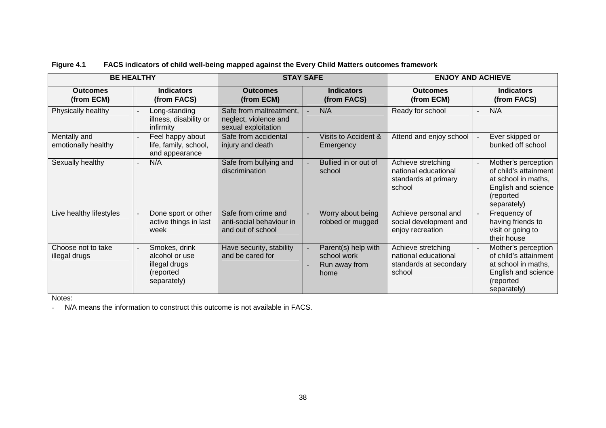|                                     | <b>BE HEALTHY</b><br><b>STAY SAFE</b>                                        |                                                                         |                                                             |                                                                                | <b>ENJOY AND ACHIEVE</b>                                                                                                |
|-------------------------------------|------------------------------------------------------------------------------|-------------------------------------------------------------------------|-------------------------------------------------------------|--------------------------------------------------------------------------------|-------------------------------------------------------------------------------------------------------------------------|
| <b>Outcomes</b><br>(from ECM)       | <b>Indicators</b><br>(from FACS)                                             | <b>Outcomes</b><br>(from ECM)                                           | <b>Indicators</b><br>(from FACS)                            | <b>Outcomes</b><br>(from ECM)                                                  | <b>Indicators</b><br>(from FACS)                                                                                        |
| Physically healthy                  | Long-standing<br>illness, disability or<br>infirmity                         | Safe from maltreatment,<br>neglect, violence and<br>sexual exploitation | N/A                                                         | Ready for school                                                               | N/A                                                                                                                     |
| Mentally and<br>emotionally healthy | Feel happy about<br>life, family, school,<br>and appearance                  | Safe from accidental<br>injury and death                                | Visits to Accident &<br>Emergency                           | Attend and enjoy school                                                        | Ever skipped or<br>bunked off school                                                                                    |
| Sexually healthy                    | N/A                                                                          | Safe from bullying and<br>discrimination                                | Bullied in or out of<br>school                              | Achieve stretching<br>national educational<br>standards at primary<br>school   | Mother's perception<br>of child's attainment<br>at school in maths,<br>English and science<br>(reported<br>separately)  |
| Live healthy lifestyles             | Done sport or other<br>active things in last<br>week                         | Safe from crime and<br>anti-social behaviour in<br>and out of school    | Worry about being<br>robbed or mugged                       | Achieve personal and<br>social development and<br>enjoy recreation             | Frequency of<br>having friends to<br>visit or going to<br>their house                                                   |
| Choose not to take<br>illegal drugs | Smokes, drink<br>alcohol or use<br>illegal drugs<br>(reported<br>separately) | Have security, stability<br>and be cared for                            | Parent(s) help with<br>school work<br>Run away from<br>home | Achieve stretching<br>national educational<br>standards at secondary<br>school | Mother's perception<br>of child's attainment<br>at school in maths,<br>English and science<br>(reported)<br>separately) |

# **Figure 4.1 FACS indicators of child well-being mapped against the Every Child Matters outcomes framework**

Notes:

- N/A means the information to construct this outcome is not available in FACS.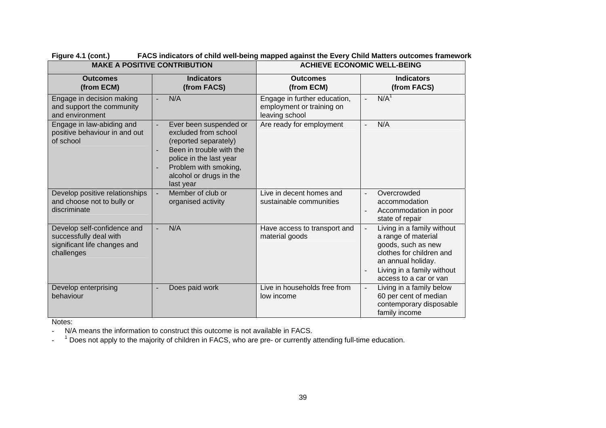|                                                                                                     | <b>MAKE A POSITIVE CONTRIBUTION</b>                                                                                                                                                             | <b>ACHIEVE ECONOMIC WELL-BEING</b>                                          |                                                                                                                                                                                   |  |  |  |
|-----------------------------------------------------------------------------------------------------|-------------------------------------------------------------------------------------------------------------------------------------------------------------------------------------------------|-----------------------------------------------------------------------------|-----------------------------------------------------------------------------------------------------------------------------------------------------------------------------------|--|--|--|
| <b>Outcomes</b><br>(from ECM)                                                                       | <b>Indicators</b><br>(from FACS)                                                                                                                                                                | <b>Outcomes</b><br>(from ECM)                                               | <b>Indicators</b><br>(from FACS)                                                                                                                                                  |  |  |  |
| Engage in decision making<br>and support the community<br>and environment                           | N/A                                                                                                                                                                                             | Engage in further education,<br>employment or training on<br>leaving school | N/A <sup>1</sup>                                                                                                                                                                  |  |  |  |
| Engage in law-abiding and<br>positive behaviour in and out<br>of school                             | Ever been suspended or<br>excluded from school<br>(reported separately)<br>Been in trouble with the<br>police in the last year<br>Problem with smoking,<br>alcohol or drugs in the<br>last year | Are ready for employment                                                    | N/A<br>L,                                                                                                                                                                         |  |  |  |
| Develop positive relationships<br>and choose not to bully or<br>discriminate                        | Member of club or<br>organised activity                                                                                                                                                         | Live in decent homes and<br>sustainable communities                         | Overcrowded<br>accommodation<br>Accommodation in poor<br>state of repair                                                                                                          |  |  |  |
| Develop self-confidence and<br>successfully deal with<br>significant life changes and<br>challenges | N/A                                                                                                                                                                                             | Have access to transport and<br>material goods                              | Living in a family without<br>a range of material<br>goods, such as new<br>clothes for children and<br>an annual holiday.<br>Living in a family without<br>access to a car or van |  |  |  |
| Develop enterprising<br>behaviour<br>.                                                              | Does paid work                                                                                                                                                                                  | Live in households free from<br>low income                                  | Living in a family below<br>60 per cent of median<br>contemporary disposable<br>family income                                                                                     |  |  |  |

**Figure 4.1 (cont.) FACS indicators of child well-being mapped against the Every Child Matters outcomes framework** 

Notes:

-N/A means the information to construct this outcome is not available in FACS.

- <sup>1</sup> Does not apply to the majority of children in FACS, who are pre- or currently attending full-time education.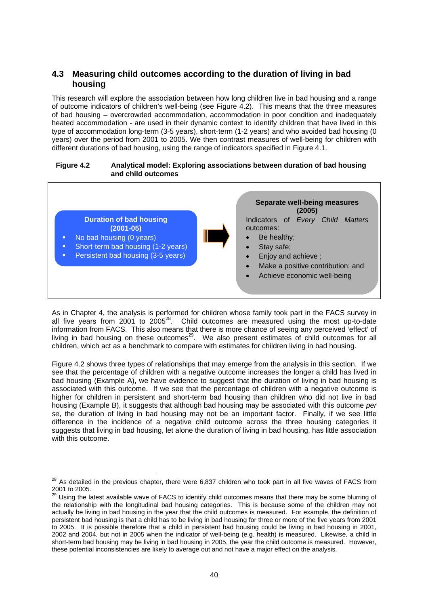# **4.3 Measuring child outcomes according to the duration of living in bad housing**

This research will explore the association between how long children live in bad housing and a range of outcome indicators of children's well-being (see Figure 4.2). This means that the three measures of bad housing – overcrowded accommodation, accommodation in poor condition and inadequately heated accommodation - are used in their dynamic context to identify children that have lived in this type of accommodation long-term (3-5 years), short-term (1-2 years) and who avoided bad housing (0 years) over the period from 2001 to 2005. We then contrast measures of well-being for children with different durations of bad housing, using the range of indicators specified in Figure 4.1.

#### **Figure 4.2 Analytical model: Exploring associations between duration of bad housing and child outcomes**



As in Chapter 4, the analysis is performed for children whose family took part in the FACS survey in all five vears from  $2001$  to  $2005^{28}$ . Child outcomes are measured using the most up-to-date information from FACS. This also means that there is more chance of seeing any perceived 'effect' of living in bad housing on these outcomes<sup>29</sup>. We also present estimates of child outcomes for all children, which act as a benchmark to compare with estimates for children living in bad housing.

Figure 4.2 shows three types of relationships that may emerge from the analysis in this section. If we see that the percentage of children with a negative outcome increases the longer a child has lived in bad housing (Example A), we have evidence to suggest that the duration of living in bad housing is associated with this outcome. If we see that the percentage of children with a negative outcome is higher for children in persistent and short-term bad housing than children who did not live in bad housing (Example B), it suggests that although bad housing may be associated with this outcome *per se*, the duration of living in bad housing may not be an important factor. Finally, if we see little difference in the incidence of a negative child outcome across the three housing categories it suggests that living in bad housing, let alone the duration of living in bad housing, has little association with this outcome.

<span id="page-49-0"></span> $^{28}$  As detailed in the previous chapter, there were 6,837 children who took part in all five waves of FACS from 2001 to 2005.

<span id="page-49-1"></span><sup>2001</sup> to 2005. 29 Using the latest available wave of FACS to identify child outcomes means that there may be some blurring of the relationship with the longitudinal bad housing categories. This is because some of the children may not actually be living in bad housing in the year that the child outcomes is measured. For example, the definition of persistent bad housing is that a child has to be living in bad housing for three or more of the five years from 2001 to 2005. It is possible therefore that a child in persistent bad housing could be living in bad housing in 2001, 2002 and 2004, but not in 2005 when the indicator of well-being (e.g. health) is measured. Likewise, a child in short-term bad housing may be living in bad housing in 2005, the year the child outcome is measured. However, these potential inconsistencies are likely to average out and not have a major effect on the analysis.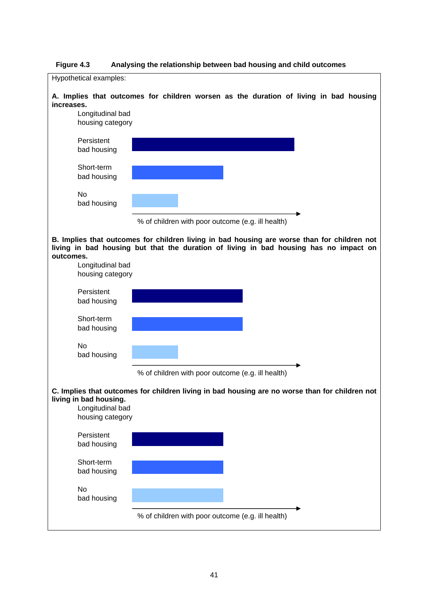

**Figure 4.3 Analysing the relationship between bad housing and child outcomes**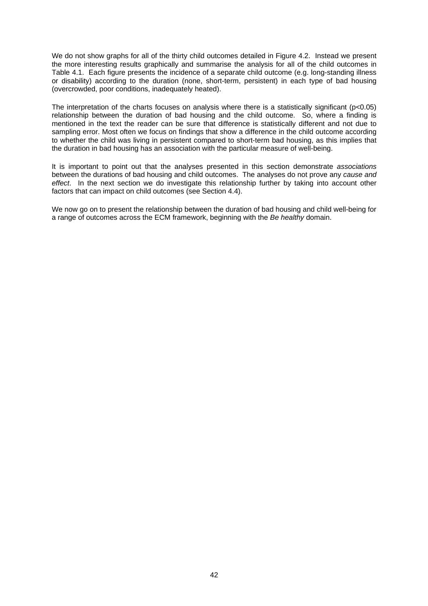We do not show graphs for all of the thirty child outcomes detailed in Figure 4.2. Instead we present the more interesting results graphically and summarise the analysis for all of the child outcomes in Table 4.1. Each figure presents the incidence of a separate child outcome (e.g. long-standing illness or disability) according to the duration (none, short-term, persistent) in each type of bad housing (overcrowded, poor conditions, inadequately heated).

The interpretation of the charts focuses on analysis where there is a statistically significant ( $p<0.05$ ) relationship between the duration of bad housing and the child outcome. So, where a finding is mentioned in the text the reader can be sure that difference is statistically different and not due to sampling error. Most often we focus on findings that show a difference in the child outcome according to whether the child was living in persistent compared to short-term bad housing, as this implies that the duration in bad housing has an association with the particular measure of well-being.

It is important to point out that the analyses presented in this section demonstrate *associations* between the durations of bad housing and child outcomes. The analyses do not prove any *cause and effect*. In the next section we do investigate this relationship further by taking into account other factors that can impact on child outcomes (see Section 4.4).

We now go on to present the relationship between the duration of bad housing and child well-being for a range of outcomes across the ECM framework, beginning with the *Be healthy* domain.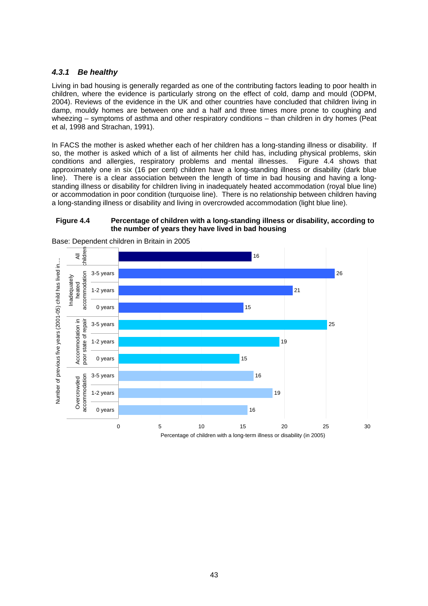# *4.3.1 Be healthy*

Living in bad housing is generally regarded as one of the contributing factors leading to poor health in children, where the evidence is particularly strong on the effect of cold, damp and mould (ODPM, 2004). Reviews of the evidence in the UK and other countries have concluded that children living in damp, mouldy homes are between one and a half and three times more prone to coughing and wheezing – symptoms of asthma and other respiratory conditions – than children in dry homes (Peat et al, 1998 and Strachan, 1991).

In FACS the mother is asked whether each of her children has a long-standing illness or disability. If so, the mother is asked which of a list of ailments her child has, including physical problems, skin conditions and allergies, respiratory problems and mental illnesses. Figure 4.4 shows that approximately one in six (16 per cent) children have a long-standing illness or disability (dark blue line). There is a clear association between the length of time in bad housing and having a longstanding illness or disability for children living in inadequately heated accommodation (royal blue line) or accommodation in poor condition (turquoise line). There is no relationship between children having a long-standing illness or disability and living in overcrowded accommodation (light blue line).

### **Figure 4.4 Percentage of children with a long-standing illness or disability, according to the number of years they have lived in bad housing**



Base: Dependent children in Britain in 2005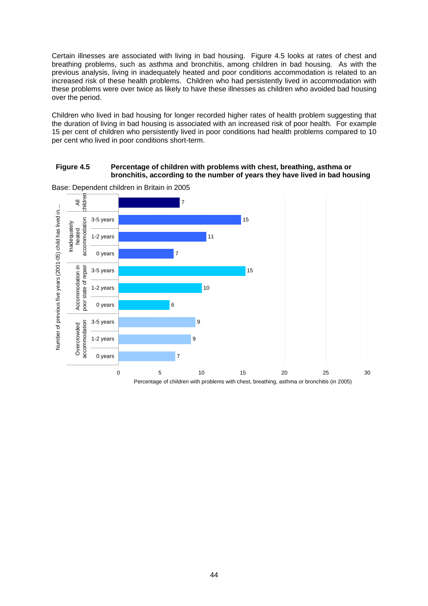Certain illnesses are associated with living in bad housing. Figure 4.5 looks at rates of chest and breathing problems, such as asthma and bronchitis, among children in bad housing. As with the previous analysis, living in inadequately heated and poor conditions accommodation is related to an increased risk of these health problems. Children who had persistently lived in accommodation with these problems were over twice as likely to have these illnesses as children who avoided bad housing over the period.

Children who lived in bad housing for longer recorded higher rates of health problem suggesting that the duration of living in bad housing is associated with an increased risk of poor health. For example 15 per cent of children who persistently lived in poor conditions had health problems compared to 10 per cent who lived in poor conditions short-term.

### **Figure 4.5 Percentage of children with problems with chest, breathing, asthma or bronchitis, according to the number of years they have lived in bad housing**



Base: Dependent children in Britain in 2005

Percentage of children with problems with chest, breathing, asthma or bronchitis (in 2005)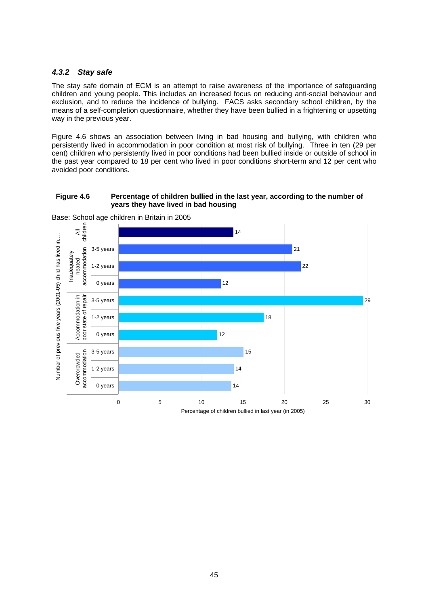### *4.3.2 Stay safe*

The stay safe domain of ECM is an attempt to raise awareness of the importance of safeguarding children and young people. This includes an increased focus on reducing anti-social behaviour and exclusion, and to reduce the incidence of bullying. FACS asks secondary school children, by the means of a self-completion questionnaire, whether they have been bullied in a frightening or upsetting way in the previous year.

Figure 4.6 shows an association between living in bad housing and bullying, with children who persistently lived in accommodation in poor condition at most risk of bullying. Three in ten (29 per cent) children who persistently lived in poor conditions had been bullied inside or outside of school in the past year compared to 18 per cent who lived in poor conditions short-term and 12 per cent who avoided poor conditions.

### **Figure 4.6 Percentage of children bullied in the last year, according to the number of years they have lived in bad housing**



Base: School age children in Britain in 2005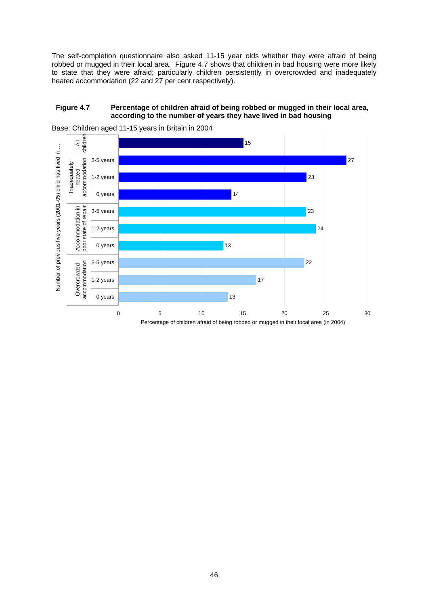The self-completion questionnaire also asked 11-15 year olds whether they were afraid of being robbed or mugged in their local area. Figure 4.7 shows that children in bad housing were more likely to state that they were afraid; particularly children persistently in overcrowded and inadequately heated accommodation (22 and 27 per cent respectively).

### **Figure 4.7 Percentage of children afraid of being robbed or mugged in their local area, according to the number of years they have lived in bad housing**



Base: Children aged 11-15 years in Britain in 2004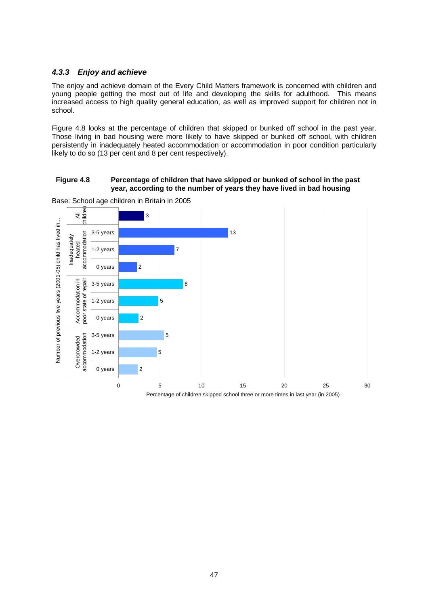### *4.3.3 Enjoy and achieve*

The enjoy and achieve domain of the Every Child Matters framework is concerned with children and young people getting the most out of life and developing the skills for adulthood. This means increased access to high quality general education, as well as improved support for children not in school.

Figure 4.8 looks at the percentage of children that skipped or bunked off school in the past year. Those living in bad housing were more likely to have skipped or bunked off school, with children persistently in inadequately heated accommodation or accommodation in poor condition particularly likely to do so (13 per cent and 8 per cent respectively).

#### **Figure 4.8 Percentage of children that have skipped or bunked of school in the past year, according to the number of years they have lived in bad housing**



Base: School age children in Britain in 2005

Percentage of children skipped school three or more times in last year (in 2005)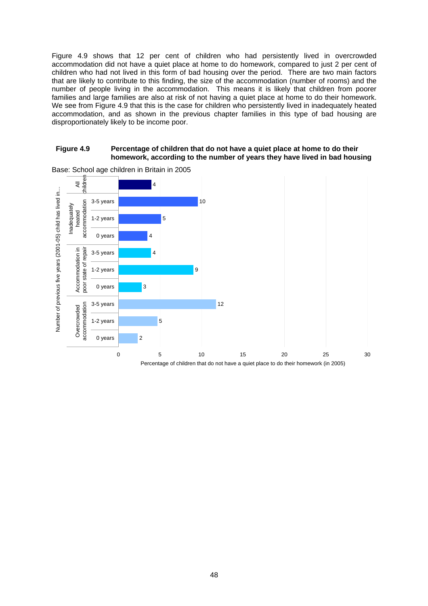Figure 4.9 shows that 12 per cent of children who had persistently lived in overcrowded accommodation did not have a quiet place at home to do homework, compared to just 2 per cent of children who had not lived in this form of bad housing over the period. There are two main factors that are likely to contribute to this finding, the size of the accommodation (number of rooms) and the number of people living in the accommodation. This means it is likely that children from poorer families and large families are also at risk of not having a quiet place at home to do their homework. We see from Figure 4.9 that this is the case for children who persistently lived in inadequately heated accommodation, and as shown in the previous chapter families in this type of bad housing are disproportionately likely to be income poor.

#### **Figure 4.9 Percentage of children that do not have a quiet place at home to do their homework, according to the number of years they have lived in bad housing**



Base: School age children in Britain in 2005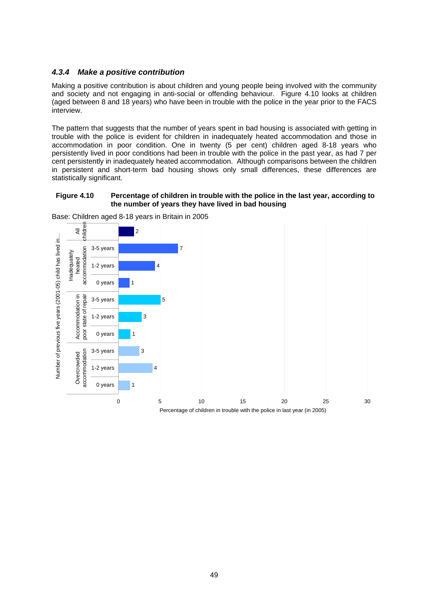## *4.3.4 Make a positive contribution*

Making a positive contribution is about children and young people being involved with the community and society and not engaging in anti-social or offending behaviour. Figure 4.10 looks at children (aged between 8 and 18 years) who have been in trouble with the police in the year prior to the FACS interview.

The pattern that suggests that the number of years spent in bad housing is associated with getting in trouble with the police is evident for children in inadequately heated accommodation and those in accommodation in poor condition. One in twenty (5 per cent) children aged 8-18 years who persistently lived in poor conditions had been in trouble with the police in the past year, as had 7 per cent persistently in inadequately heated accommodation. Although comparisons between the children in persistent and short-term bad housing shows only small differences, these differences are statistically significant.

### **Figure 4.10 Percentage of children in trouble with the police in the last year, according to the number of years they have lived in bad housing**



Base: Children aged 8-18 years in Britain in 2005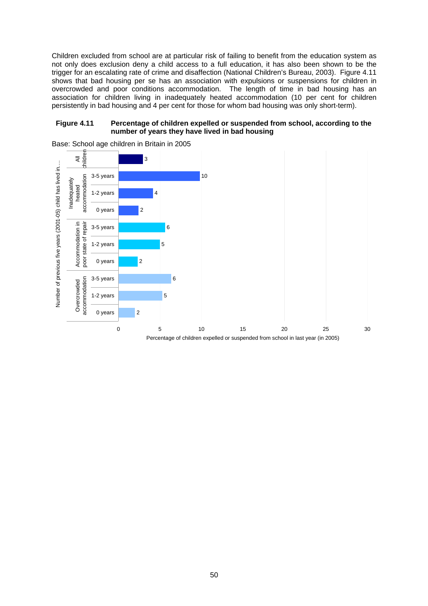Children excluded from school are at particular risk of failing to benefit from the education system as not only does exclusion deny a child access to a full education, it has also been shown to be the trigger for an escalating rate of crime and disaffection (National Children's Bureau, 2003). Figure 4.11 shows that bad housing per se has an association with expulsions or suspensions for children in overcrowded and poor conditions accommodation. The length of time in bad housing has an association for children living in inadequately heated accommodation (10 per cent for children persistently in bad housing and 4 per cent for those for whom bad housing was only short-term).

#### **Figure 4.11 Percentage of children expelled or suspended from school, according to the number of years they have lived in bad housing**



Base: School age children in Britain in 2005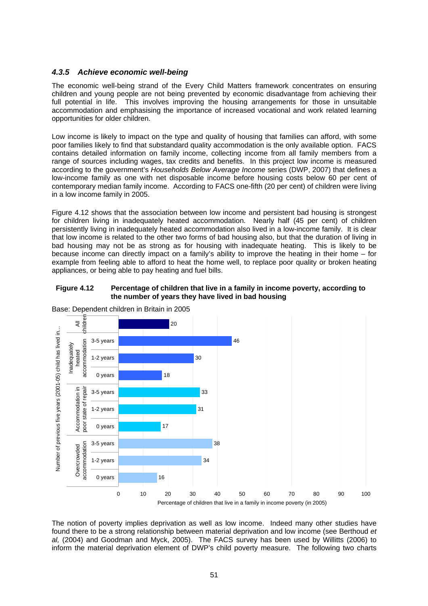# *4.3.5 Achieve economic well-being*

The economic well-being strand of the Every Child Matters framework concentrates on ensuring children and young people are not being prevented by economic disadvantage from achieving their full potential in life. This involves improving the housing arrangements for those in unsuitable accommodation and emphasising the importance of increased vocational and work related learning opportunities for older children.

Low income is likely to impact on the type and quality of housing that families can afford, with some poor families likely to find that substandard quality accommodation is the only available option. FACS contains detailed information on family income, collecting income from all family members from a range of sources including wages, tax credits and benefits. In this project low income is measured according to the government's *Households Below Average Income* series (DWP, 2007) that defines a low-income family as one with net disposable income before housing costs below 60 per cent of contemporary median family income. According to FACS one-fifth (20 per cent) of children were living in a low income family in 2005.

Figure 4.12 shows that the association between low income and persistent bad housing is strongest for children living in inadequately heated accommodation. Nearly half (45 per cent) of children persistently living in inadequately heated accommodation also lived in a low-income family. It is clear that low income is related to the other two forms of bad housing also, but that the duration of living in bad housing may not be as strong as for housing with inadequate heating. This is likely to be because income can directly impact on a family's ability to improve the heating in their home – for example from feeling able to afford to heat the home well, to replace poor quality or broken heating appliances, or being able to pay heating and fuel bills.





Base: Dependent children in Britain in 2005

The notion of poverty implies deprivation as well as low income. Indeed many other studies have found there to be a strong relationship between material deprivation and low income (see Berthoud *et al,* (2004) and Goodman and Myck, 2005). The FACS survey has been used by Willitts (2006) to inform the material deprivation element of DWP's child poverty measure. The following two charts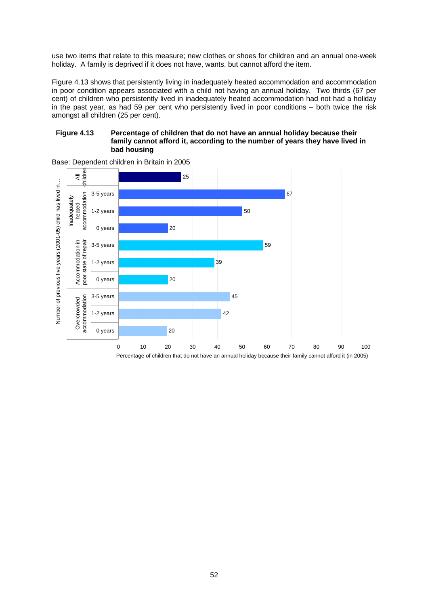use two items that relate to this measure; new clothes or shoes for children and an annual one-week holiday. A family is deprived if it does not have, wants, but cannot afford the item.

Figure 4.13 shows that persistently living in inadequately heated accommodation and accommodation in poor condition appears associated with a child not having an annual holiday. Two thirds (67 per cent) of children who persistently lived in inadequately heated accommodation had not had a holiday in the past year, as had 59 per cent who persistently lived in poor conditions – both twice the risk amongst all children (25 per cent).

#### **Figure 4.13 Percentage of children that do not have an annual holiday because their family cannot afford it, according to the number of years they have lived in bad housing**



Base: Dependent children in Britain in 2005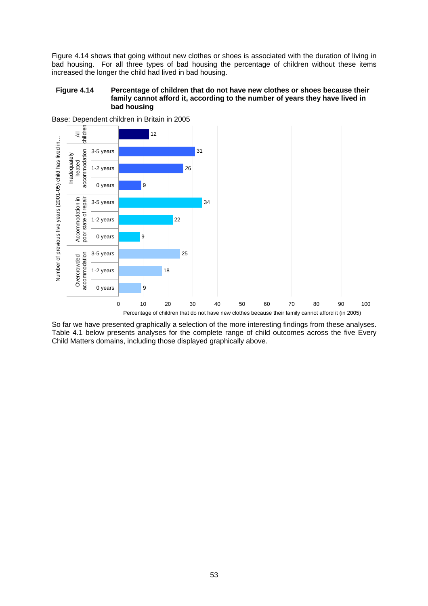Figure 4.14 shows that going without new clothes or shoes is associated with the duration of living in bad housing. For all three types of bad housing the percentage of children without these items increased the longer the child had lived in bad housing.

#### **Figure 4.14 Percentage of children that do not have new clothes or shoes because their family cannot afford it, according to the number of years they have lived in bad housing**



Base: Dependent children in Britain in 2005

So far we have presented graphically a selection of the more interesting findings from these analyses. Table 4.1 below presents analyses for the complete range of child outcomes across the five Every Child Matters domains, including those displayed graphically above.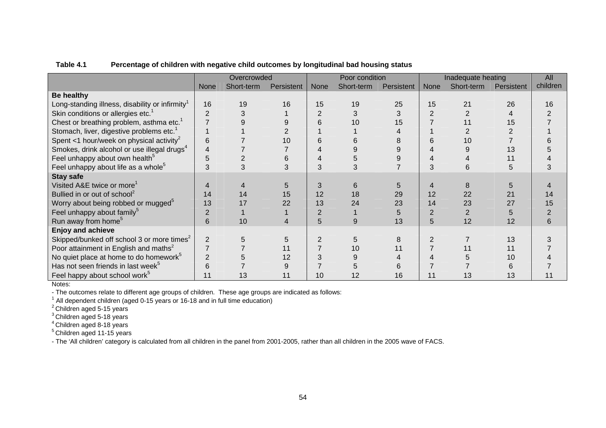|                                                             | Overcrowded    |            |            |             | Poor condition |            | Inadequate heating |            |            | All      |
|-------------------------------------------------------------|----------------|------------|------------|-------------|----------------|------------|--------------------|------------|------------|----------|
|                                                             | <b>None</b>    | Short-term | Persistent | <b>None</b> | Short-term     | Persistent | <b>None</b>        | Short-term | Persistent | children |
| <b>Be healthy</b>                                           |                |            |            |             |                |            |                    |            |            |          |
| Long-standing illness, disability or infirmity <sup>1</sup> | 16             | 19         | 16         | 15          | 19             | 25         | 15                 | 21         | 26         | 16       |
| Skin conditions or allergies etc. <sup>1</sup>              | $\overline{2}$ |            |            | 2           |                |            | $\overline{2}$     |            |            |          |
| Chest or breathing problem, asthma etc. <sup>1</sup>        |                |            |            | 6           | 10             | 15         |                    | 11         | 15         |          |
| Stomach, liver, digestive problems etc. <sup>1</sup>        |                |            |            |             |                |            |                    |            |            |          |
| Spent <1 hour/week on physical activity <sup>2</sup>        | 6              |            | 10         | 6           |                |            | 6                  | 10         |            |          |
| Smokes, drink alcohol or use illegal drugs <sup>4</sup>     | 4              |            |            |             |                |            |                    |            | 13         |          |
| Feel unhappy about own health <sup>3</sup>                  | 5              |            |            |             |                |            |                    |            |            |          |
| Feel unhappy about life as a whole <sup>5</sup>             | 3              |            |            | 3           |                |            | 3                  | 6          |            |          |
| <b>Stay safe</b>                                            |                |            |            |             |                |            |                    |            |            |          |
| Visited A&E twice or more                                   |                |            |            | 3           |                |            |                    | 8          |            |          |
| Bullied in or out of school <sup>2</sup>                    | 14             | 14         | 15         | 12          | 18             | 29         | 12                 | 22         | 21         | 14       |
| Worry about being robbed or mugged <sup>5</sup>             | 13             | 17         | 22         | 13          | 24             | 23         | 14                 | 23         | 27         | 15       |
| Feel unhappy about family <sup>5</sup>                      |                |            |            | 2           |                |            | 2                  |            |            |          |
| Run away from home <sup>5</sup>                             | 6              | 10         |            | 5           | 9              | 13         | 5                  | 12         | 12         | 6        |
| <b>Enjoy and achieve</b>                                    |                |            |            |             |                |            |                    |            |            |          |
| Skipped/bunked off school 3 or more times <sup>2</sup>      | $\overline{2}$ |            |            |             |                |            | $\overline{2}$     |            | 13         |          |
| Poor attainment in English and maths <sup>2</sup>           |                |            | 11         |             | 10             |            |                    | 11         | 11         |          |
| No quiet place at home to do homework <sup>5</sup>          |                |            | 12         |             |                |            |                    |            | 10         |          |
| Has not seen friends in last week <sup>5</sup>              | հ              |            |            |             |                |            |                    |            |            |          |
| Feel happy about school work <sup>5</sup>                   |                | 13         | 11         | 10          | 12             | 16         | 11                 | 13         | 13         |          |

#### **Table 4.1Percentage of children with negative child outcomes by longitudinal bad housing status**

Notes:

- The outcomes relate to different age groups of children. These age groups are indicated as follows:

 $1$  All dependent children (aged 0-15 years or 16-18 and in full time education)

 $^{2}$ Children aged 5-15 years

 $^3$ Children aged 5-18 years

<sup>4</sup> Children aged 8-18 years

5 Children aged 11-15 years

- The 'All children' category is calculated from all children in the panel from 2001-2005, rather than all children in the 2005 wave of FACS.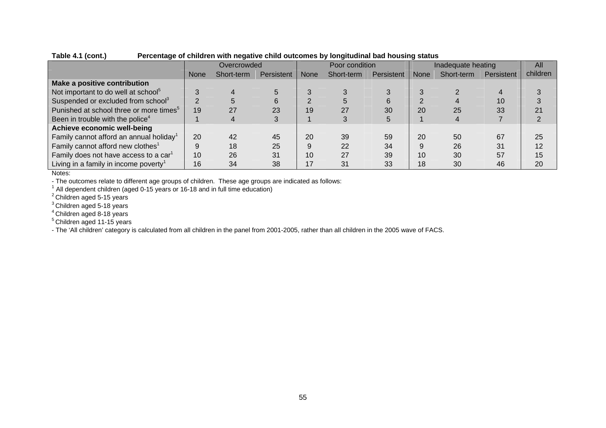|                                                     |             | Overcrowded |            |             | Poor condition |            |             | Inadequate heating |            |          |
|-----------------------------------------------------|-------------|-------------|------------|-------------|----------------|------------|-------------|--------------------|------------|----------|
|                                                     | <b>None</b> | Short-term  | Persistent | <b>None</b> | Short-term     | Persistent | <b>None</b> | Short-term         | Persistent | children |
| Make a positive contribution                        |             |             |            |             |                |            |             |                    |            |          |
| Not important to do well at school <sup>5</sup>     |             |             |            |             |                |            |             |                    |            |          |
| Suspended or excluded from school <sup>3</sup>      |             |             | 6          |             |                |            |             |                    | 10         |          |
| Punished at school three or more times <sup>5</sup> | 19          | 27          | 23         | 19          | 27             | 30         | 20          | 25                 | 33         |          |
| Been in trouble with the police <sup>4</sup>        |             |             |            |             |                |            |             |                    |            |          |
| Achieve economic well-being                         |             |             |            |             |                |            |             |                    |            |          |
| Family cannot afford an annual holiday <sup>1</sup> | 20          | 42          | 45         | 20          | 39             | 59         | 20          | 50                 | 67         | 25       |
| Family cannot afford new clothes <sup>1</sup>       | 9           | 18          | 25         | 9           | 22             | 34         | 9           | 26                 | 31         | 12       |
| Family does not have access to a car <sup>1</sup>   | 10          | 26          | 31         | 10          | 27             | 39         | 10          | 30                 | 57         | 15       |
| Living in a family in income poverty <sup>1</sup>   | 16          | 34          | 38         | 17          | 31             | 33         | 18          | 30                 | 46         | 20       |

**Table 4.1 (cont.) Percentage of children with negative child outcomes by longitudinal bad housing status** 

Notes:

- The outcomes relate to different age groups of children. These age groups are indicated as follows:

 $1$  All dependent children (aged 0-15 years or 16-18 and in full time education)

 $^{2}$ Children aged 5-15 years

 $^3$ Children aged 5-18 years

<sup>4</sup> Children aged 8-18 years

5 Children aged 11-15 years

- The 'All children' category is calculated from all children in the panel from 2001-2005, rather than all children in the 2005 wave of FACS.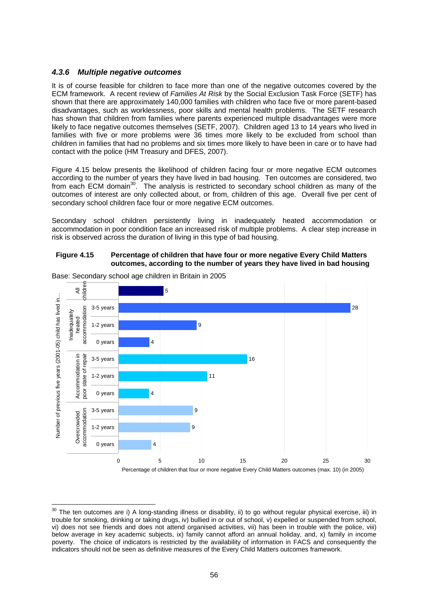### *4.3.6 Multiple negative outcomes*

It is of course feasible for children to face more than one of the negative outcomes covered by the ECM framework. A recent review of *Families At Risk* by the Social Exclusion Task Force (SETF) has shown that there are approximately 140,000 families with children who face five or more parent-based disadvantages, such as worklessness, poor skills and mental health problems. The SETF research has shown that children from families where parents experienced multiple disadvantages were more likely to face negative outcomes themselves (SETF, 2007). Children aged 13 to 14 years who lived in families with five or more problems were 36 times more likely to be excluded from school than children in families that had no problems and six times more likely to have been in care or to have had contact with the police (HM Treasury and DFES, 2007).

Figure 4.15 below presents the likelihood of children facing four or more negative ECM outcomes according to the number of years they have lived in bad housing. Ten outcomes are considered, two from each ECM domain<sup>30</sup>. The analysis is restricted to secondary school children as many of the outcomes of interest are only collected about, or from, children of this age. Overall five per cent of secondary school children face four or more negative ECM outcomes.

Secondary school children persistently living in inadequately heated accommodation or accommodation in poor condition face an increased risk of multiple problems. A clear step increase in risk is observed across the duration of living in this type of bad housing.

### **Figure 4.15 Percentage of children that have four or more negative Every Child Matters outcomes, according to the number of years they have lived in bad housing**



Base: Secondary school age children in Britain in 2005

<span id="page-65-0"></span> $30$  The ten outcomes are i) A long-standing illness or disability, ii) to go without regular physical exercise, iii) in trouble for smoking, drinking or taking drugs, iv) bullied in or out of school, v) expelled or suspended from school, vi) does not see friends and does not attend organised activities, vii) has been in trouble with the police, viii) below average in key academic subjects, ix) family cannot afford an annual holiday, and, x) family in income poverty. The choice of indicators is restricted by the availability of information in FACS and consequently the indicators should not be seen as definitive measures of the Every Child Matters outcomes framework.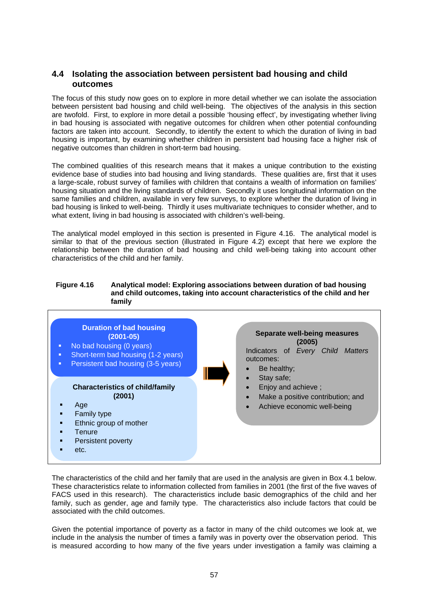# **4.4 Isolating the association between persistent bad housing and child outcomes**

The focus of this study now goes on to explore in more detail whether we can isolate the association between persistent bad housing and child well-being. The objectives of the analysis in this section are twofold. First, to explore in more detail a possible 'housing effect', by investigating whether living in bad housing is associated with negative outcomes for children when other potential confounding factors are taken into account. Secondly, to identify the extent to which the duration of living in bad housing is important, by examining whether children in persistent bad housing face a higher risk of negative outcomes than children in short-term bad housing.

The combined qualities of this research means that it makes a unique contribution to the existing evidence base of studies into bad housing and living standards. These qualities are, first that it uses a large-scale, robust survey of families with children that contains a wealth of information on families' housing situation and the living standards of children. Secondly it uses longitudinal information on the same families and children, available in very few surveys, to explore whether the duration of living in bad housing is linked to well-being. Thirdly it uses multivariate techniques to consider whether, and to what extent, living in bad housing is associated with children's well-being.

The analytical model employed in this section is presented in Figure 4.16. The analytical model is similar to that of the previous section (illustrated in Figure 4.2) except that here we explore the relationship between the duration of bad housing and child well-being taking into account other characteristics of the child and her family.

#### **Figure 4.16 Analytical model: Exploring associations between duration of bad housing and child outcomes, taking into account characteristics of the child and her family**



The characteristics of the child and her family that are used in the analysis are given in Box 4.1 below. These characteristics relate to information collected from families in 2001 (the first of the five waves of FACS used in this research). The characteristics include basic demographics of the child and her family, such as gender, age and family type. The characteristics also include factors that could be associated with the child outcomes.

Given the potential importance of poverty as a factor in many of the child outcomes we look at, we include in the analysis the number of times a family was in poverty over the observation period. This is measured according to how many of the five years under investigation a family was claiming a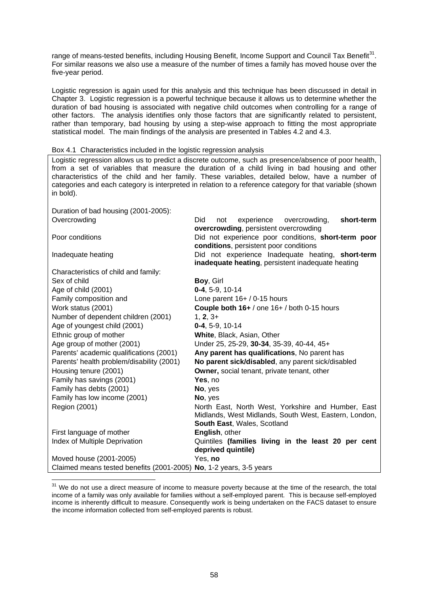range of means-tested benefits, including Housing Benefit, Income Support and Council Tax Benefit<sup>31</sup>. For similar reasons we also use a measure of the number of times a family has moved house over the five-year period.

Logistic regression is again used for this analysis and this technique has been discussed in detail in Chapter 3. Logistic regression is a powerful technique because it allows us to determine whether the duration of bad housing is associated with negative child outcomes when controlling for a range of other factors. The analysis identifies only those factors that are significantly related to persistent, rather than temporary, bad housing by using a step-wise approach to fitting the most appropriate statistical model. The main findings of the analysis are presented in Tables 4.2 and 4.3.

#### Box 4.1 Characteristics included in the logistic regression analysis

Logistic regression allows us to predict a discrete outcome, such as presence/absence of poor health, from a set of variables that measure the duration of a child living in bad housing and other characteristics of the child and her family. These variables, detailed below, have a number of categories and each category is interpreted in relation to a reference category for that variable (shown in bold).

Duration of bad housing (2001-2005): Overcrowding Did not experience overcrowding, **short-term overcrowding**, persistent overcrowding Poor conditions Did not experience poor conditions, **short-term poor conditions**, persistent poor conditions Inadequate heating Did not experience Inadequate heating, **short-term inadequate heating**, persistent inadequate heating Characteristics of child and family: Sex of child **Boy**, Girl Age of child (2001) **0-4**, 5-9, 10-14 Family composition and Lone parent 16+ / 0-15 hours Work status (2001) **Couple both 16+** / one 16+ / both 0-15 hours Number of dependent children (2001) 1, 2, 3+ Age of youngest child (2001) **0-4**, 5-9, 10-14 Ethnic group of mother **White**, Black, Asian, Other Age group of mother (2001) Under 25, 25-29, **30-34**, 35-39, 40-44, 45+ Parents' academic qualifications (2001) **Any parent has qualifications**, No parent has Parents' health problem/disability (2001) **No parent sick/disabled**, any parent sick/disabled Housing tenure (2001) **Owner,** social tenant, private tenant, other Family has savings (2001) **Yes**, no Family has debts (2001) **No**, yes Family has low income (2001) **No**, yes Region (2001) **North East, North West, Yorkshire and Humber, East** Midlands, West Midlands, South West, Eastern, London, **South East**, Wales, Scotland First language of mother **English**, other Index of Multiple Deprivation Quintiles **(families living in the least 20 per cent deprived quintile)**  Moved house (2001-2005) Yes, **no**  Claimed means tested benefits (2001-2005) **No**, 1-2 years, 3-5 years

l

<span id="page-67-0"></span><sup>&</sup>lt;sup>31</sup> We do not use a direct measure of income to measure poverty because at the time of the research, the total income of a family was only available for families without a self-employed parent. This is because self-employed income is inherently difficult to measure. Consequently work is being undertaken on the FACS dataset to ensure the income information collected from self-employed parents is robust.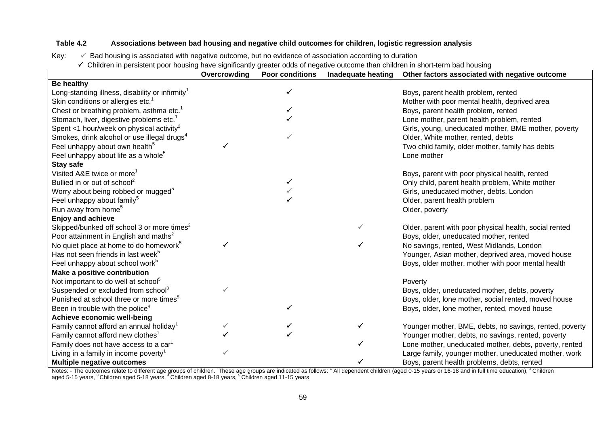# **Table 4.2 Associations between bad housing and negative child outcomes for children, logistic regression analysis**

Key:  $\sqrt{ }$  Bad housing is associated with negative outcome, but no evidence of association according to duration

 $\checkmark$  Children in persistent poor housing have significantly greater odds of negative outcome than children in short-term bad housing

|                                                         | Overcrowding | <b>Poor conditions</b> | Inadequate heating | Other factors associated with negative outcome          |
|---------------------------------------------------------|--------------|------------------------|--------------------|---------------------------------------------------------|
| <b>Be healthy</b>                                       |              |                        |                    |                                                         |
| Long-standing illness, disability or infirmity $1$      |              |                        |                    | Boys, parent health problem, rented                     |
| Skin conditions or allergies etc. <sup>1</sup>          |              |                        |                    | Mother with poor mental health, deprived area           |
| Chest or breathing problem, asthma etc. <sup>1</sup>    |              |                        |                    | Boys, parent health problem, rented                     |
| Stomach, liver, digestive problems etc. <sup>1</sup>    |              |                        |                    | Lone mother, parent health problem, rented              |
| Spent <1 hour/week on physical activity <sup>2</sup>    |              |                        |                    | Girls, young, uneducated mother, BME mother, poverty    |
| Smokes, drink alcohol or use illegal drugs <sup>4</sup> |              |                        |                    | Older, White mother, rented, debts                      |
| Feel unhappy about own health <sup>5</sup>              |              |                        |                    | Two child family, older mother, family has debts        |
| Feel unhappy about life as a whole <sup>5</sup>         |              |                        |                    | Lone mother                                             |
| <b>Stay safe</b>                                        |              |                        |                    |                                                         |
| Visited A&E twice or more <sup>1</sup>                  |              |                        |                    | Boys, parent with poor physical health, rented          |
| Bullied in or out of school <sup>2</sup>                |              |                        |                    | Only child, parent health problem, White mother         |
| Worry about being robbed or mugged <sup>5</sup>         |              |                        |                    | Girls, uneducated mother, debts, London                 |
| Feel unhappy about family <sup>5</sup>                  |              |                        |                    | Older, parent health problem                            |
| Run away from home <sup>5</sup>                         |              |                        |                    | Older, poverty                                          |
| <b>Enjoy and achieve</b>                                |              |                        |                    |                                                         |
| Skipped/bunked off school 3 or more times <sup>2</sup>  |              |                        |                    | Older, parent with poor physical health, social rented  |
| Poor attainment in English and maths <sup>2</sup>       |              |                        |                    | Boys, older, uneducated mother, rented                  |
| No quiet place at home to do homework <sup>5</sup>      |              |                        |                    | No savings, rented, West Midlands, London               |
| Has not seen friends in last week <sup>5</sup>          |              |                        |                    | Younger, Asian mother, deprived area, moved house       |
| Feel unhappy about school work <sup>5</sup>             |              |                        |                    | Boys, older mother, mother with poor mental health      |
| Make a positive contribution                            |              |                        |                    |                                                         |
| Not important to do well at school <sup>5</sup>         |              |                        |                    | Poverty                                                 |
| Suspended or excluded from school <sup>3</sup>          | √            |                        |                    | Boys, older, uneducated mother, debts, poverty          |
| Punished at school three or more times <sup>5</sup>     |              |                        |                    | Boys, older, lone mother, social rented, moved house    |
| Been in trouble with the police <sup>4</sup>            |              |                        |                    | Boys, older, lone mother, rented, moved house           |
| Achieve economic well-being                             |              |                        |                    |                                                         |
| Family cannot afford an annual holiday <sup>1</sup>     | √            |                        |                    | Younger mother, BME, debts, no savings, rented, poverty |
| Family cannot afford new clothes <sup>1</sup>           |              |                        |                    | Younger mother, debts, no savings, rented, poverty      |
| Family does not have access to a car <sup>1</sup>       |              |                        |                    | Lone mother, uneducated mother, debts, poverty, rented  |
| Living in a family in income poverty <sup>1</sup>       |              |                        |                    | Large family, younger mother, uneducated mother, work   |
| <b>Multiple negative outcomes</b>                       |              |                        |                    | Boys, parent health problems, debts, rented             |

Notes: - The outcomes relate to different age groups of children. These age groups are indicated as follows:  $1$  All dependent children (aged 0-15 years or 16-18 and in full time education),  $2$  Children aged 5-15 years,  $^3$ Children aged 5-18 years,  $^4$ Children aged 8-18 years,  $^5$ Children aged 11-15 years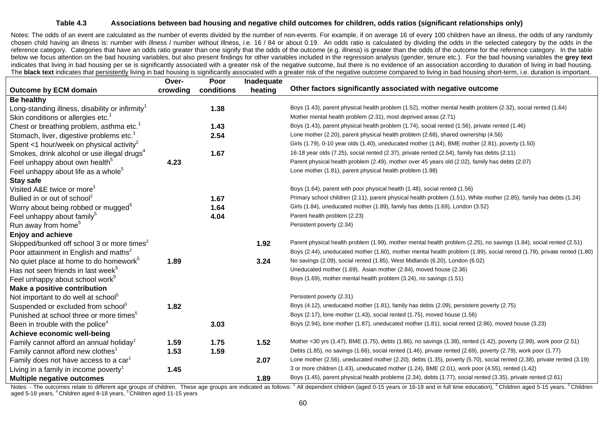#### **Table 4.3 Associations between bad housing and negative child outcomes for children, odds ratios (significant relationships only)**

Notes: The odds of an event are calculated as the number of events divided by the number of non-events. For example, if on average 16 of every 100 children have an illness, the odds of any randomly chosen child having an illness is: number with illness / number without illness, i.e. 16 / 84 or about 0.19. An odds ratio is calculated by dividing the odds in the selected category by the odds in the reference category. Categories that have an odds ratio greater than one signify that the odds of the outcome (e.g. illness) is greater than the odds of the outcome for the reference category. In the table below we focus attention on the bad housing variables, but also present findings for other variables included in the regression analysis (gender, tenure etc.). For the bad housing variables the **grey text** indicates that living in bad housing per se is significantly associated with a greater risk of the negative outcome, but there is no evidence of an association according to duration of living in bad housing. The **black text** indicates that persistently living in bad housing is significantly associated with a greater risk of the negative outcome compared to living in bad housing short-term, i.e. duration is important.

|                                                             | Over-    | Poor       | Inadequate |                                                                                                                         |
|-------------------------------------------------------------|----------|------------|------------|-------------------------------------------------------------------------------------------------------------------------|
| <b>Outcome by ECM domain</b>                                | crowding | conditions | heating    | Other factors significantly associated with negative outcome                                                            |
| <b>Be healthy</b>                                           |          |            |            |                                                                                                                         |
| Long-standing illness, disability or infirmity <sup>1</sup> |          | 1.38       |            | Boys (1.43), parent physical health problem (1.52), mother mental health problem (2.32), social rented (1.64)           |
| Skin conditions or allergies etc. <sup>1</sup>              |          |            |            | Mother mental health problem (2.31), most deprived areas (2.71)                                                         |
| Chest or breathing problem, asthma etc. <sup>1</sup>        |          | 1.43       |            | Boys (1.43), parent physical health problem (1.74), social rented (1.56), private rented (1.46)                         |
| Stomach, liver, digestive problems etc. <sup>1</sup>        |          | 2.54       |            | Lone mother (2.20), parent physical health problem (2.68), shared ownership (4.56)                                      |
| Spent <1 hour/week on physical activity <sup>2</sup>        |          |            |            | Girls (1.79), 0-10 year olds (1.40), uneducated mother (1.84), BME mother (2.81), poverty (1.50)                        |
| Smokes, drink alcohol or use illegal drugs <sup>4</sup>     |          | 1.67       |            | 16-18 year olds (7.25), social rented (2.37), private rented (2.54), family has debts (2.11)                            |
| Feel unhappy about own health <sup>5</sup>                  | 4.23     |            |            | Parent physical health problem (2.49), mother over 45 years old (2.02), family has debts (2.07)                         |
| Feel unhappy about life as a whole <sup>5</sup>             |          |            |            | Lone mother (1.81), parent physical health problem (1.98)                                                               |
| Stay safe                                                   |          |            |            |                                                                                                                         |
| Visited A&E twice or more <sup>1</sup>                      |          |            |            | Boys (1.64), parent with poor physical health (1.48), social rented (1.56)                                              |
| Bullied in or out of school <sup>2</sup>                    |          | 1.67       |            | Primary school children (2.11), parent physical health problem (1.51), White mother (2.85), family has debts (1.24)     |
| Worry about being robbed or mugged <sup>5</sup>             |          | 1.64       |            | Girls (1.84), uneducated mother (1.89), family has debts (1.69), London (3.52)                                          |
| Feel unhappy about family <sup>5</sup>                      |          | 4.04       |            | Parent health problem (2.23)                                                                                            |
| Run away from home <sup>5</sup>                             |          |            |            | Persistent poverty (2.34)                                                                                               |
| <b>Enjoy and achieve</b>                                    |          |            |            |                                                                                                                         |
| Skipped/bunked off school 3 or more times <sup>2</sup>      |          |            | 1.92       | Parent physical health problem (1.99), mother mental health problem (2.25), no savings (1.84), social rented (2.51)     |
| Poor attainment in English and maths <sup>2</sup>           |          |            |            | Boys (2.44), uneducated mother (1.60), mother mental health problem (1.99), social rented (1.79), private rented (1.80) |
| No quiet place at home to do homework <sup>5</sup>          | 1.89     |            | 3.24       | No savings (2.09), social rented (1.85), West Midlands (6.20), London (6.02)                                            |
| Has not seen friends in last week <sup>5</sup>              |          |            |            | Uneducated mother (1.69), Asian mother (2.84), moved house (2.36)                                                       |
| Feel unhappy about school work <sup>5</sup>                 |          |            |            | Boys (1.69), mother mental health problem (3.24), no savings (1.51)                                                     |
| Make a positive contribution                                |          |            |            |                                                                                                                         |
| Not important to do well at school <sup>5</sup>             |          |            |            | Persistent poverty (2.31)                                                                                               |
| Suspended or excluded from school <sup>3</sup>              | 1.82     |            |            | Boys (4.12), uneducated mother (1.81), family has debts (2.09), persistent poverty (2.75)                               |
| Punished at school three or more times <sup>5</sup>         |          |            |            | Boys (2.17), lone mother (1.43), social rented (1.75), moved house (1.56)                                               |
| Been in trouble with the police <sup>4</sup>                |          | 3.03       |            | Boys (2.94), lone mother (1.87), uneducated mother (1.81), social rented (2.86), moved house (3.23)                     |
| Achieve economic well-being                                 |          |            |            |                                                                                                                         |
| Family cannot afford an annual holiday <sup>1</sup>         | 1.59     | 1.75       | 1.52       | Mother <30 yrs (1.47), BME (1.75), debts (1.86), no savings (1.38), rented (1.42), poverty (2.99), work poor (2.51)     |
| Family cannot afford new clothes <sup>1</sup>               | 1.53     | 1.59       |            | Debts (1.85), no savings (1.66), social rented (1.46), private rented (2.69), poverty (2.79), work poor (1.77)          |
| Family does not have access to a car <sup>1</sup>           |          |            | 2.07       | Lone mother (2.56), uneducated mother (2.20), debts (1.35), poverty (5.70), social rented (2.38), private rented (3.19) |
| Living in a family in income poverty <sup>1</sup>           | 1.45     |            |            | 3 or more children (1.43), uneducated mother (1.24), BME (2.01), work poor (4.55), rented (1.42)                        |
| <b>Multiple negative outcomes</b>                           |          |            | 1.89       | Boys (1.45), parent physical health problems (2.34), debts (1.77), social rented (3.35), private rented (2.61)          |

Notes: - The outcomes relate to different age groups of children. These age groups are indicated as follows: 1 All dependent children (aged 0-15 years or 16-18 and in full time education), <sup>2</sup> Children aged 5-15 years, <sup>3</sup> aged 5-18 years, <sup>4</sup> Children aged 8-18 years, <sup>5</sup> Children aged 11-15 years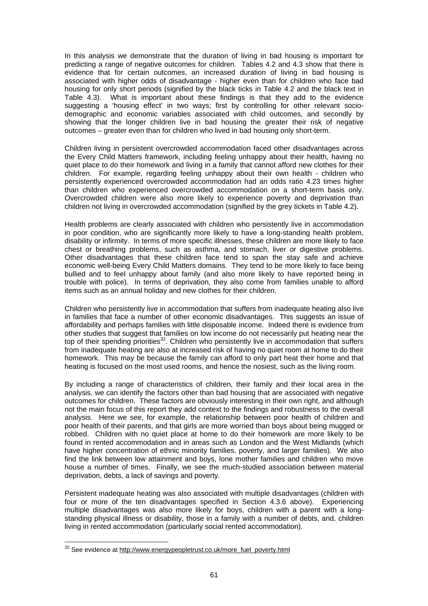In this analysis we demonstrate that the duration of living in bad housing is important for predicting a range of negative outcomes for children. Tables 4.2 and 4.3 show that there is evidence that for certain outcomes, an increased duration of living in bad housing is associated with higher odds of disadvantage - higher even than for children who face bad housing for only short periods (signified by the black ticks in Table 4.2 and the black text in Table 4.3). What is important about these findings is that they add to the evidence suggesting a 'housing effect' in two ways; first by controlling for other relevant sociodemographic and economic variables associated with child outcomes, and secondly by showing that the longer children live in bad housing the greater their risk of negative outcomes – greater even than for children who lived in bad housing only short-term.

Children living in persistent overcrowded accommodation faced other disadvantages across the Every Child Matters framework, including feeling unhappy about their health, having no quiet place to do their homework and living in a family that cannot afford new clothes for their children. For example, regarding feeling unhappy about their own health - children who persistently experienced overcrowded accommodation had an odds ratio 4.23 times higher than children who experienced overcrowded accommodation on a short-term basis only. Overcrowded children were also more likely to experience poverty and deprivation than children not living in overcrowded accommodation (signified by the grey tickets in Table 4.2).

Health problems are clearly associated with children who persistently live in accommodation in poor condition, who are significantly more likely to have a long-standing health problem, disability or infirmity. In terms of more specific illnesses, these children are more likely to face chest or breathing problems, such as asthma, and stomach, liver or digestive problems. Other disadvantages that these children face tend to span the stay safe and achieve economic well-being Every Child Matters domains. They tend to be more likely to face being bullied and to feel unhappy about family (and also more likely to have reported being in trouble with police). In terms of deprivation, they also come from families unable to afford items such as an annual holiday and new clothes for their children.

Children who persistently live in accommodation that suffers from inadequate heating also live in families that face a number of other economic disadvantages. This suggests an issue of affordability and perhaps families with little disposable income. Indeed there is evidence from other studies that suggest that families on low income do not necessarily put heating near the top of their spending priorities<sup>32</sup>. Children who persistently live in accommodation that suffers from inadequate heating are also at increased risk of having no quiet room at home to do their homework. This may be because the family can afford to only part heat their home and that heating is focused on the most used rooms, and hence the nosiest, such as the living room.

By including a range of characteristics of children, their family and their local area in the analysis, we can identify the factors other than bad housing that are associated with negative outcomes for children. These factors are obviously interesting in their own right, and although not the main focus of this report they add context to the findings and robustness to the overall analysis. Here we see, for example, the relationship between poor health of children and poor health of their parents, and that girls are more worried than boys about being mugged or robbed. Children with no quiet place at home to do their homework are more likely to be found in rented accommodation and in areas such as London and the West Midlands (which have higher concentration of ethnic minority families, poverty, and larger families). We also find the link between low attainment and boys, lone mother families and children who move house a number of times. Finally, we see the much-studied association between material deprivation, debts, a lack of savings and poverty.

Persistent inadequate heating was also associated with multiple disadvantages (children with four or more of the ten disadvantages specified in Section 4.3.6 above). Experiencing multiple disadvantages was also more likely for boys, children with a parent with a longstanding physical illness or disability, those in a family with a number of debts, and, children living in rented accommodation (particularly social rented accommodation).

<span id="page-70-0"></span><sup>&</sup>lt;sup>32</sup> See evidence at [http://www.energypeopletrust.co.uk/more\\_fuel\\_poverty.html](http://www.energypeopletrust.co.uk/more_fuel_poverty.html)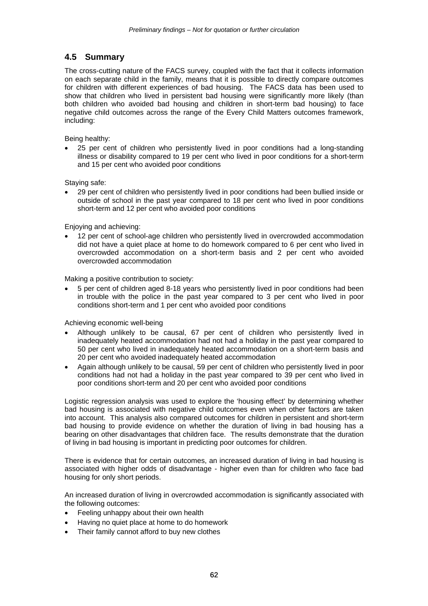# **4.5 Summary**

The cross-cutting nature of the FACS survey, coupled with the fact that it collects information on each separate child in the family, means that it is possible to directly compare outcomes for children with different experiences of bad housing. The FACS data has been used to show that children who lived in persistent bad housing were significantly more likely (than both children who avoided bad housing and children in short-term bad housing) to face negative child outcomes across the range of the Every Child Matters outcomes framework, including:

Being healthy:

• 25 per cent of children who persistently lived in poor conditions had a long-standing illness or disability compared to 19 per cent who lived in poor conditions for a short-term and 15 per cent who avoided poor conditions

Staying safe:

• 29 per cent of children who persistently lived in poor conditions had been bullied inside or outside of school in the past year compared to 18 per cent who lived in poor conditions short-term and 12 per cent who avoided poor conditions

Enjoying and achieving:

• 12 per cent of school-age children who persistently lived in overcrowded accommodation did not have a quiet place at home to do homework compared to 6 per cent who lived in overcrowded accommodation on a short-term basis and 2 per cent who avoided overcrowded accommodation

Making a positive contribution to society:

• 5 per cent of children aged 8-18 years who persistently lived in poor conditions had been in trouble with the police in the past year compared to 3 per cent who lived in poor conditions short-term and 1 per cent who avoided poor conditions

Achieving economic well-being

- Although unlikely to be causal, 67 per cent of children who persistently lived in inadequately heated accommodation had not had a holiday in the past year compared to 50 per cent who lived in inadequately heated accommodation on a short-term basis and 20 per cent who avoided inadequately heated accommodation
- Again although unlikely to be causal, 59 per cent of children who persistently lived in poor conditions had not had a holiday in the past year compared to 39 per cent who lived in poor conditions short-term and 20 per cent who avoided poor conditions

Logistic regression analysis was used to explore the 'housing effect' by determining whether bad housing is associated with negative child outcomes even when other factors are taken into account. This analysis also compared outcomes for children in persistent and short-term bad housing to provide evidence on whether the duration of living in bad housing has a bearing on other disadvantages that children face. The results demonstrate that the duration of living in bad housing is important in predicting poor outcomes for children.

There is evidence that for certain outcomes, an increased duration of living in bad housing is associated with higher odds of disadvantage - higher even than for children who face bad housing for only short periods.

An increased duration of living in overcrowded accommodation is significantly associated with the following outcomes:

- Feeling unhappy about their own health
- Having no quiet place at home to do homework
- Their family cannot afford to buy new clothes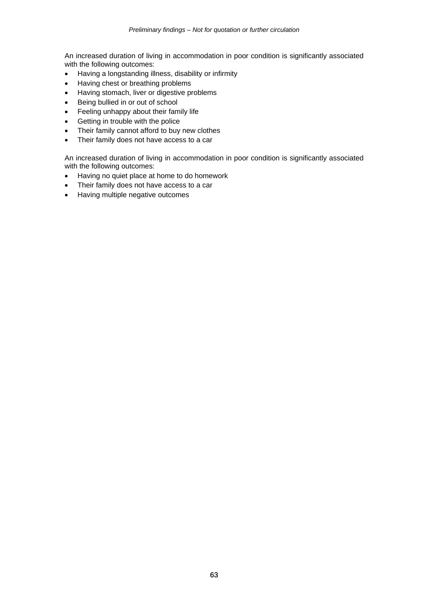An increased duration of living in accommodation in poor condition is significantly associated with the following outcomes:

- Having a longstanding illness, disability or infirmity
- Having chest or breathing problems
- Having stomach, liver or digestive problems
- Being bullied in or out of school
- Feeling unhappy about their family life
- Getting in trouble with the police
- Their family cannot afford to buy new clothes
- Their family does not have access to a car

An increased duration of living in accommodation in poor condition is significantly associated with the following outcomes:

- Having no quiet place at home to do homework
- Their family does not have access to a car
- Having multiple negative outcomes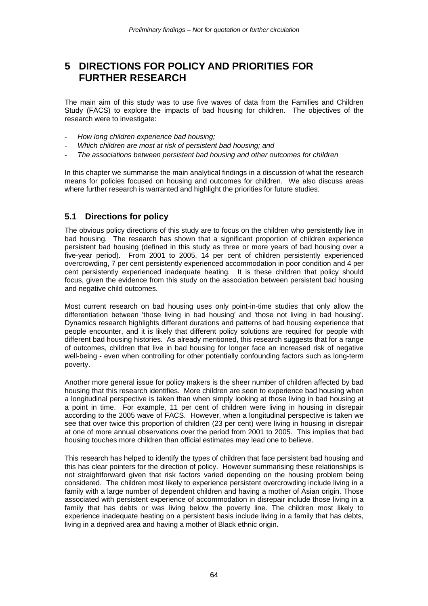# **5 DIRECTIONS FOR POLICY AND PRIORITIES FOR FURTHER RESEARCH**

The main aim of this study was to use five waves of data from the Families and Children Study (FACS) to explore the impacts of bad housing for children. The objectives of the research were to investigate:

- *How long children experience bad housing;*
- *Which children are most at risk of persistent bad housing; and*
- *The associations between persistent bad housing and other outcomes for children*

In this chapter we summarise the main analytical findings in a discussion of what the research means for policies focused on housing and outcomes for children. We also discuss areas where further research is warranted and highlight the priorities for future studies.

### **5.1 Directions for policy**

The obvious policy directions of this study are to focus on the children who persistently live in bad housing. The research has shown that a significant proportion of children experience persistent bad housing (defined in this study as three or more years of bad housing over a five-year period). From 2001 to 2005, 14 per cent of children persistently experienced overcrowding, 7 per cent persistently experienced accommodation in poor condition and 4 per cent persistently experienced inadequate heating. It is these children that policy should focus, given the evidence from this study on the association between persistent bad housing and negative child outcomes.

Most current research on bad housing uses only point-in-time studies that only allow the differentiation between 'those living in bad housing' and 'those not living in bad housing'. Dynamics research highlights different durations and patterns of bad housing experience that people encounter, and it is likely that different policy solutions are required for people with different bad housing histories. As already mentioned, this research suggests that for a range of outcomes, children that live in bad housing for longer face an increased risk of negative well-being - even when controlling for other potentially confounding factors such as long-term poverty.

Another more general issue for policy makers is the sheer number of children affected by bad housing that this research identifies. More children are seen to experience bad housing when a longitudinal perspective is taken than when simply looking at those living in bad housing at a point in time. For example, 11 per cent of children were living in housing in disrepair according to the 2005 wave of FACS. However, when a longitudinal perspective is taken we see that over twice this proportion of children (23 per cent) were living in housing in disrepair at one of more annual observations over the period from 2001 to 2005. This implies that bad housing touches more children than official estimates may lead one to believe.

This research has helped to identify the types of children that face persistent bad housing and this has clear pointers for the direction of policy. However summarising these relationships is not straightforward given that risk factors varied depending on the housing problem being considered. The children most likely to experience persistent overcrowding include living in a family with a large number of dependent children and having a mother of Asian origin. Those associated with persistent experience of accommodation in disrepair include those living in a family that has debts or was living below the poverty line. The children most likely to experience inadequate heating on a persistent basis include living in a family that has debts, living in a deprived area and having a mother of Black ethnic origin.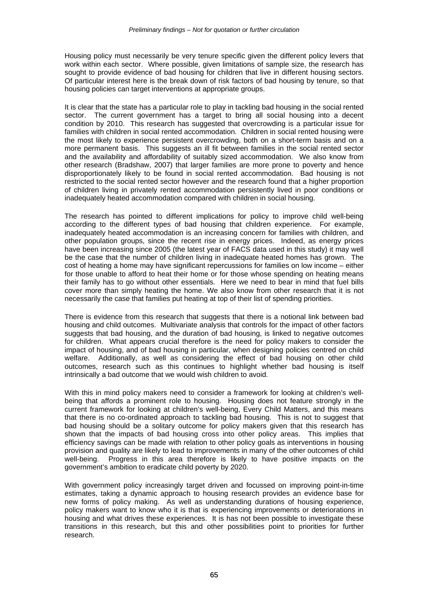Housing policy must necessarily be very tenure specific given the different policy levers that work within each sector. Where possible, given limitations of sample size, the research has sought to provide evidence of bad housing for children that live in different housing sectors. Of particular interest here is the break down of risk factors of bad housing by tenure, so that housing policies can target interventions at appropriate groups.

It is clear that the state has a particular role to play in tackling bad housing in the social rented sector. The current government has a target to bring all social housing into a decent condition by 2010. This research has suggested that overcrowding is a particular issue for families with children in social rented accommodation. Children in social rented housing were the most likely to experience persistent overcrowding, both on a short-term basis and on a more permanent basis. This suggests an ill fit between families in the social rented sector and the availability and affordability of suitably sized accommodation. We also know from other research (Bradshaw, 2007) that larger families are more prone to poverty and hence disproportionately likely to be found in social rented accommodation. Bad housing is not restricted to the social rented sector however and the research found that a higher proportion of children living in privately rented accommodation persistently lived in poor conditions or inadequately heated accommodation compared with children in social housing.

The research has pointed to different implications for policy to improve child well-being according to the different types of bad housing that children experience. For example, inadequately heated accommodation is an increasing concern for families with children, and other population groups, since the recent rise in energy prices. Indeed, as energy prices have been increasing since 2005 (the latest year of FACS data used in this study) it may well be the case that the number of children living in inadequate heated homes has grown. The cost of heating a home may have significant repercussions for families on low income – either for those unable to afford to heat their home or for those whose spending on heating means their family has to go without other essentials. Here we need to bear in mind that fuel bills cover more than simply heating the home. We also know from other research that it is not necessarily the case that families put heating at top of their list of spending priorities.

There is evidence from this research that suggests that there is a notional link between bad housing and child outcomes. Multivariate analysis that controls for the impact of other factors suggests that bad housing, and the duration of bad housing, is linked to negative outcomes for children. What appears crucial therefore is the need for policy makers to consider the impact of housing, and of bad housing in particular, when designing policies centred on child welfare. Additionally, as well as considering the effect of bad housing on other child outcomes, research such as this continues to highlight whether bad housing is itself intrinsically a bad outcome that we would wish children to avoid.

With this in mind policy makers need to consider a framework for looking at children's wellbeing that affords a prominent role to housing. Housing does not feature strongly in the current framework for looking at children's well-being, Every Child Matters, and this means that there is no co-ordinated approach to tackling bad housing. This is not to suggest that bad housing should be a solitary outcome for policy makers given that this research has shown that the impacts of bad housing cross into other policy areas. This implies that efficiency savings can be made with relation to other policy goals as interventions in housing provision and quality are likely to lead to improvements in many of the other outcomes of child well-being. Progress in this area therefore is likely to have positive impacts on the government's ambition to eradicate child poverty by 2020.

With government policy increasingly target driven and focussed on improving point-in-time estimates, taking a dynamic approach to housing research provides an evidence base for new forms of policy making. As well as understanding durations of housing experience, policy makers want to know who it is that is experiencing improvements or deteriorations in housing and what drives these experiences. It is has not been possible to investigate these transitions in this research, but this and other possibilities point to priorities for further research.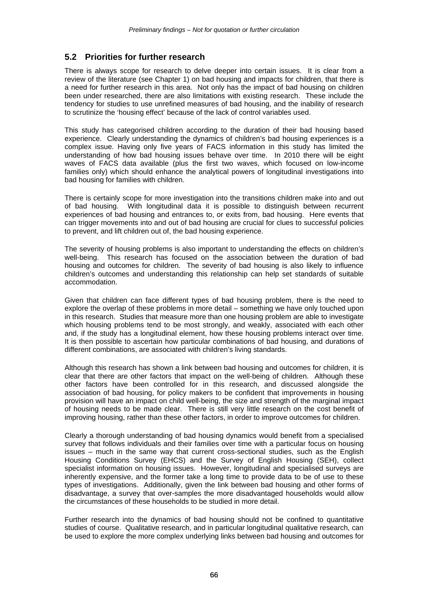### **5.2 Priorities for further research**

There is always scope for research to delve deeper into certain issues. It is clear from a review of the literature (see Chapter 1) on bad housing and impacts for children, that there is a need for further research in this area. Not only has the impact of bad housing on children been under researched, there are also limitations with existing research. These include the tendency for studies to use unrefined measures of bad housing, and the inability of research to scrutinize the 'housing effect' because of the lack of control variables used.

This study has categorised children according to the duration of their bad housing based experience. Clearly understanding the dynamics of children's bad housing experiences is a complex issue. Having only five years of FACS information in this study has limited the understanding of how bad housing issues behave over time. In 2010 there will be eight waves of FACS data available (plus the first two waves, which focused on low-income families only) which should enhance the analytical powers of longitudinal investigations into bad housing for families with children.

There is certainly scope for more investigation into the transitions children make into and out of bad housing. With longitudinal data it is possible to distinguish between recurrent experiences of bad housing and entrances to, or exits from, bad housing. Here events that can trigger movements into and out of bad housing are crucial for clues to successful policies to prevent, and lift children out of, the bad housing experience.

The severity of housing problems is also important to understanding the effects on children's well-being. This research has focused on the association between the duration of bad housing and outcomes for children. The severity of bad housing is also likely to influence children's outcomes and understanding this relationship can help set standards of suitable accommodation.

Given that children can face different types of bad housing problem, there is the need to explore the overlap of these problems in more detail – something we have only touched upon in this research. Studies that measure more than one housing problem are able to investigate which housing problems tend to be most strongly, and weakly, associated with each other and, if the study has a longitudinal element, how these housing problems interact over time. It is then possible to ascertain how particular combinations of bad housing, and durations of different combinations, are associated with children's living standards.

Although this research has shown a link between bad housing and outcomes for children, it is clear that there are other factors that impact on the well-being of children. Although these other factors have been controlled for in this research, and discussed alongside the association of bad housing, for policy makers to be confident that improvements in housing provision will have an impact on child well-being, the size and strength of the marginal impact of housing needs to be made clear. There is still very little research on the cost benefit of improving housing, rather than these other factors, in order to improve outcomes for children.

Clearly a thorough understanding of bad housing dynamics would benefit from a specialised survey that follows individuals and their families over time with a particular focus on housing issues – much in the same way that current cross-sectional studies, such as the English Housing Conditions Survey (EHCS) and the Survey of English Housing (SEH), collect specialist information on housing issues. However, longitudinal and specialised surveys are inherently expensive, and the former take a long time to provide data to be of use to these types of investigations. Additionally, given the link between bad housing and other forms of disadvantage, a survey that over-samples the more disadvantaged households would allow the circumstances of these households to be studied in more detail.

Further research into the dynamics of bad housing should not be confined to quantitative studies of course. Qualitative research, and in particular longitudinal qualitative research, can be used to explore the more complex underlying links between bad housing and outcomes for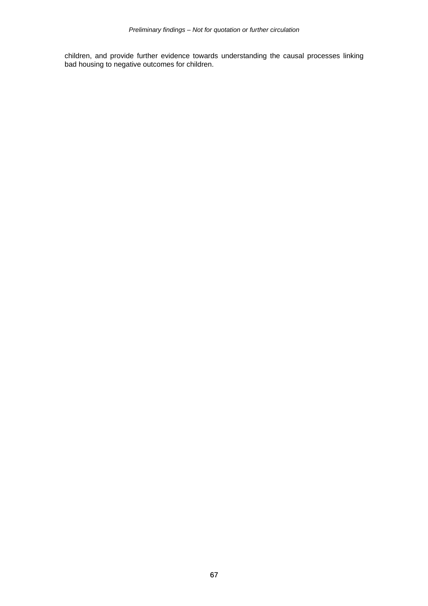children, and provide further evidence towards understanding the causal processes linking bad housing to negative outcomes for children.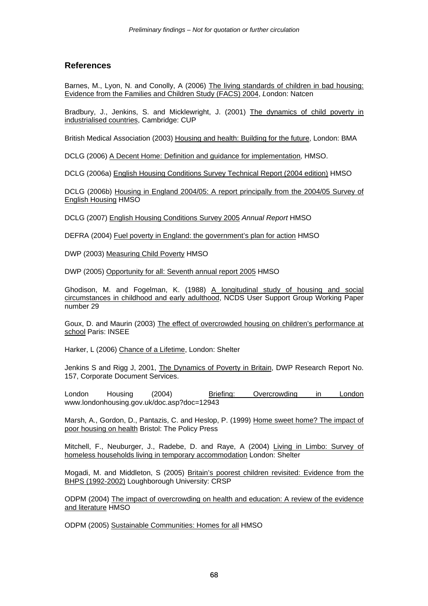#### **References**

Barnes, M., Lyon, N. and Conolly, A (2006) The living standards of children in bad housing: Evidence from the Families and Children Study (FACS) 2004, *L*ondon: Natcen

Bradbury, J., Jenkins, S. and Micklewright, J. (2001) The dynamics of child poverty in industrialised countries, Cambridge: CUP

British Medical Association (2003) Housing and health: Building for the future, London: BMA

DCLG (2006) A Decent Home: Definition and guidance for implementation*,* HMSO.

DCLG (2006a) English Housing Conditions Survey Technical Report (2004 edition) HMSO

DCLG (2006b) Housing in England 2004/05: A report principally from the 2004/05 Survey of English Housing HMSO

DCLG (2007) English Housing Conditions Survey 2005 *Annual Report* HMSO

DEFRA (2004) Fuel poverty in England: the government's plan for action HMSO

DWP (2003) Measuring Child Poverty HMSO

DWP (2005) Opportunity for all: Seventh annual report 2005 HMSO

Ghodison, M. and Fogelman, K. (1988) A longitudinal study of housing and social circumstances in childhood and early adulthood, NCDS User Support Group Working Paper number 29

Goux, D. and Maurin (2003) The effect of overcrowded housing on children's performance at school Paris: INSEE

Harker, L (2006) Chance of a Lifetime, London: Shelter

Jenkins S and Rigg J, 2001, The Dynamics of Poverty in Britain, DWP Research Report No. 157, Corporate Document Services.

London Housing (2004) Briefing: Overcrowding in London www.londonhousing.gov.uk/doc.asp?doc=12943

Marsh, A., Gordon, D., Pantazis, C. and Heslop, P. (1999) Home sweet home? The impact of poor housing on health Bristol: The Policy Press

Mitchell, F., Neuburger, J., Radebe, D. and Raye, A (2004) Living in Limbo: Survey of homeless households living in temporary accommodation London: Shelter

Mogadi, M. and Middleton, S (2005) Britain's poorest children revisited: Evidence from the BHPS (1992-2002) Loughborough University: CRSP

ODPM (2004) The impact of overcrowding on health and education: A review of the evidence and literature HMSO

ODPM (2005) Sustainable Communities: Homes for all HMSO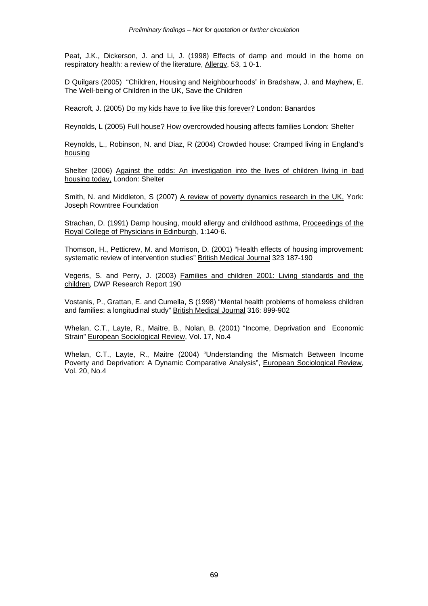Peat, J.K., Dickerson, J. and Li, J. (1998) Effects of damp and mould in the home on respiratory health: a review of the literature, Allergy, 53, 1 0-1.

D Quilgars (2005) "Children, Housing and Neighbourhoods" in Bradshaw, J. and Mayhew, E. The Well-being of Children in the UK, Save the Children

Reacroft, J. (2005) Do my kids have to live like this forever? London: Banardos

Reynolds, L (2005) Full house? How overcrowded housing affects families London: Shelter

Reynolds, L., Robinson, N. and Diaz, R (2004) Crowded house: Cramped living in England's housing

Shelter (2006) Against the odds: An investigation into the lives of children living in bad housing today, London: Shelter

Smith, N. and Middleton, S (2007) A review of poverty dynamics research in the UK, York: Joseph Rowntree Foundation

Strachan, D. (1991) Damp housing, mould allergy and childhood asthma, Proceedings of the Royal College of Physicians in Edinburgh, 1:140-6.

Thomson, H., Petticrew, M. and Morrison, D. (2001) "Health effects of housing improvement: systematic review of intervention studies" British Medical Journal 323 187-190

Vegeris, S. and Perry, J. (2003) Families and children 2001: Living standards and the children*,* DWP Research Report 190

Vostanis, P., Grattan, E. and Cumella, S (1998) "Mental health problems of homeless children and families: a longitudinal study" British Medical Journal 316: 899-902

Whelan, C.T., Layte, R., Maitre, B., Nolan, B. (2001) "Income, Deprivation and Economic Strain" European Sociological Review, Vol. 17, No.4

Whelan, C.T., Layte, R., Maitre (2004) "Understanding the Mismatch Between Income Poverty and Deprivation: A Dynamic Comparative Analysis", European Sociological Review, Vol. 20, No.4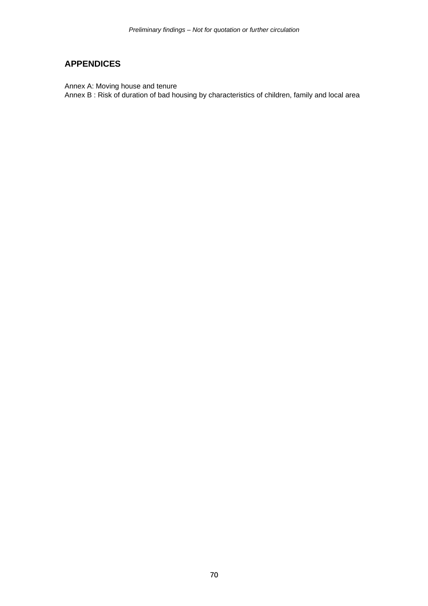## **APPENDICES**

Annex A: Moving house and tenure

Annex B : Risk of duration of bad housing by characteristics of children, family and local area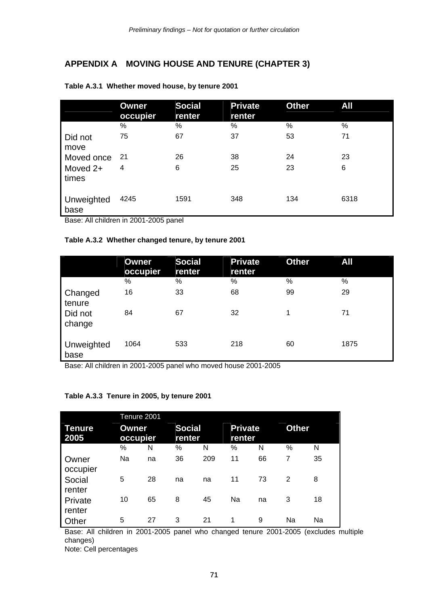## **APPENDIX A MOVING HOUSE AND TENURE (CHAPTER 3)**

|                    | <b>Owner</b><br>occupier | <b>Social</b><br>renter | <b>Private</b><br>renter | <b>Other</b> | All  |
|--------------------|--------------------------|-------------------------|--------------------------|--------------|------|
|                    | %                        | %                       | ℅                        | %            | $\%$ |
| Did not<br>move    | 75                       | 67                      | 37                       | 53           | 71   |
| Moved once         | -21                      | 26                      | 38                       | 24           | 23   |
| Moved 2+<br>times  | 4                        | 6                       | 25                       | 23           | 6    |
| Unweighted<br>base | 4245                     | 1591                    | 348                      | 134          | 6318 |

#### **Table A.3.1 Whether moved house, by tenure 2001**

Base: All children in 2001-2005 panel

#### **Table A.3.2 Whether changed tenure, by tenure 2001**

|                    | Owner<br>occupier | <b>Social</b><br>renter | <b>Private</b><br>renter | <b>Other</b> | All  |
|--------------------|-------------------|-------------------------|--------------------------|--------------|------|
|                    | %                 | %                       | %                        | %            | $\%$ |
| Changed<br>tenure  | 16                | 33                      | 68                       | 99           | 29   |
| Did not<br>change  | 84                | 67                      | 32                       | 1            | 71   |
| Unweighted<br>base | 1064              | 533                     | 218                      | 60           | 1875 |

Base: All children in 2001-2005 panel who moved house 2001-2005

#### **Table A.3.3 Tenure in 2005, by tenure 2001**

|                   | Tenure 2001       |    |                         |     |                          |    |              |    |
|-------------------|-------------------|----|-------------------------|-----|--------------------------|----|--------------|----|
| Tenure<br>2005    | Owner<br>occupier |    | <b>Social</b><br>renter |     | <b>Private</b><br>renter |    | <b>Other</b> |    |
|                   | %                 | N  | %                       | N   | %                        | N  | %            | N  |
| Owner<br>occupier | Na                | na | 36                      | 209 | 11                       | 66 | 7            | 35 |
| Social<br>renter  | 5                 | 28 | na                      | na  | 11                       | 73 | 2            | 8  |
| Private<br>renter | 10                | 65 | 8                       | 45  | Na                       | na | 3            | 18 |
| Other             | 5                 | 27 | 3                       | 21  | 1                        | 9  | Na           | Na |

Base: All children in 2001-2005 panel who changed tenure 2001-2005 (excludes multiple changes)

Note: Cell percentages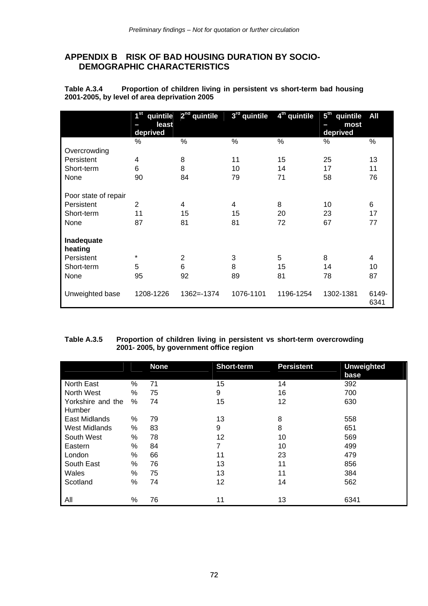## **APPENDIX B RISK OF BAD HOUSING DURATION BY SOCIO-DEMOGRAPHIC CHARACTERISTICS**

**Table A.3.4 Proportion of children living in persistent vs short-term bad housing 2001-2005, by level of area deprivation 2005** 

|                      | $1^{\rm st}$<br>quintile<br>least<br>deprived | $2nd$ quintile | 3rd quintile | 4 <sup>th</sup> quintile | 5 <sup>th</sup><br>quintile<br>most<br>deprived | All           |
|----------------------|-----------------------------------------------|----------------|--------------|--------------------------|-------------------------------------------------|---------------|
|                      | %                                             | $\%$           | $\%$         | $\%$                     | %                                               | %             |
| Overcrowding         |                                               |                |              |                          |                                                 |               |
| Persistent           | 4                                             | 8              | 11           | 15                       | 25                                              | 13            |
| Short-term           | 6                                             | 8              | 10           | 14                       | 17                                              | 11            |
| None                 | 90                                            | 84             | 79           | 71                       | 58                                              | 76            |
|                      |                                               |                |              |                          |                                                 |               |
| Poor state of repair |                                               |                |              |                          |                                                 |               |
| Persistent           | $\overline{2}$                                | 4              | 4            | 8                        | 10                                              | 6             |
| Short-term           | 11                                            | 15             | 15           | 20                       | 23                                              | 17            |
| None                 | 87                                            | 81             | 81           | 72                       | 67                                              | 77            |
|                      |                                               |                |              |                          |                                                 |               |
| Inadequate           |                                               |                |              |                          |                                                 |               |
| heating              |                                               |                |              |                          |                                                 |               |
| Persistent           | *                                             | $\overline{2}$ | 3            | 5                        | 8                                               | 4             |
| Short-term           | 5                                             | 6              | 8            | 15                       | 14                                              | 10            |
| None                 | 95                                            | 92             | 89           | 81                       | 78                                              | 87            |
|                      |                                               |                |              |                          |                                                 |               |
| Unweighted base      | 1208-1226                                     | $1362 = -1374$ | 1076-1101    | 1196-1254                | 1302-1381                                       | 6149-<br>6341 |

#### **Table A.3.5 Proportion of children living in persistent vs short-term overcrowding 2001- 2005, by government office region**

|                             |      | <b>None</b> | <b>Short-term</b> | <b>Persistent</b> | <b>Unweighted</b><br>base |
|-----------------------------|------|-------------|-------------------|-------------------|---------------------------|
| North East                  | $\%$ | 71          | 15                | 14                | 392                       |
| North West                  | $\%$ | 75          | 9                 | 16                | 700                       |
| Yorkshire and the<br>Humber | $\%$ | 74          | 15                | 12                | 630                       |
| <b>East Midlands</b>        | %    | 79          | 13                | 8                 | 558                       |
| <b>West Midlands</b>        | $\%$ | 83          | 9                 | 8                 | 651                       |
| South West                  | %    | 78          | 12                | 10                | 569                       |
| Eastern                     | $\%$ | 84          | 7                 | 10                | 499                       |
| London                      | %    | 66          | 11                | 23                | 479                       |
| South East                  | $\%$ | 76          | 13                | 11                | 856                       |
| Wales                       | $\%$ | 75          | 13                | 11                | 384                       |
| Scotland                    | %    | 74          | 12                | 14                | 562                       |
| All                         | %    | 76          | 11                | 13                | 6341                      |